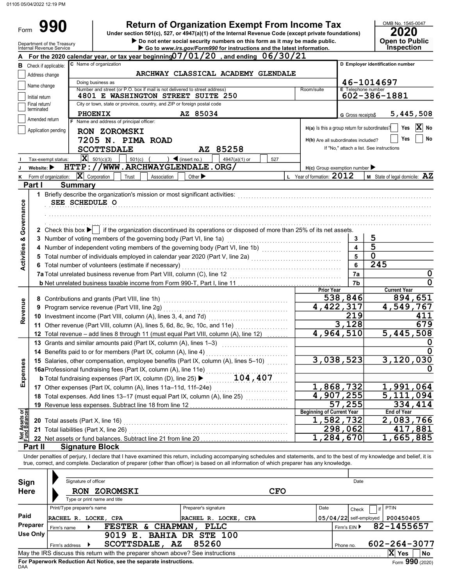Form

| <b>Return of Organization Exempt From Income Tax</b> |  |  |
|------------------------------------------------------|--|--|
|                                                      |  |  |

Do not enter social security numbers on this form as it may be made public. Open to Public **990** Return of Organization Exempt From Income Tax Under Section 501(c), 527, or 4947(a)(1) of the Internal Revenue Code (except private foundations) 2020

OMB No. 1545-0047

|                                             | Department of the Treasury<br>Internal Revenue Service                                                                                                         |                                                                                    |                                    |                                                                          |                |                                                                                 | $\blacktriangleright$ Do not enter social security numbers on this form as it may be made public.                                                                       |  |                                               |                           | <b>Open to Public</b><br><b>Inspection</b>                                                                                                                                 |  |
|---------------------------------------------|----------------------------------------------------------------------------------------------------------------------------------------------------------------|------------------------------------------------------------------------------------|------------------------------------|--------------------------------------------------------------------------|----------------|---------------------------------------------------------------------------------|-------------------------------------------------------------------------------------------------------------------------------------------------------------------------|--|-----------------------------------------------|---------------------------|----------------------------------------------------------------------------------------------------------------------------------------------------------------------------|--|
|                                             | Go to www.irs.gov/Form990 for instructions and the latest information.<br>For the 2020 calendar year, or tax year beginning $07/01/20$ , and ending $06/30/21$ |                                                                                    |                                    |                                                                          |                |                                                                                 |                                                                                                                                                                         |  |                                               |                           |                                                                                                                                                                            |  |
| в                                           |                                                                                                                                                                | C Name of organization<br>D Employer identification number<br>Check if applicable: |                                    |                                                                          |                |                                                                                 |                                                                                                                                                                         |  |                                               |                           |                                                                                                                                                                            |  |
|                                             | Address change                                                                                                                                                 |                                                                                    | ARCHWAY CLASSICAL ACADEMY GLENDALE |                                                                          |                |                                                                                 |                                                                                                                                                                         |  |                                               |                           |                                                                                                                                                                            |  |
|                                             |                                                                                                                                                                |                                                                                    | Doing business as                  | 46-1014697                                                               |                |                                                                                 |                                                                                                                                                                         |  |                                               |                           |                                                                                                                                                                            |  |
|                                             | Name change                                                                                                                                                    |                                                                                    |                                    |                                                                          |                | Number and street (or P.O. box if mail is not delivered to street address)      |                                                                                                                                                                         |  | Room/suite                                    | <b>E</b> Telephone number |                                                                                                                                                                            |  |
|                                             | Initial return                                                                                                                                                 |                                                                                    |                                    |                                                                          |                | 4801 E WASHINGTON STREET SUITE 250                                              |                                                                                                                                                                         |  |                                               |                           | 602-386-1881                                                                                                                                                               |  |
|                                             | Final return/<br>terminated                                                                                                                                    |                                                                                    |                                    | City or town, state or province, country, and ZIP or foreign postal code |                |                                                                                 |                                                                                                                                                                         |  |                                               |                           |                                                                                                                                                                            |  |
|                                             | Amended return                                                                                                                                                 |                                                                                    |                                    | <b>PHOENIX</b>                                                           |                | AZ 85034                                                                        |                                                                                                                                                                         |  |                                               | G Gross receipts\$        | 5,445,508                                                                                                                                                                  |  |
|                                             |                                                                                                                                                                |                                                                                    |                                    | F Name and address of principal officer:                                 |                |                                                                                 |                                                                                                                                                                         |  | H(a) Is this a group return for subordinates? |                           | X<br>Yes<br>No                                                                                                                                                             |  |
|                                             | Application pending                                                                                                                                            |                                                                                    |                                    | RON ZOROMSKI                                                             |                |                                                                                 |                                                                                                                                                                         |  |                                               |                           |                                                                                                                                                                            |  |
|                                             |                                                                                                                                                                |                                                                                    |                                    | 7205 N. PIMA ROAD                                                        |                |                                                                                 |                                                                                                                                                                         |  | H(b) Are all subordinates included?           |                           | Yes<br>No                                                                                                                                                                  |  |
|                                             |                                                                                                                                                                |                                                                                    |                                    | <b>SCOTTSDALE</b>                                                        |                | AZ 85258                                                                        |                                                                                                                                                                         |  |                                               |                           | If "No," attach a list. See instructions                                                                                                                                   |  |
|                                             | Tax-exempt status:                                                                                                                                             |                                                                                    |                                    | $\mathbf{X}$ 501(c)(3)                                                   | $501(c)$ (     | $\big)$ (insert no.)                                                            | 4947(a)(1) or<br>527                                                                                                                                                    |  |                                               |                           |                                                                                                                                                                            |  |
|                                             | Website: $\blacktriangleright$                                                                                                                                 |                                                                                    |                                    |                                                                          |                | HTTP://WWW.ARCHWAYGLENDALE.ORG/                                                 |                                                                                                                                                                         |  | $H(c)$ Group exemption number                 |                           |                                                                                                                                                                            |  |
| κ                                           | Form of organization:                                                                                                                                          |                                                                                    |                                    | $ \mathbf{X} $ Corporation<br>Trust                                      | Association    | Other $\blacktriangleright$                                                     |                                                                                                                                                                         |  | L Year of formation: $2012$                   |                           | <b>M</b> State of legal domicile: $\mathbf{AZ}$                                                                                                                            |  |
|                                             | Part I                                                                                                                                                         |                                                                                    | <b>Summary</b>                     |                                                                          |                |                                                                                 |                                                                                                                                                                         |  |                                               |                           |                                                                                                                                                                            |  |
|                                             |                                                                                                                                                                |                                                                                    |                                    |                                                                          |                | 1 Briefly describe the organization's mission or most significant activities:   |                                                                                                                                                                         |  |                                               |                           |                                                                                                                                                                            |  |
|                                             |                                                                                                                                                                |                                                                                    |                                    | SEE SCHEDULE O                                                           |                |                                                                                 |                                                                                                                                                                         |  |                                               |                           |                                                                                                                                                                            |  |
|                                             |                                                                                                                                                                |                                                                                    |                                    |                                                                          |                |                                                                                 |                                                                                                                                                                         |  |                                               |                           |                                                                                                                                                                            |  |
|                                             |                                                                                                                                                                |                                                                                    |                                    |                                                                          |                |                                                                                 |                                                                                                                                                                         |  |                                               |                           |                                                                                                                                                                            |  |
|                                             |                                                                                                                                                                |                                                                                    |                                    |                                                                          |                |                                                                                 | 2 Check this box $\blacktriangleright$ if the organization discontinued its operations or disposed of more than 25% of its net assets.                                  |  |                                               |                           |                                                                                                                                                                            |  |
|                                             |                                                                                                                                                                |                                                                                    |                                    |                                                                          |                | 3 Number of voting members of the governing body (Part VI, line 1a)             |                                                                                                                                                                         |  |                                               | 3                         | 5                                                                                                                                                                          |  |
|                                             |                                                                                                                                                                |                                                                                    |                                    |                                                                          |                |                                                                                 | 4 Number of independent voting members of the governing body (Part VI, line 1b) [11] [11] Number of independent voting members of the governing body (Part VI, line 1b) |  |                                               |                           | $\overline{5}$                                                                                                                                                             |  |
| <b>Activities &amp; Governance</b>          |                                                                                                                                                                |                                                                                    |                                    |                                                                          |                |                                                                                 | 5 Total number of individuals employed in calendar year 2020 (Part V, line 2a) [[[[[[[[[[[[[[[[[[[[[[[[[[[[[[                                                           |  |                                               | 5                         | $\mathbf 0$                                                                                                                                                                |  |
|                                             |                                                                                                                                                                |                                                                                    |                                    | 6 Total number of volunteers (estimate if necessary)                     |                |                                                                                 |                                                                                                                                                                         |  |                                               | 6                         | 245                                                                                                                                                                        |  |
|                                             |                                                                                                                                                                |                                                                                    |                                    |                                                                          |                | 7a Total unrelated business revenue from Part VIII, column (C), line 12         |                                                                                                                                                                         |  |                                               | 7a                        | $\mathbf 0$                                                                                                                                                                |  |
|                                             |                                                                                                                                                                |                                                                                    |                                    |                                                                          |                |                                                                                 |                                                                                                                                                                         |  |                                               | 7b                        | 0                                                                                                                                                                          |  |
|                                             |                                                                                                                                                                |                                                                                    |                                    | 8 Contributions and grants (Part VIII, line 1h)                          |                |                                                                                 |                                                                                                                                                                         |  | <b>Prior Year</b>                             | 538,846                   | <b>Current Year</b><br>894,651                                                                                                                                             |  |
| Revenue                                     |                                                                                                                                                                |                                                                                    |                                    |                                                                          |                |                                                                                 |                                                                                                                                                                         |  |                                               | 4,422,317                 | 4,549,767                                                                                                                                                                  |  |
|                                             | 9 Program service revenue (Part VIII, line 2g)<br>10 Investment income (Part VIII, column (A), lines 3, 4, and 7d)                                             |                                                                                    |                                    |                                                                          |                |                                                                                 |                                                                                                                                                                         |  |                                               | 219                       | 411                                                                                                                                                                        |  |
|                                             |                                                                                                                                                                |                                                                                    |                                    |                                                                          |                | 11 Other revenue (Part VIII, column (A), lines 5, 6d, 8c, 9c, 10c, and 11e)     |                                                                                                                                                                         |  |                                               | 3,128                     | 679                                                                                                                                                                        |  |
|                                             |                                                                                                                                                                |                                                                                    |                                    |                                                                          |                |                                                                                 | 12 Total revenue - add lines 8 through 11 (must equal Part VIII, column (A), line 12)                                                                                   |  |                                               | 4,964,510                 | 5,445,508                                                                                                                                                                  |  |
|                                             |                                                                                                                                                                |                                                                                    |                                    | 13 Grants and similar amounts paid (Part IX, column (A), lines 1-3)      |                |                                                                                 |                                                                                                                                                                         |  |                                               |                           | O                                                                                                                                                                          |  |
|                                             |                                                                                                                                                                |                                                                                    |                                    | 14 Benefits paid to or for members (Part IX, column (A), line 4)         |                |                                                                                 |                                                                                                                                                                         |  |                                               |                           |                                                                                                                                                                            |  |
|                                             |                                                                                                                                                                |                                                                                    |                                    |                                                                          |                |                                                                                 | 15 Salaries, other compensation, employee benefits (Part IX, column (A), lines 5-10)                                                                                    |  |                                               | 3,038,523                 | 3,120,030                                                                                                                                                                  |  |
|                                             |                                                                                                                                                                |                                                                                    |                                    | 16aProfessional fundraising fees (Part IX, column (A), line 11e)         |                |                                                                                 |                                                                                                                                                                         |  |                                               |                           |                                                                                                                                                                            |  |
| Expenses                                    |                                                                                                                                                                |                                                                                    |                                    | <b>b</b> Total fundraising expenses (Part IX, column (D), line 25) ▶     |                |                                                                                 | 104,407                                                                                                                                                                 |  |                                               |                           |                                                                                                                                                                            |  |
|                                             |                                                                                                                                                                |                                                                                    |                                    |                                                                          |                |                                                                                 |                                                                                                                                                                         |  |                                               | 1,868,732                 | 1,991,064                                                                                                                                                                  |  |
|                                             |                                                                                                                                                                |                                                                                    |                                    |                                                                          |                | 18 Total expenses. Add lines 13-17 (must equal Part IX, column (A), line 25)    |                                                                                                                                                                         |  |                                               | 4,907,255                 | 5, 111, 094                                                                                                                                                                |  |
|                                             |                                                                                                                                                                |                                                                                    |                                    |                                                                          |                |                                                                                 |                                                                                                                                                                         |  |                                               | 57,255                    | 334,414                                                                                                                                                                    |  |
| ್ತಕೆ                                        |                                                                                                                                                                |                                                                                    |                                    |                                                                          |                |                                                                                 |                                                                                                                                                                         |  | <b>Beginning of Current Year</b>              |                           | <b>End of Year</b>                                                                                                                                                         |  |
| Net Assets                                  |                                                                                                                                                                |                                                                                    |                                    |                                                                          |                |                                                                                 |                                                                                                                                                                         |  |                                               | 1,582,732                 | 2,083,766                                                                                                                                                                  |  |
|                                             |                                                                                                                                                                |                                                                                    |                                    | 21 Total liabilities (Part X, line 26)                                   |                |                                                                                 |                                                                                                                                                                         |  |                                               | 298,062                   | 417,881                                                                                                                                                                    |  |
|                                             |                                                                                                                                                                |                                                                                    |                                    | 22 Net assets or fund balances. Subtract line 21 from line 20            |                |                                                                                 |                                                                                                                                                                         |  |                                               | 1,284,670                 | 1,665,885                                                                                                                                                                  |  |
|                                             | Part II                                                                                                                                                        |                                                                                    |                                    | <b>Signature Block</b>                                                   |                |                                                                                 |                                                                                                                                                                         |  |                                               |                           |                                                                                                                                                                            |  |
|                                             |                                                                                                                                                                |                                                                                    |                                    |                                                                          |                |                                                                                 |                                                                                                                                                                         |  |                                               |                           | Under penalties of perjury, I declare that I have examined this return, including accompanying schedules and statements, and to the best of my knowledge and belief, it is |  |
|                                             |                                                                                                                                                                |                                                                                    |                                    |                                                                          |                |                                                                                 | true, correct, and complete. Declaration of preparer (other than officer) is based on all information of which preparer has any knowledge.                              |  |                                               |                           |                                                                                                                                                                            |  |
|                                             |                                                                                                                                                                |                                                                                    |                                    |                                                                          |                |                                                                                 |                                                                                                                                                                         |  |                                               |                           |                                                                                                                                                                            |  |
|                                             | Sign                                                                                                                                                           |                                                                                    | Signature of officer               |                                                                          |                |                                                                                 |                                                                                                                                                                         |  |                                               | Date                      |                                                                                                                                                                            |  |
| <b>Here</b>                                 |                                                                                                                                                                |                                                                                    |                                    | RON ZOROMSKI                                                             |                |                                                                                 | <b>CFO</b>                                                                                                                                                              |  |                                               |                           |                                                                                                                                                                            |  |
|                                             |                                                                                                                                                                |                                                                                    |                                    | Type or print name and title                                             |                |                                                                                 |                                                                                                                                                                         |  |                                               |                           |                                                                                                                                                                            |  |
|                                             |                                                                                                                                                                |                                                                                    | Print/Type preparer's name         |                                                                          |                | Preparer's signature                                                            |                                                                                                                                                                         |  | Date                                          | Check                     | <b>PTIN</b><br>if                                                                                                                                                          |  |
| Paid                                        |                                                                                                                                                                |                                                                                    |                                    | RACHEL R. LOCKE, CPA                                                     |                | RACHEL R. LOCKE, CPA                                                            |                                                                                                                                                                         |  |                                               | $05/04/22$ self-employed  | P00450405                                                                                                                                                                  |  |
|                                             | Preparer                                                                                                                                                       | Firm's name                                                                        |                                    |                                                                          |                | FESTER & CHAPMAN, PLLC                                                          |                                                                                                                                                                         |  |                                               | Firm's EIN ▶              | 82-1455657                                                                                                                                                                 |  |
| <b>Use Only</b><br>9019 E. BAHIA DR STE 100 |                                                                                                                                                                |                                                                                    |                                    |                                                                          |                |                                                                                 |                                                                                                                                                                         |  |                                               |                           |                                                                                                                                                                            |  |
|                                             |                                                                                                                                                                | Firm's address                                                                     |                                    |                                                                          | SCOTTSDALE, AZ | 85260                                                                           |                                                                                                                                                                         |  |                                               | Phone no.                 | 602-264-3077                                                                                                                                                               |  |
|                                             |                                                                                                                                                                |                                                                                    |                                    |                                                                          |                | May the IRS discuss this return with the preparer shown above? See instructions |                                                                                                                                                                         |  |                                               |                           | X Yes<br>No                                                                                                                                                                |  |

| Sign<br><b>Here</b> | Signature of officer<br><b>RON</b>                                                    | <b>ZOROMSKI</b><br>Type or print name and title                                 | <b>CFO</b>                    |      | Date                     |                       |  |  |  |  |  |
|---------------------|---------------------------------------------------------------------------------------|---------------------------------------------------------------------------------|-------------------------------|------|--------------------------|-----------------------|--|--|--|--|--|
|                     | Print/Type preparer's name                                                            |                                                                                 | Preparer's signature          | Date | Check                    | <b>PTIN</b>           |  |  |  |  |  |
| Paid                | RACHEL R. LOCKE, CPA                                                                  |                                                                                 | RACHEL R. LOCKE, CPA          |      | $05/04/22$ self-employed | P00450405             |  |  |  |  |  |
| Preparer            | Firm's name                                                                           | <b>FESTER</b><br>r.                                                             | <b>CHAPMAN</b><br><b>PLLC</b> |      | Firm's EIN ▶             | 82-1455657            |  |  |  |  |  |
| Use Only            |                                                                                       | 9019<br>Е.                                                                      | <b>BAHIA DR STE 100</b>       |      |                          |                       |  |  |  |  |  |
|                     | Firm's address                                                                        | <b>SCOTTSDALE,</b>                                                              | 85260<br>AZ                   |      | Phone no.                | 602-264-3077          |  |  |  |  |  |
|                     |                                                                                       | May the IRS discuss this return with the preparer shown above? See instructions |                               |      |                          | X<br>No<br><b>Yes</b> |  |  |  |  |  |
| <b>DAA</b>          | Form 990 (2020)<br>For Paperwork Reduction Act Notice, see the separate instructions. |                                                                                 |                               |      |                          |                       |  |  |  |  |  |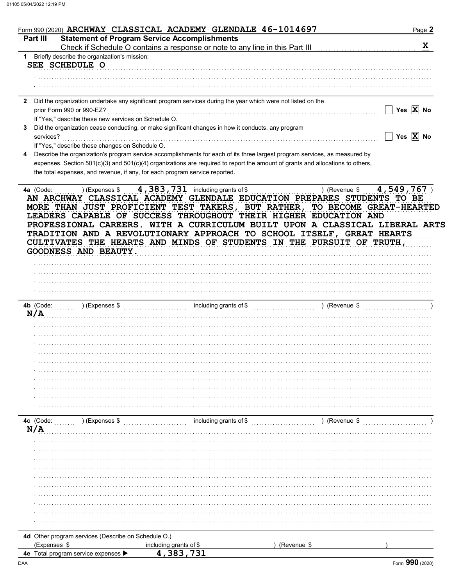|                                                                             | Form 990 (2020) $\rm{ARCHWAY}$ CLASSICAL ACADEMY GLENDALE $\rm{46-1014697}$                                                    |                                                                                                                                                                                                                                                                                                                                                                                                                                                                            | Page 2                                                  |
|-----------------------------------------------------------------------------|--------------------------------------------------------------------------------------------------------------------------------|----------------------------------------------------------------------------------------------------------------------------------------------------------------------------------------------------------------------------------------------------------------------------------------------------------------------------------------------------------------------------------------------------------------------------------------------------------------------------|---------------------------------------------------------|
| Part III                                                                    | <b>Statement of Program Service Accomplishments</b>                                                                            |                                                                                                                                                                                                                                                                                                                                                                                                                                                                            | $\vert \mathbf{X} \vert$                                |
| Briefly describe the organization's mission:<br>$\mathbf 1$                 |                                                                                                                                |                                                                                                                                                                                                                                                                                                                                                                                                                                                                            |                                                         |
| SEE SCHEDULE O                                                              |                                                                                                                                |                                                                                                                                                                                                                                                                                                                                                                                                                                                                            |                                                         |
|                                                                             |                                                                                                                                |                                                                                                                                                                                                                                                                                                                                                                                                                                                                            |                                                         |
|                                                                             |                                                                                                                                |                                                                                                                                                                                                                                                                                                                                                                                                                                                                            |                                                         |
|                                                                             |                                                                                                                                |                                                                                                                                                                                                                                                                                                                                                                                                                                                                            |                                                         |
| $\mathbf{2}$                                                                | Did the organization undertake any significant program services during the year which were not listed on the                   |                                                                                                                                                                                                                                                                                                                                                                                                                                                                            |                                                         |
| prior Form 990 or 990-EZ?                                                   |                                                                                                                                |                                                                                                                                                                                                                                                                                                                                                                                                                                                                            | Yes $\overline{X}$ No                                   |
| If "Yes," describe these new services on Schedule O.                        |                                                                                                                                |                                                                                                                                                                                                                                                                                                                                                                                                                                                                            |                                                         |
| 3                                                                           | Did the organization cease conducting, or make significant changes in how it conducts, any program                             |                                                                                                                                                                                                                                                                                                                                                                                                                                                                            |                                                         |
| services?                                                                   |                                                                                                                                |                                                                                                                                                                                                                                                                                                                                                                                                                                                                            | $\overline{\phantom{a}}$ Yes $\overline{\mathbf{X}}$ No |
| If "Yes," describe these changes on Schedule O.                             |                                                                                                                                |                                                                                                                                                                                                                                                                                                                                                                                                                                                                            |                                                         |
| 4                                                                           | Describe the organization's program service accomplishments for each of its three largest program services, as measured by     |                                                                                                                                                                                                                                                                                                                                                                                                                                                                            |                                                         |
| the total expenses, and revenue, if any, for each program service reported. | expenses. Section 501(c)(3) and 501(c)(4) organizations are required to report the amount of grants and allocations to others, |                                                                                                                                                                                                                                                                                                                                                                                                                                                                            |                                                         |
|                                                                             |                                                                                                                                |                                                                                                                                                                                                                                                                                                                                                                                                                                                                            |                                                         |
| 4a (Code:<br>) (Expenses \$<br>GOODNESS AND BEAUTY.                         | $4$ , $383$ , $731$ including grants of \$                                                                                     | ) (Revenue \$<br>AN ARCHWAY CLASSICAL ACADEMY GLENDALE EDUCATION PREPARES STUDENTS TO BE<br>MORE THAN JUST PROFICIENT TEST TAKERS, BUT RATHER, TO BECOME GREAT-HEARTED<br>LEADERS CAPABLE OF SUCCESS THROUGHOUT THEIR HIGHER EDUCATION AND<br>PROFESSIONAL CAREERS. WITH A CURRICULUM BUILT UPON A CLASSICAL LIBERAL ARTS<br>TRADITION AND A REVOLUTIONARY APPROACH TO SCHOOL ITSELF, GREAT HEARTS<br>CULTIVATES THE HEARTS AND MINDS OF STUDENTS IN THE PURSUIT OF TRUTH, | 4,549,767)                                              |
|                                                                             |                                                                                                                                |                                                                                                                                                                                                                                                                                                                                                                                                                                                                            |                                                         |
|                                                                             |                                                                                                                                |                                                                                                                                                                                                                                                                                                                                                                                                                                                                            |                                                         |
|                                                                             |                                                                                                                                |                                                                                                                                                                                                                                                                                                                                                                                                                                                                            |                                                         |
|                                                                             |                                                                                                                                |                                                                                                                                                                                                                                                                                                                                                                                                                                                                            |                                                         |
|                                                                             |                                                                                                                                |                                                                                                                                                                                                                                                                                                                                                                                                                                                                            |                                                         |
|                                                                             |                                                                                                                                |                                                                                                                                                                                                                                                                                                                                                                                                                                                                            |                                                         |
| N/A                                                                         |                                                                                                                                |                                                                                                                                                                                                                                                                                                                                                                                                                                                                            |                                                         |
|                                                                             |                                                                                                                                |                                                                                                                                                                                                                                                                                                                                                                                                                                                                            |                                                         |
|                                                                             |                                                                                                                                |                                                                                                                                                                                                                                                                                                                                                                                                                                                                            |                                                         |
|                                                                             |                                                                                                                                |                                                                                                                                                                                                                                                                                                                                                                                                                                                                            |                                                         |
|                                                                             |                                                                                                                                |                                                                                                                                                                                                                                                                                                                                                                                                                                                                            |                                                         |
|                                                                             |                                                                                                                                |                                                                                                                                                                                                                                                                                                                                                                                                                                                                            |                                                         |
|                                                                             |                                                                                                                                |                                                                                                                                                                                                                                                                                                                                                                                                                                                                            |                                                         |
|                                                                             |                                                                                                                                |                                                                                                                                                                                                                                                                                                                                                                                                                                                                            |                                                         |
|                                                                             |                                                                                                                                |                                                                                                                                                                                                                                                                                                                                                                                                                                                                            |                                                         |
|                                                                             |                                                                                                                                |                                                                                                                                                                                                                                                                                                                                                                                                                                                                            |                                                         |
|                                                                             |                                                                                                                                |                                                                                                                                                                                                                                                                                                                                                                                                                                                                            |                                                         |
| ) (Expenses \$<br>4c (Code:                                                 | including grants of \$                                                                                                         | ) (Revenue \$                                                                                                                                                                                                                                                                                                                                                                                                                                                              |                                                         |
| N/A                                                                         |                                                                                                                                |                                                                                                                                                                                                                                                                                                                                                                                                                                                                            |                                                         |
|                                                                             |                                                                                                                                |                                                                                                                                                                                                                                                                                                                                                                                                                                                                            |                                                         |
|                                                                             |                                                                                                                                |                                                                                                                                                                                                                                                                                                                                                                                                                                                                            |                                                         |
|                                                                             |                                                                                                                                |                                                                                                                                                                                                                                                                                                                                                                                                                                                                            |                                                         |
|                                                                             |                                                                                                                                |                                                                                                                                                                                                                                                                                                                                                                                                                                                                            |                                                         |
|                                                                             |                                                                                                                                |                                                                                                                                                                                                                                                                                                                                                                                                                                                                            |                                                         |
|                                                                             |                                                                                                                                |                                                                                                                                                                                                                                                                                                                                                                                                                                                                            |                                                         |
|                                                                             |                                                                                                                                |                                                                                                                                                                                                                                                                                                                                                                                                                                                                            |                                                         |
|                                                                             |                                                                                                                                |                                                                                                                                                                                                                                                                                                                                                                                                                                                                            |                                                         |
|                                                                             |                                                                                                                                |                                                                                                                                                                                                                                                                                                                                                                                                                                                                            |                                                         |
|                                                                             |                                                                                                                                |                                                                                                                                                                                                                                                                                                                                                                                                                                                                            |                                                         |
| 4d Other program services (Describe on Schedule O.)                         |                                                                                                                                |                                                                                                                                                                                                                                                                                                                                                                                                                                                                            |                                                         |
| (Expenses \$                                                                |                                                                                                                                | ) (Revenue \$                                                                                                                                                                                                                                                                                                                                                                                                                                                              |                                                         |
| 4e Total program service expenses >                                         | including grants of \$<br>4,383,731                                                                                            |                                                                                                                                                                                                                                                                                                                                                                                                                                                                            |                                                         |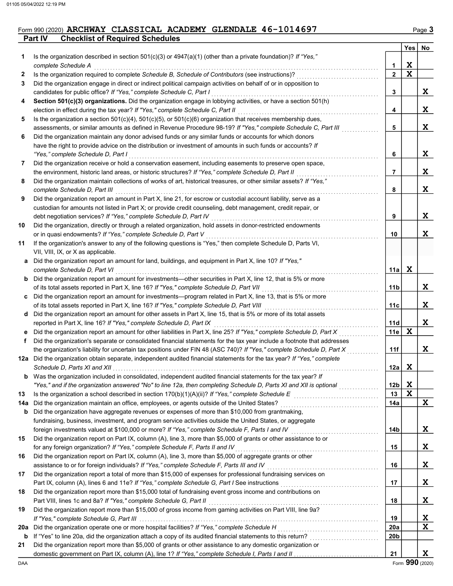### **Part IV** Checklist of Required Schedules Form 990 (2020) ARCHWAY CLASSICAL ACADEMY GLENDALE  $46-1014697$  Page 3

| Is the organization described in section $501(c)(3)$ or $4947(a)(1)$ (other than a private foundation)? If "Yes,"<br>1<br>X<br>complete Schedule A<br>1<br>$\mathbf x$<br>$\overline{2}$<br>Is the organization required to complete Schedule B, Schedule of Contributors (see instructions)?<br>2<br>3<br>Did the organization engage in direct or indirect political campaign activities on behalf of or in opposition to<br>X<br>candidates for public office? If "Yes," complete Schedule C, Part I<br>3<br>Section 501(c)(3) organizations. Did the organization engage in lobbying activities, or have a section 501(h)<br>4<br>X<br>election in effect during the tax year? If "Yes," complete Schedule C, Part II<br>4<br>Is the organization a section $501(c)(4)$ , $501(c)(5)$ , or $501(c)(6)$ organization that receives membership dues,<br>5<br>X<br>assessments, or similar amounts as defined in Revenue Procedure 98-19? If "Yes," complete Schedule C, Part III<br>5<br>Did the organization maintain any donor advised funds or any similar funds or accounts for which donors<br>6<br>have the right to provide advice on the distribution or investment of amounts in such funds or accounts? If<br>X<br>"Yes," complete Schedule D, Part I<br>6<br>Did the organization receive or hold a conservation easement, including easements to preserve open space,<br>7<br>X<br>the environment, historic land areas, or historic structures? If "Yes," complete Schedule D, Part II<br>7<br>Did the organization maintain collections of works of art, historical treasures, or other similar assets? If "Yes,"<br>8<br>X<br>8<br>complete Schedule D, Part III<br>Did the organization report an amount in Part X, line 21, for escrow or custodial account liability, serve as a<br>9<br>custodian for amounts not listed in Part X; or provide credit counseling, debt management, credit repair, or<br>X<br>debt negotiation services? If "Yes," complete Schedule D, Part IV<br>9<br>Did the organization, directly or through a related organization, hold assets in donor-restricted endowments<br>10<br>X<br>or in quasi endowments? If "Yes," complete Schedule D, Part V<br>10<br>If the organization's answer to any of the following questions is "Yes," then complete Schedule D, Parts VI,<br>11<br>VII, VIII, IX, or X as applicable.<br>Did the organization report an amount for land, buildings, and equipment in Part X, line 10? If "Yes,"<br>a<br>$\mathbf x$<br>complete Schedule D, Part VI<br>11a<br><b>b</b> Did the organization report an amount for investments—other securities in Part X, line 12, that is 5% or more<br>X<br>of its total assets reported in Part X, line 16? If "Yes," complete Schedule D, Part VII<br>11b<br>Did the organization report an amount for investments—program related in Part X, line 13, that is 5% or more<br>c<br>X<br>of its total assets reported in Part X, line 16? If "Yes," complete Schedule D, Part VIII<br>11c<br>Did the organization report an amount for other assets in Part X, line 15, that is 5% or more of its total assets<br>d<br>X<br>reported in Part X, line 16? If "Yes," complete Schedule D, Part IX<br>11d<br>$\mathbf x$<br>11e<br>Did the organization report an amount for other liabilities in Part X, line 25? If "Yes," complete Schedule D, Part X<br>е<br>Did the organization's separate or consolidated financial statements for the tax year include a footnote that addresses<br>f<br>X<br>the organization's liability for uncertain tax positions under FIN 48 (ASC 740)? If "Yes," complete Schedule D, Part X<br>11f<br>12a Did the organization obtain separate, independent audited financial statements for the tax year? If "Yes," complete<br>X<br>12a<br>Schedule D, Parts XI and XII<br>Was the organization included in consolidated, independent audited financial statements for the tax year? If<br>X<br>12 <sub>b</sub><br>"Yes," and if the organization answered "No" to line 12a, then completing Schedule D, Parts XI and XII is optional<br>$\mathbf x$<br>13<br>13<br>Is the organization a school described in section $170(b)(1)(A)(ii)?$ If "Yes," complete Schedule E<br>X<br>Did the organization maintain an office, employees, or agents outside of the United States?<br>14a<br>14a<br>Did the organization have aggregate revenues or expenses of more than \$10,000 from grantmaking,<br>b<br>fundraising, business, investment, and program service activities outside the United States, or aggregate<br>X<br>foreign investments valued at \$100,000 or more? If "Yes," complete Schedule F, Parts I and IV<br>14b<br>Did the organization report on Part IX, column (A), line 3, more than \$5,000 of grants or other assistance to or<br>15<br>X<br>for any foreign organization? If "Yes," complete Schedule F, Parts II and IV<br>15<br>Did the organization report on Part IX, column (A), line 3, more than \$5,000 of aggregate grants or other<br>16<br>X<br>16<br>assistance to or for foreign individuals? If "Yes," complete Schedule F, Parts III and IV<br>Did the organization report a total of more than \$15,000 of expenses for professional fundraising services on<br>17<br>X<br>17<br>Part IX, column (A), lines 6 and 11e? If "Yes," complete Schedule G, Part I See instructions<br>Did the organization report more than \$15,000 total of fundraising event gross income and contributions on<br>18<br>X<br>Part VIII, lines 1c and 8a? If "Yes," complete Schedule G, Part II<br>18<br>Did the organization report more than \$15,000 of gross income from gaming activities on Part VIII, line 9a?<br>19<br>X<br>19<br>X<br>Did the organization operate one or more hospital facilities? If "Yes," complete Schedule H<br>20a<br>20a<br>If "Yes" to line 20a, did the organization attach a copy of its audited financial statements to this return?<br>20 <sub>b</sub><br>b<br>Did the organization report more than \$5,000 of grants or other assistance to any domestic organization or<br>21 |  |    | Yes   No |
|--------------------------------------------------------------------------------------------------------------------------------------------------------------------------------------------------------------------------------------------------------------------------------------------------------------------------------------------------------------------------------------------------------------------------------------------------------------------------------------------------------------------------------------------------------------------------------------------------------------------------------------------------------------------------------------------------------------------------------------------------------------------------------------------------------------------------------------------------------------------------------------------------------------------------------------------------------------------------------------------------------------------------------------------------------------------------------------------------------------------------------------------------------------------------------------------------------------------------------------------------------------------------------------------------------------------------------------------------------------------------------------------------------------------------------------------------------------------------------------------------------------------------------------------------------------------------------------------------------------------------------------------------------------------------------------------------------------------------------------------------------------------------------------------------------------------------------------------------------------------------------------------------------------------------------------------------------------------------------------------------------------------------------------------------------------------------------------------------------------------------------------------------------------------------------------------------------------------------------------------------------------------------------------------------------------------------------------------------------------------------------------------------------------------------------------------------------------------------------------------------------------------------------------------------------------------------------------------------------------------------------------------------------------------------------------------------------------------------------------------------------------------------------------------------------------------------------------------------------------------------------------------------------------------------------------------------------------------------------------------------------------------------------------------------------------------------------------------------------------------------------------------------------------------------------------------------------------------------------------------------------------------------------------------------------------------------------------------------------------------------------------------------------------------------------------------------------------------------------------------------------------------------------------------------------------------------------------------------------------------------------------------------------------------------------------------------------------------------------------------------------------------------------------------------------------------------------------------------------------------------------------------------------------------------------------------------------------------------------------------------------------------------------------------------------------------------------------------------------------------------------------------------------------------------------------------------------------------------------------------------------------------------------------------------------------------------------------------------------------------------------------------------------------------------------------------------------------------------------------------------------------------------------------------------------------------------------------------------------------------------------------------------------------------------------------------------------------------------------------------------------------------------------------------------------------------------------------------------------------------------------------------------------------------------------------------------------------------------------------------------------------------------------------------------------------------------------------------------------------------------------------------------------------------------------------------------------------------------------------------------------------------------------------------------------------------------------------------------------------------------------------------------------------------------------------------------------------------------------------------------------------------------------------------------------------------------------------------------------------------------------------------------------------------------------------------------------------------------------------------------------------------------------------------------------------------------------------------------------------------------------------------------------------------------------------------------------------------------------------------------------------------------------------------------------------------------------------------|--|----|----------|
|                                                                                                                                                                                                                                                                                                                                                                                                                                                                                                                                                                                                                                                                                                                                                                                                                                                                                                                                                                                                                                                                                                                                                                                                                                                                                                                                                                                                                                                                                                                                                                                                                                                                                                                                                                                                                                                                                                                                                                                                                                                                                                                                                                                                                                                                                                                                                                                                                                                                                                                                                                                                                                                                                                                                                                                                                                                                                                                                                                                                                                                                                                                                                                                                                                                                                                                                                                                                                                                                                                                                                                                                                                                                                                                                                                                                                                                                                                                                                                                                                                                                                                                                                                                                                                                                                                                                                                                                                                                                                                                                                                                                                                                                                                                                                                                                                                                                                                                                                                                                                                                                                                                                                                                                                                                                                                                                                                                                                                                                                                                                                                                                                                                                                                                                                                                                                                                                                                                                                                                                                                                                                            |  |    |          |
|                                                                                                                                                                                                                                                                                                                                                                                                                                                                                                                                                                                                                                                                                                                                                                                                                                                                                                                                                                                                                                                                                                                                                                                                                                                                                                                                                                                                                                                                                                                                                                                                                                                                                                                                                                                                                                                                                                                                                                                                                                                                                                                                                                                                                                                                                                                                                                                                                                                                                                                                                                                                                                                                                                                                                                                                                                                                                                                                                                                                                                                                                                                                                                                                                                                                                                                                                                                                                                                                                                                                                                                                                                                                                                                                                                                                                                                                                                                                                                                                                                                                                                                                                                                                                                                                                                                                                                                                                                                                                                                                                                                                                                                                                                                                                                                                                                                                                                                                                                                                                                                                                                                                                                                                                                                                                                                                                                                                                                                                                                                                                                                                                                                                                                                                                                                                                                                                                                                                                                                                                                                                                            |  |    |          |
|                                                                                                                                                                                                                                                                                                                                                                                                                                                                                                                                                                                                                                                                                                                                                                                                                                                                                                                                                                                                                                                                                                                                                                                                                                                                                                                                                                                                                                                                                                                                                                                                                                                                                                                                                                                                                                                                                                                                                                                                                                                                                                                                                                                                                                                                                                                                                                                                                                                                                                                                                                                                                                                                                                                                                                                                                                                                                                                                                                                                                                                                                                                                                                                                                                                                                                                                                                                                                                                                                                                                                                                                                                                                                                                                                                                                                                                                                                                                                                                                                                                                                                                                                                                                                                                                                                                                                                                                                                                                                                                                                                                                                                                                                                                                                                                                                                                                                                                                                                                                                                                                                                                                                                                                                                                                                                                                                                                                                                                                                                                                                                                                                                                                                                                                                                                                                                                                                                                                                                                                                                                                                            |  |    |          |
|                                                                                                                                                                                                                                                                                                                                                                                                                                                                                                                                                                                                                                                                                                                                                                                                                                                                                                                                                                                                                                                                                                                                                                                                                                                                                                                                                                                                                                                                                                                                                                                                                                                                                                                                                                                                                                                                                                                                                                                                                                                                                                                                                                                                                                                                                                                                                                                                                                                                                                                                                                                                                                                                                                                                                                                                                                                                                                                                                                                                                                                                                                                                                                                                                                                                                                                                                                                                                                                                                                                                                                                                                                                                                                                                                                                                                                                                                                                                                                                                                                                                                                                                                                                                                                                                                                                                                                                                                                                                                                                                                                                                                                                                                                                                                                                                                                                                                                                                                                                                                                                                                                                                                                                                                                                                                                                                                                                                                                                                                                                                                                                                                                                                                                                                                                                                                                                                                                                                                                                                                                                                                            |  |    |          |
|                                                                                                                                                                                                                                                                                                                                                                                                                                                                                                                                                                                                                                                                                                                                                                                                                                                                                                                                                                                                                                                                                                                                                                                                                                                                                                                                                                                                                                                                                                                                                                                                                                                                                                                                                                                                                                                                                                                                                                                                                                                                                                                                                                                                                                                                                                                                                                                                                                                                                                                                                                                                                                                                                                                                                                                                                                                                                                                                                                                                                                                                                                                                                                                                                                                                                                                                                                                                                                                                                                                                                                                                                                                                                                                                                                                                                                                                                                                                                                                                                                                                                                                                                                                                                                                                                                                                                                                                                                                                                                                                                                                                                                                                                                                                                                                                                                                                                                                                                                                                                                                                                                                                                                                                                                                                                                                                                                                                                                                                                                                                                                                                                                                                                                                                                                                                                                                                                                                                                                                                                                                                                            |  |    |          |
|                                                                                                                                                                                                                                                                                                                                                                                                                                                                                                                                                                                                                                                                                                                                                                                                                                                                                                                                                                                                                                                                                                                                                                                                                                                                                                                                                                                                                                                                                                                                                                                                                                                                                                                                                                                                                                                                                                                                                                                                                                                                                                                                                                                                                                                                                                                                                                                                                                                                                                                                                                                                                                                                                                                                                                                                                                                                                                                                                                                                                                                                                                                                                                                                                                                                                                                                                                                                                                                                                                                                                                                                                                                                                                                                                                                                                                                                                                                                                                                                                                                                                                                                                                                                                                                                                                                                                                                                                                                                                                                                                                                                                                                                                                                                                                                                                                                                                                                                                                                                                                                                                                                                                                                                                                                                                                                                                                                                                                                                                                                                                                                                                                                                                                                                                                                                                                                                                                                                                                                                                                                                                            |  |    |          |
|                                                                                                                                                                                                                                                                                                                                                                                                                                                                                                                                                                                                                                                                                                                                                                                                                                                                                                                                                                                                                                                                                                                                                                                                                                                                                                                                                                                                                                                                                                                                                                                                                                                                                                                                                                                                                                                                                                                                                                                                                                                                                                                                                                                                                                                                                                                                                                                                                                                                                                                                                                                                                                                                                                                                                                                                                                                                                                                                                                                                                                                                                                                                                                                                                                                                                                                                                                                                                                                                                                                                                                                                                                                                                                                                                                                                                                                                                                                                                                                                                                                                                                                                                                                                                                                                                                                                                                                                                                                                                                                                                                                                                                                                                                                                                                                                                                                                                                                                                                                                                                                                                                                                                                                                                                                                                                                                                                                                                                                                                                                                                                                                                                                                                                                                                                                                                                                                                                                                                                                                                                                                                            |  |    |          |
|                                                                                                                                                                                                                                                                                                                                                                                                                                                                                                                                                                                                                                                                                                                                                                                                                                                                                                                                                                                                                                                                                                                                                                                                                                                                                                                                                                                                                                                                                                                                                                                                                                                                                                                                                                                                                                                                                                                                                                                                                                                                                                                                                                                                                                                                                                                                                                                                                                                                                                                                                                                                                                                                                                                                                                                                                                                                                                                                                                                                                                                                                                                                                                                                                                                                                                                                                                                                                                                                                                                                                                                                                                                                                                                                                                                                                                                                                                                                                                                                                                                                                                                                                                                                                                                                                                                                                                                                                                                                                                                                                                                                                                                                                                                                                                                                                                                                                                                                                                                                                                                                                                                                                                                                                                                                                                                                                                                                                                                                                                                                                                                                                                                                                                                                                                                                                                                                                                                                                                                                                                                                                            |  |    |          |
|                                                                                                                                                                                                                                                                                                                                                                                                                                                                                                                                                                                                                                                                                                                                                                                                                                                                                                                                                                                                                                                                                                                                                                                                                                                                                                                                                                                                                                                                                                                                                                                                                                                                                                                                                                                                                                                                                                                                                                                                                                                                                                                                                                                                                                                                                                                                                                                                                                                                                                                                                                                                                                                                                                                                                                                                                                                                                                                                                                                                                                                                                                                                                                                                                                                                                                                                                                                                                                                                                                                                                                                                                                                                                                                                                                                                                                                                                                                                                                                                                                                                                                                                                                                                                                                                                                                                                                                                                                                                                                                                                                                                                                                                                                                                                                                                                                                                                                                                                                                                                                                                                                                                                                                                                                                                                                                                                                                                                                                                                                                                                                                                                                                                                                                                                                                                                                                                                                                                                                                                                                                                                            |  |    |          |
|                                                                                                                                                                                                                                                                                                                                                                                                                                                                                                                                                                                                                                                                                                                                                                                                                                                                                                                                                                                                                                                                                                                                                                                                                                                                                                                                                                                                                                                                                                                                                                                                                                                                                                                                                                                                                                                                                                                                                                                                                                                                                                                                                                                                                                                                                                                                                                                                                                                                                                                                                                                                                                                                                                                                                                                                                                                                                                                                                                                                                                                                                                                                                                                                                                                                                                                                                                                                                                                                                                                                                                                                                                                                                                                                                                                                                                                                                                                                                                                                                                                                                                                                                                                                                                                                                                                                                                                                                                                                                                                                                                                                                                                                                                                                                                                                                                                                                                                                                                                                                                                                                                                                                                                                                                                                                                                                                                                                                                                                                                                                                                                                                                                                                                                                                                                                                                                                                                                                                                                                                                                                                            |  |    |          |
|                                                                                                                                                                                                                                                                                                                                                                                                                                                                                                                                                                                                                                                                                                                                                                                                                                                                                                                                                                                                                                                                                                                                                                                                                                                                                                                                                                                                                                                                                                                                                                                                                                                                                                                                                                                                                                                                                                                                                                                                                                                                                                                                                                                                                                                                                                                                                                                                                                                                                                                                                                                                                                                                                                                                                                                                                                                                                                                                                                                                                                                                                                                                                                                                                                                                                                                                                                                                                                                                                                                                                                                                                                                                                                                                                                                                                                                                                                                                                                                                                                                                                                                                                                                                                                                                                                                                                                                                                                                                                                                                                                                                                                                                                                                                                                                                                                                                                                                                                                                                                                                                                                                                                                                                                                                                                                                                                                                                                                                                                                                                                                                                                                                                                                                                                                                                                                                                                                                                                                                                                                                                                            |  |    |          |
|                                                                                                                                                                                                                                                                                                                                                                                                                                                                                                                                                                                                                                                                                                                                                                                                                                                                                                                                                                                                                                                                                                                                                                                                                                                                                                                                                                                                                                                                                                                                                                                                                                                                                                                                                                                                                                                                                                                                                                                                                                                                                                                                                                                                                                                                                                                                                                                                                                                                                                                                                                                                                                                                                                                                                                                                                                                                                                                                                                                                                                                                                                                                                                                                                                                                                                                                                                                                                                                                                                                                                                                                                                                                                                                                                                                                                                                                                                                                                                                                                                                                                                                                                                                                                                                                                                                                                                                                                                                                                                                                                                                                                                                                                                                                                                                                                                                                                                                                                                                                                                                                                                                                                                                                                                                                                                                                                                                                                                                                                                                                                                                                                                                                                                                                                                                                                                                                                                                                                                                                                                                                                            |  |    |          |
|                                                                                                                                                                                                                                                                                                                                                                                                                                                                                                                                                                                                                                                                                                                                                                                                                                                                                                                                                                                                                                                                                                                                                                                                                                                                                                                                                                                                                                                                                                                                                                                                                                                                                                                                                                                                                                                                                                                                                                                                                                                                                                                                                                                                                                                                                                                                                                                                                                                                                                                                                                                                                                                                                                                                                                                                                                                                                                                                                                                                                                                                                                                                                                                                                                                                                                                                                                                                                                                                                                                                                                                                                                                                                                                                                                                                                                                                                                                                                                                                                                                                                                                                                                                                                                                                                                                                                                                                                                                                                                                                                                                                                                                                                                                                                                                                                                                                                                                                                                                                                                                                                                                                                                                                                                                                                                                                                                                                                                                                                                                                                                                                                                                                                                                                                                                                                                                                                                                                                                                                                                                                                            |  |    |          |
|                                                                                                                                                                                                                                                                                                                                                                                                                                                                                                                                                                                                                                                                                                                                                                                                                                                                                                                                                                                                                                                                                                                                                                                                                                                                                                                                                                                                                                                                                                                                                                                                                                                                                                                                                                                                                                                                                                                                                                                                                                                                                                                                                                                                                                                                                                                                                                                                                                                                                                                                                                                                                                                                                                                                                                                                                                                                                                                                                                                                                                                                                                                                                                                                                                                                                                                                                                                                                                                                                                                                                                                                                                                                                                                                                                                                                                                                                                                                                                                                                                                                                                                                                                                                                                                                                                                                                                                                                                                                                                                                                                                                                                                                                                                                                                                                                                                                                                                                                                                                                                                                                                                                                                                                                                                                                                                                                                                                                                                                                                                                                                                                                                                                                                                                                                                                                                                                                                                                                                                                                                                                                            |  |    |          |
|                                                                                                                                                                                                                                                                                                                                                                                                                                                                                                                                                                                                                                                                                                                                                                                                                                                                                                                                                                                                                                                                                                                                                                                                                                                                                                                                                                                                                                                                                                                                                                                                                                                                                                                                                                                                                                                                                                                                                                                                                                                                                                                                                                                                                                                                                                                                                                                                                                                                                                                                                                                                                                                                                                                                                                                                                                                                                                                                                                                                                                                                                                                                                                                                                                                                                                                                                                                                                                                                                                                                                                                                                                                                                                                                                                                                                                                                                                                                                                                                                                                                                                                                                                                                                                                                                                                                                                                                                                                                                                                                                                                                                                                                                                                                                                                                                                                                                                                                                                                                                                                                                                                                                                                                                                                                                                                                                                                                                                                                                                                                                                                                                                                                                                                                                                                                                                                                                                                                                                                                                                                                                            |  |    |          |
|                                                                                                                                                                                                                                                                                                                                                                                                                                                                                                                                                                                                                                                                                                                                                                                                                                                                                                                                                                                                                                                                                                                                                                                                                                                                                                                                                                                                                                                                                                                                                                                                                                                                                                                                                                                                                                                                                                                                                                                                                                                                                                                                                                                                                                                                                                                                                                                                                                                                                                                                                                                                                                                                                                                                                                                                                                                                                                                                                                                                                                                                                                                                                                                                                                                                                                                                                                                                                                                                                                                                                                                                                                                                                                                                                                                                                                                                                                                                                                                                                                                                                                                                                                                                                                                                                                                                                                                                                                                                                                                                                                                                                                                                                                                                                                                                                                                                                                                                                                                                                                                                                                                                                                                                                                                                                                                                                                                                                                                                                                                                                                                                                                                                                                                                                                                                                                                                                                                                                                                                                                                                                            |  |    |          |
|                                                                                                                                                                                                                                                                                                                                                                                                                                                                                                                                                                                                                                                                                                                                                                                                                                                                                                                                                                                                                                                                                                                                                                                                                                                                                                                                                                                                                                                                                                                                                                                                                                                                                                                                                                                                                                                                                                                                                                                                                                                                                                                                                                                                                                                                                                                                                                                                                                                                                                                                                                                                                                                                                                                                                                                                                                                                                                                                                                                                                                                                                                                                                                                                                                                                                                                                                                                                                                                                                                                                                                                                                                                                                                                                                                                                                                                                                                                                                                                                                                                                                                                                                                                                                                                                                                                                                                                                                                                                                                                                                                                                                                                                                                                                                                                                                                                                                                                                                                                                                                                                                                                                                                                                                                                                                                                                                                                                                                                                                                                                                                                                                                                                                                                                                                                                                                                                                                                                                                                                                                                                                            |  |    |          |
|                                                                                                                                                                                                                                                                                                                                                                                                                                                                                                                                                                                                                                                                                                                                                                                                                                                                                                                                                                                                                                                                                                                                                                                                                                                                                                                                                                                                                                                                                                                                                                                                                                                                                                                                                                                                                                                                                                                                                                                                                                                                                                                                                                                                                                                                                                                                                                                                                                                                                                                                                                                                                                                                                                                                                                                                                                                                                                                                                                                                                                                                                                                                                                                                                                                                                                                                                                                                                                                                                                                                                                                                                                                                                                                                                                                                                                                                                                                                                                                                                                                                                                                                                                                                                                                                                                                                                                                                                                                                                                                                                                                                                                                                                                                                                                                                                                                                                                                                                                                                                                                                                                                                                                                                                                                                                                                                                                                                                                                                                                                                                                                                                                                                                                                                                                                                                                                                                                                                                                                                                                                                                            |  |    |          |
|                                                                                                                                                                                                                                                                                                                                                                                                                                                                                                                                                                                                                                                                                                                                                                                                                                                                                                                                                                                                                                                                                                                                                                                                                                                                                                                                                                                                                                                                                                                                                                                                                                                                                                                                                                                                                                                                                                                                                                                                                                                                                                                                                                                                                                                                                                                                                                                                                                                                                                                                                                                                                                                                                                                                                                                                                                                                                                                                                                                                                                                                                                                                                                                                                                                                                                                                                                                                                                                                                                                                                                                                                                                                                                                                                                                                                                                                                                                                                                                                                                                                                                                                                                                                                                                                                                                                                                                                                                                                                                                                                                                                                                                                                                                                                                                                                                                                                                                                                                                                                                                                                                                                                                                                                                                                                                                                                                                                                                                                                                                                                                                                                                                                                                                                                                                                                                                                                                                                                                                                                                                                                            |  |    |          |
|                                                                                                                                                                                                                                                                                                                                                                                                                                                                                                                                                                                                                                                                                                                                                                                                                                                                                                                                                                                                                                                                                                                                                                                                                                                                                                                                                                                                                                                                                                                                                                                                                                                                                                                                                                                                                                                                                                                                                                                                                                                                                                                                                                                                                                                                                                                                                                                                                                                                                                                                                                                                                                                                                                                                                                                                                                                                                                                                                                                                                                                                                                                                                                                                                                                                                                                                                                                                                                                                                                                                                                                                                                                                                                                                                                                                                                                                                                                                                                                                                                                                                                                                                                                                                                                                                                                                                                                                                                                                                                                                                                                                                                                                                                                                                                                                                                                                                                                                                                                                                                                                                                                                                                                                                                                                                                                                                                                                                                                                                                                                                                                                                                                                                                                                                                                                                                                                                                                                                                                                                                                                                            |  |    |          |
|                                                                                                                                                                                                                                                                                                                                                                                                                                                                                                                                                                                                                                                                                                                                                                                                                                                                                                                                                                                                                                                                                                                                                                                                                                                                                                                                                                                                                                                                                                                                                                                                                                                                                                                                                                                                                                                                                                                                                                                                                                                                                                                                                                                                                                                                                                                                                                                                                                                                                                                                                                                                                                                                                                                                                                                                                                                                                                                                                                                                                                                                                                                                                                                                                                                                                                                                                                                                                                                                                                                                                                                                                                                                                                                                                                                                                                                                                                                                                                                                                                                                                                                                                                                                                                                                                                                                                                                                                                                                                                                                                                                                                                                                                                                                                                                                                                                                                                                                                                                                                                                                                                                                                                                                                                                                                                                                                                                                                                                                                                                                                                                                                                                                                                                                                                                                                                                                                                                                                                                                                                                                                            |  |    |          |
|                                                                                                                                                                                                                                                                                                                                                                                                                                                                                                                                                                                                                                                                                                                                                                                                                                                                                                                                                                                                                                                                                                                                                                                                                                                                                                                                                                                                                                                                                                                                                                                                                                                                                                                                                                                                                                                                                                                                                                                                                                                                                                                                                                                                                                                                                                                                                                                                                                                                                                                                                                                                                                                                                                                                                                                                                                                                                                                                                                                                                                                                                                                                                                                                                                                                                                                                                                                                                                                                                                                                                                                                                                                                                                                                                                                                                                                                                                                                                                                                                                                                                                                                                                                                                                                                                                                                                                                                                                                                                                                                                                                                                                                                                                                                                                                                                                                                                                                                                                                                                                                                                                                                                                                                                                                                                                                                                                                                                                                                                                                                                                                                                                                                                                                                                                                                                                                                                                                                                                                                                                                                                            |  |    |          |
|                                                                                                                                                                                                                                                                                                                                                                                                                                                                                                                                                                                                                                                                                                                                                                                                                                                                                                                                                                                                                                                                                                                                                                                                                                                                                                                                                                                                                                                                                                                                                                                                                                                                                                                                                                                                                                                                                                                                                                                                                                                                                                                                                                                                                                                                                                                                                                                                                                                                                                                                                                                                                                                                                                                                                                                                                                                                                                                                                                                                                                                                                                                                                                                                                                                                                                                                                                                                                                                                                                                                                                                                                                                                                                                                                                                                                                                                                                                                                                                                                                                                                                                                                                                                                                                                                                                                                                                                                                                                                                                                                                                                                                                                                                                                                                                                                                                                                                                                                                                                                                                                                                                                                                                                                                                                                                                                                                                                                                                                                                                                                                                                                                                                                                                                                                                                                                                                                                                                                                                                                                                                                            |  |    |          |
|                                                                                                                                                                                                                                                                                                                                                                                                                                                                                                                                                                                                                                                                                                                                                                                                                                                                                                                                                                                                                                                                                                                                                                                                                                                                                                                                                                                                                                                                                                                                                                                                                                                                                                                                                                                                                                                                                                                                                                                                                                                                                                                                                                                                                                                                                                                                                                                                                                                                                                                                                                                                                                                                                                                                                                                                                                                                                                                                                                                                                                                                                                                                                                                                                                                                                                                                                                                                                                                                                                                                                                                                                                                                                                                                                                                                                                                                                                                                                                                                                                                                                                                                                                                                                                                                                                                                                                                                                                                                                                                                                                                                                                                                                                                                                                                                                                                                                                                                                                                                                                                                                                                                                                                                                                                                                                                                                                                                                                                                                                                                                                                                                                                                                                                                                                                                                                                                                                                                                                                                                                                                                            |  |    |          |
|                                                                                                                                                                                                                                                                                                                                                                                                                                                                                                                                                                                                                                                                                                                                                                                                                                                                                                                                                                                                                                                                                                                                                                                                                                                                                                                                                                                                                                                                                                                                                                                                                                                                                                                                                                                                                                                                                                                                                                                                                                                                                                                                                                                                                                                                                                                                                                                                                                                                                                                                                                                                                                                                                                                                                                                                                                                                                                                                                                                                                                                                                                                                                                                                                                                                                                                                                                                                                                                                                                                                                                                                                                                                                                                                                                                                                                                                                                                                                                                                                                                                                                                                                                                                                                                                                                                                                                                                                                                                                                                                                                                                                                                                                                                                                                                                                                                                                                                                                                                                                                                                                                                                                                                                                                                                                                                                                                                                                                                                                                                                                                                                                                                                                                                                                                                                                                                                                                                                                                                                                                                                                            |  |    |          |
|                                                                                                                                                                                                                                                                                                                                                                                                                                                                                                                                                                                                                                                                                                                                                                                                                                                                                                                                                                                                                                                                                                                                                                                                                                                                                                                                                                                                                                                                                                                                                                                                                                                                                                                                                                                                                                                                                                                                                                                                                                                                                                                                                                                                                                                                                                                                                                                                                                                                                                                                                                                                                                                                                                                                                                                                                                                                                                                                                                                                                                                                                                                                                                                                                                                                                                                                                                                                                                                                                                                                                                                                                                                                                                                                                                                                                                                                                                                                                                                                                                                                                                                                                                                                                                                                                                                                                                                                                                                                                                                                                                                                                                                                                                                                                                                                                                                                                                                                                                                                                                                                                                                                                                                                                                                                                                                                                                                                                                                                                                                                                                                                                                                                                                                                                                                                                                                                                                                                                                                                                                                                                            |  |    |          |
|                                                                                                                                                                                                                                                                                                                                                                                                                                                                                                                                                                                                                                                                                                                                                                                                                                                                                                                                                                                                                                                                                                                                                                                                                                                                                                                                                                                                                                                                                                                                                                                                                                                                                                                                                                                                                                                                                                                                                                                                                                                                                                                                                                                                                                                                                                                                                                                                                                                                                                                                                                                                                                                                                                                                                                                                                                                                                                                                                                                                                                                                                                                                                                                                                                                                                                                                                                                                                                                                                                                                                                                                                                                                                                                                                                                                                                                                                                                                                                                                                                                                                                                                                                                                                                                                                                                                                                                                                                                                                                                                                                                                                                                                                                                                                                                                                                                                                                                                                                                                                                                                                                                                                                                                                                                                                                                                                                                                                                                                                                                                                                                                                                                                                                                                                                                                                                                                                                                                                                                                                                                                                            |  |    |          |
|                                                                                                                                                                                                                                                                                                                                                                                                                                                                                                                                                                                                                                                                                                                                                                                                                                                                                                                                                                                                                                                                                                                                                                                                                                                                                                                                                                                                                                                                                                                                                                                                                                                                                                                                                                                                                                                                                                                                                                                                                                                                                                                                                                                                                                                                                                                                                                                                                                                                                                                                                                                                                                                                                                                                                                                                                                                                                                                                                                                                                                                                                                                                                                                                                                                                                                                                                                                                                                                                                                                                                                                                                                                                                                                                                                                                                                                                                                                                                                                                                                                                                                                                                                                                                                                                                                                                                                                                                                                                                                                                                                                                                                                                                                                                                                                                                                                                                                                                                                                                                                                                                                                                                                                                                                                                                                                                                                                                                                                                                                                                                                                                                                                                                                                                                                                                                                                                                                                                                                                                                                                                                            |  |    |          |
|                                                                                                                                                                                                                                                                                                                                                                                                                                                                                                                                                                                                                                                                                                                                                                                                                                                                                                                                                                                                                                                                                                                                                                                                                                                                                                                                                                                                                                                                                                                                                                                                                                                                                                                                                                                                                                                                                                                                                                                                                                                                                                                                                                                                                                                                                                                                                                                                                                                                                                                                                                                                                                                                                                                                                                                                                                                                                                                                                                                                                                                                                                                                                                                                                                                                                                                                                                                                                                                                                                                                                                                                                                                                                                                                                                                                                                                                                                                                                                                                                                                                                                                                                                                                                                                                                                                                                                                                                                                                                                                                                                                                                                                                                                                                                                                                                                                                                                                                                                                                                                                                                                                                                                                                                                                                                                                                                                                                                                                                                                                                                                                                                                                                                                                                                                                                                                                                                                                                                                                                                                                                                            |  |    |          |
|                                                                                                                                                                                                                                                                                                                                                                                                                                                                                                                                                                                                                                                                                                                                                                                                                                                                                                                                                                                                                                                                                                                                                                                                                                                                                                                                                                                                                                                                                                                                                                                                                                                                                                                                                                                                                                                                                                                                                                                                                                                                                                                                                                                                                                                                                                                                                                                                                                                                                                                                                                                                                                                                                                                                                                                                                                                                                                                                                                                                                                                                                                                                                                                                                                                                                                                                                                                                                                                                                                                                                                                                                                                                                                                                                                                                                                                                                                                                                                                                                                                                                                                                                                                                                                                                                                                                                                                                                                                                                                                                                                                                                                                                                                                                                                                                                                                                                                                                                                                                                                                                                                                                                                                                                                                                                                                                                                                                                                                                                                                                                                                                                                                                                                                                                                                                                                                                                                                                                                                                                                                                                            |  |    |          |
|                                                                                                                                                                                                                                                                                                                                                                                                                                                                                                                                                                                                                                                                                                                                                                                                                                                                                                                                                                                                                                                                                                                                                                                                                                                                                                                                                                                                                                                                                                                                                                                                                                                                                                                                                                                                                                                                                                                                                                                                                                                                                                                                                                                                                                                                                                                                                                                                                                                                                                                                                                                                                                                                                                                                                                                                                                                                                                                                                                                                                                                                                                                                                                                                                                                                                                                                                                                                                                                                                                                                                                                                                                                                                                                                                                                                                                                                                                                                                                                                                                                                                                                                                                                                                                                                                                                                                                                                                                                                                                                                                                                                                                                                                                                                                                                                                                                                                                                                                                                                                                                                                                                                                                                                                                                                                                                                                                                                                                                                                                                                                                                                                                                                                                                                                                                                                                                                                                                                                                                                                                                                                            |  |    |          |
|                                                                                                                                                                                                                                                                                                                                                                                                                                                                                                                                                                                                                                                                                                                                                                                                                                                                                                                                                                                                                                                                                                                                                                                                                                                                                                                                                                                                                                                                                                                                                                                                                                                                                                                                                                                                                                                                                                                                                                                                                                                                                                                                                                                                                                                                                                                                                                                                                                                                                                                                                                                                                                                                                                                                                                                                                                                                                                                                                                                                                                                                                                                                                                                                                                                                                                                                                                                                                                                                                                                                                                                                                                                                                                                                                                                                                                                                                                                                                                                                                                                                                                                                                                                                                                                                                                                                                                                                                                                                                                                                                                                                                                                                                                                                                                                                                                                                                                                                                                                                                                                                                                                                                                                                                                                                                                                                                                                                                                                                                                                                                                                                                                                                                                                                                                                                                                                                                                                                                                                                                                                                                            |  |    |          |
|                                                                                                                                                                                                                                                                                                                                                                                                                                                                                                                                                                                                                                                                                                                                                                                                                                                                                                                                                                                                                                                                                                                                                                                                                                                                                                                                                                                                                                                                                                                                                                                                                                                                                                                                                                                                                                                                                                                                                                                                                                                                                                                                                                                                                                                                                                                                                                                                                                                                                                                                                                                                                                                                                                                                                                                                                                                                                                                                                                                                                                                                                                                                                                                                                                                                                                                                                                                                                                                                                                                                                                                                                                                                                                                                                                                                                                                                                                                                                                                                                                                                                                                                                                                                                                                                                                                                                                                                                                                                                                                                                                                                                                                                                                                                                                                                                                                                                                                                                                                                                                                                                                                                                                                                                                                                                                                                                                                                                                                                                                                                                                                                                                                                                                                                                                                                                                                                                                                                                                                                                                                                                            |  |    |          |
|                                                                                                                                                                                                                                                                                                                                                                                                                                                                                                                                                                                                                                                                                                                                                                                                                                                                                                                                                                                                                                                                                                                                                                                                                                                                                                                                                                                                                                                                                                                                                                                                                                                                                                                                                                                                                                                                                                                                                                                                                                                                                                                                                                                                                                                                                                                                                                                                                                                                                                                                                                                                                                                                                                                                                                                                                                                                                                                                                                                                                                                                                                                                                                                                                                                                                                                                                                                                                                                                                                                                                                                                                                                                                                                                                                                                                                                                                                                                                                                                                                                                                                                                                                                                                                                                                                                                                                                                                                                                                                                                                                                                                                                                                                                                                                                                                                                                                                                                                                                                                                                                                                                                                                                                                                                                                                                                                                                                                                                                                                                                                                                                                                                                                                                                                                                                                                                                                                                                                                                                                                                                                            |  |    |          |
|                                                                                                                                                                                                                                                                                                                                                                                                                                                                                                                                                                                                                                                                                                                                                                                                                                                                                                                                                                                                                                                                                                                                                                                                                                                                                                                                                                                                                                                                                                                                                                                                                                                                                                                                                                                                                                                                                                                                                                                                                                                                                                                                                                                                                                                                                                                                                                                                                                                                                                                                                                                                                                                                                                                                                                                                                                                                                                                                                                                                                                                                                                                                                                                                                                                                                                                                                                                                                                                                                                                                                                                                                                                                                                                                                                                                                                                                                                                                                                                                                                                                                                                                                                                                                                                                                                                                                                                                                                                                                                                                                                                                                                                                                                                                                                                                                                                                                                                                                                                                                                                                                                                                                                                                                                                                                                                                                                                                                                                                                                                                                                                                                                                                                                                                                                                                                                                                                                                                                                                                                                                                                            |  |    |          |
|                                                                                                                                                                                                                                                                                                                                                                                                                                                                                                                                                                                                                                                                                                                                                                                                                                                                                                                                                                                                                                                                                                                                                                                                                                                                                                                                                                                                                                                                                                                                                                                                                                                                                                                                                                                                                                                                                                                                                                                                                                                                                                                                                                                                                                                                                                                                                                                                                                                                                                                                                                                                                                                                                                                                                                                                                                                                                                                                                                                                                                                                                                                                                                                                                                                                                                                                                                                                                                                                                                                                                                                                                                                                                                                                                                                                                                                                                                                                                                                                                                                                                                                                                                                                                                                                                                                                                                                                                                                                                                                                                                                                                                                                                                                                                                                                                                                                                                                                                                                                                                                                                                                                                                                                                                                                                                                                                                                                                                                                                                                                                                                                                                                                                                                                                                                                                                                                                                                                                                                                                                                                                            |  |    |          |
|                                                                                                                                                                                                                                                                                                                                                                                                                                                                                                                                                                                                                                                                                                                                                                                                                                                                                                                                                                                                                                                                                                                                                                                                                                                                                                                                                                                                                                                                                                                                                                                                                                                                                                                                                                                                                                                                                                                                                                                                                                                                                                                                                                                                                                                                                                                                                                                                                                                                                                                                                                                                                                                                                                                                                                                                                                                                                                                                                                                                                                                                                                                                                                                                                                                                                                                                                                                                                                                                                                                                                                                                                                                                                                                                                                                                                                                                                                                                                                                                                                                                                                                                                                                                                                                                                                                                                                                                                                                                                                                                                                                                                                                                                                                                                                                                                                                                                                                                                                                                                                                                                                                                                                                                                                                                                                                                                                                                                                                                                                                                                                                                                                                                                                                                                                                                                                                                                                                                                                                                                                                                                            |  |    |          |
|                                                                                                                                                                                                                                                                                                                                                                                                                                                                                                                                                                                                                                                                                                                                                                                                                                                                                                                                                                                                                                                                                                                                                                                                                                                                                                                                                                                                                                                                                                                                                                                                                                                                                                                                                                                                                                                                                                                                                                                                                                                                                                                                                                                                                                                                                                                                                                                                                                                                                                                                                                                                                                                                                                                                                                                                                                                                                                                                                                                                                                                                                                                                                                                                                                                                                                                                                                                                                                                                                                                                                                                                                                                                                                                                                                                                                                                                                                                                                                                                                                                                                                                                                                                                                                                                                                                                                                                                                                                                                                                                                                                                                                                                                                                                                                                                                                                                                                                                                                                                                                                                                                                                                                                                                                                                                                                                                                                                                                                                                                                                                                                                                                                                                                                                                                                                                                                                                                                                                                                                                                                                                            |  |    |          |
|                                                                                                                                                                                                                                                                                                                                                                                                                                                                                                                                                                                                                                                                                                                                                                                                                                                                                                                                                                                                                                                                                                                                                                                                                                                                                                                                                                                                                                                                                                                                                                                                                                                                                                                                                                                                                                                                                                                                                                                                                                                                                                                                                                                                                                                                                                                                                                                                                                                                                                                                                                                                                                                                                                                                                                                                                                                                                                                                                                                                                                                                                                                                                                                                                                                                                                                                                                                                                                                                                                                                                                                                                                                                                                                                                                                                                                                                                                                                                                                                                                                                                                                                                                                                                                                                                                                                                                                                                                                                                                                                                                                                                                                                                                                                                                                                                                                                                                                                                                                                                                                                                                                                                                                                                                                                                                                                                                                                                                                                                                                                                                                                                                                                                                                                                                                                                                                                                                                                                                                                                                                                                            |  |    |          |
|                                                                                                                                                                                                                                                                                                                                                                                                                                                                                                                                                                                                                                                                                                                                                                                                                                                                                                                                                                                                                                                                                                                                                                                                                                                                                                                                                                                                                                                                                                                                                                                                                                                                                                                                                                                                                                                                                                                                                                                                                                                                                                                                                                                                                                                                                                                                                                                                                                                                                                                                                                                                                                                                                                                                                                                                                                                                                                                                                                                                                                                                                                                                                                                                                                                                                                                                                                                                                                                                                                                                                                                                                                                                                                                                                                                                                                                                                                                                                                                                                                                                                                                                                                                                                                                                                                                                                                                                                                                                                                                                                                                                                                                                                                                                                                                                                                                                                                                                                                                                                                                                                                                                                                                                                                                                                                                                                                                                                                                                                                                                                                                                                                                                                                                                                                                                                                                                                                                                                                                                                                                                                            |  |    |          |
|                                                                                                                                                                                                                                                                                                                                                                                                                                                                                                                                                                                                                                                                                                                                                                                                                                                                                                                                                                                                                                                                                                                                                                                                                                                                                                                                                                                                                                                                                                                                                                                                                                                                                                                                                                                                                                                                                                                                                                                                                                                                                                                                                                                                                                                                                                                                                                                                                                                                                                                                                                                                                                                                                                                                                                                                                                                                                                                                                                                                                                                                                                                                                                                                                                                                                                                                                                                                                                                                                                                                                                                                                                                                                                                                                                                                                                                                                                                                                                                                                                                                                                                                                                                                                                                                                                                                                                                                                                                                                                                                                                                                                                                                                                                                                                                                                                                                                                                                                                                                                                                                                                                                                                                                                                                                                                                                                                                                                                                                                                                                                                                                                                                                                                                                                                                                                                                                                                                                                                                                                                                                                            |  |    |          |
|                                                                                                                                                                                                                                                                                                                                                                                                                                                                                                                                                                                                                                                                                                                                                                                                                                                                                                                                                                                                                                                                                                                                                                                                                                                                                                                                                                                                                                                                                                                                                                                                                                                                                                                                                                                                                                                                                                                                                                                                                                                                                                                                                                                                                                                                                                                                                                                                                                                                                                                                                                                                                                                                                                                                                                                                                                                                                                                                                                                                                                                                                                                                                                                                                                                                                                                                                                                                                                                                                                                                                                                                                                                                                                                                                                                                                                                                                                                                                                                                                                                                                                                                                                                                                                                                                                                                                                                                                                                                                                                                                                                                                                                                                                                                                                                                                                                                                                                                                                                                                                                                                                                                                                                                                                                                                                                                                                                                                                                                                                                                                                                                                                                                                                                                                                                                                                                                                                                                                                                                                                                                                            |  |    |          |
|                                                                                                                                                                                                                                                                                                                                                                                                                                                                                                                                                                                                                                                                                                                                                                                                                                                                                                                                                                                                                                                                                                                                                                                                                                                                                                                                                                                                                                                                                                                                                                                                                                                                                                                                                                                                                                                                                                                                                                                                                                                                                                                                                                                                                                                                                                                                                                                                                                                                                                                                                                                                                                                                                                                                                                                                                                                                                                                                                                                                                                                                                                                                                                                                                                                                                                                                                                                                                                                                                                                                                                                                                                                                                                                                                                                                                                                                                                                                                                                                                                                                                                                                                                                                                                                                                                                                                                                                                                                                                                                                                                                                                                                                                                                                                                                                                                                                                                                                                                                                                                                                                                                                                                                                                                                                                                                                                                                                                                                                                                                                                                                                                                                                                                                                                                                                                                                                                                                                                                                                                                                                                            |  |    |          |
|                                                                                                                                                                                                                                                                                                                                                                                                                                                                                                                                                                                                                                                                                                                                                                                                                                                                                                                                                                                                                                                                                                                                                                                                                                                                                                                                                                                                                                                                                                                                                                                                                                                                                                                                                                                                                                                                                                                                                                                                                                                                                                                                                                                                                                                                                                                                                                                                                                                                                                                                                                                                                                                                                                                                                                                                                                                                                                                                                                                                                                                                                                                                                                                                                                                                                                                                                                                                                                                                                                                                                                                                                                                                                                                                                                                                                                                                                                                                                                                                                                                                                                                                                                                                                                                                                                                                                                                                                                                                                                                                                                                                                                                                                                                                                                                                                                                                                                                                                                                                                                                                                                                                                                                                                                                                                                                                                                                                                                                                                                                                                                                                                                                                                                                                                                                                                                                                                                                                                                                                                                                                                            |  |    |          |
|                                                                                                                                                                                                                                                                                                                                                                                                                                                                                                                                                                                                                                                                                                                                                                                                                                                                                                                                                                                                                                                                                                                                                                                                                                                                                                                                                                                                                                                                                                                                                                                                                                                                                                                                                                                                                                                                                                                                                                                                                                                                                                                                                                                                                                                                                                                                                                                                                                                                                                                                                                                                                                                                                                                                                                                                                                                                                                                                                                                                                                                                                                                                                                                                                                                                                                                                                                                                                                                                                                                                                                                                                                                                                                                                                                                                                                                                                                                                                                                                                                                                                                                                                                                                                                                                                                                                                                                                                                                                                                                                                                                                                                                                                                                                                                                                                                                                                                                                                                                                                                                                                                                                                                                                                                                                                                                                                                                                                                                                                                                                                                                                                                                                                                                                                                                                                                                                                                                                                                                                                                                                                            |  |    |          |
|                                                                                                                                                                                                                                                                                                                                                                                                                                                                                                                                                                                                                                                                                                                                                                                                                                                                                                                                                                                                                                                                                                                                                                                                                                                                                                                                                                                                                                                                                                                                                                                                                                                                                                                                                                                                                                                                                                                                                                                                                                                                                                                                                                                                                                                                                                                                                                                                                                                                                                                                                                                                                                                                                                                                                                                                                                                                                                                                                                                                                                                                                                                                                                                                                                                                                                                                                                                                                                                                                                                                                                                                                                                                                                                                                                                                                                                                                                                                                                                                                                                                                                                                                                                                                                                                                                                                                                                                                                                                                                                                                                                                                                                                                                                                                                                                                                                                                                                                                                                                                                                                                                                                                                                                                                                                                                                                                                                                                                                                                                                                                                                                                                                                                                                                                                                                                                                                                                                                                                                                                                                                                            |  |    |          |
|                                                                                                                                                                                                                                                                                                                                                                                                                                                                                                                                                                                                                                                                                                                                                                                                                                                                                                                                                                                                                                                                                                                                                                                                                                                                                                                                                                                                                                                                                                                                                                                                                                                                                                                                                                                                                                                                                                                                                                                                                                                                                                                                                                                                                                                                                                                                                                                                                                                                                                                                                                                                                                                                                                                                                                                                                                                                                                                                                                                                                                                                                                                                                                                                                                                                                                                                                                                                                                                                                                                                                                                                                                                                                                                                                                                                                                                                                                                                                                                                                                                                                                                                                                                                                                                                                                                                                                                                                                                                                                                                                                                                                                                                                                                                                                                                                                                                                                                                                                                                                                                                                                                                                                                                                                                                                                                                                                                                                                                                                                                                                                                                                                                                                                                                                                                                                                                                                                                                                                                                                                                                                            |  |    |          |
|                                                                                                                                                                                                                                                                                                                                                                                                                                                                                                                                                                                                                                                                                                                                                                                                                                                                                                                                                                                                                                                                                                                                                                                                                                                                                                                                                                                                                                                                                                                                                                                                                                                                                                                                                                                                                                                                                                                                                                                                                                                                                                                                                                                                                                                                                                                                                                                                                                                                                                                                                                                                                                                                                                                                                                                                                                                                                                                                                                                                                                                                                                                                                                                                                                                                                                                                                                                                                                                                                                                                                                                                                                                                                                                                                                                                                                                                                                                                                                                                                                                                                                                                                                                                                                                                                                                                                                                                                                                                                                                                                                                                                                                                                                                                                                                                                                                                                                                                                                                                                                                                                                                                                                                                                                                                                                                                                                                                                                                                                                                                                                                                                                                                                                                                                                                                                                                                                                                                                                                                                                                                                            |  |    |          |
|                                                                                                                                                                                                                                                                                                                                                                                                                                                                                                                                                                                                                                                                                                                                                                                                                                                                                                                                                                                                                                                                                                                                                                                                                                                                                                                                                                                                                                                                                                                                                                                                                                                                                                                                                                                                                                                                                                                                                                                                                                                                                                                                                                                                                                                                                                                                                                                                                                                                                                                                                                                                                                                                                                                                                                                                                                                                                                                                                                                                                                                                                                                                                                                                                                                                                                                                                                                                                                                                                                                                                                                                                                                                                                                                                                                                                                                                                                                                                                                                                                                                                                                                                                                                                                                                                                                                                                                                                                                                                                                                                                                                                                                                                                                                                                                                                                                                                                                                                                                                                                                                                                                                                                                                                                                                                                                                                                                                                                                                                                                                                                                                                                                                                                                                                                                                                                                                                                                                                                                                                                                                                            |  |    |          |
|                                                                                                                                                                                                                                                                                                                                                                                                                                                                                                                                                                                                                                                                                                                                                                                                                                                                                                                                                                                                                                                                                                                                                                                                                                                                                                                                                                                                                                                                                                                                                                                                                                                                                                                                                                                                                                                                                                                                                                                                                                                                                                                                                                                                                                                                                                                                                                                                                                                                                                                                                                                                                                                                                                                                                                                                                                                                                                                                                                                                                                                                                                                                                                                                                                                                                                                                                                                                                                                                                                                                                                                                                                                                                                                                                                                                                                                                                                                                                                                                                                                                                                                                                                                                                                                                                                                                                                                                                                                                                                                                                                                                                                                                                                                                                                                                                                                                                                                                                                                                                                                                                                                                                                                                                                                                                                                                                                                                                                                                                                                                                                                                                                                                                                                                                                                                                                                                                                                                                                                                                                                                                            |  |    |          |
|                                                                                                                                                                                                                                                                                                                                                                                                                                                                                                                                                                                                                                                                                                                                                                                                                                                                                                                                                                                                                                                                                                                                                                                                                                                                                                                                                                                                                                                                                                                                                                                                                                                                                                                                                                                                                                                                                                                                                                                                                                                                                                                                                                                                                                                                                                                                                                                                                                                                                                                                                                                                                                                                                                                                                                                                                                                                                                                                                                                                                                                                                                                                                                                                                                                                                                                                                                                                                                                                                                                                                                                                                                                                                                                                                                                                                                                                                                                                                                                                                                                                                                                                                                                                                                                                                                                                                                                                                                                                                                                                                                                                                                                                                                                                                                                                                                                                                                                                                                                                                                                                                                                                                                                                                                                                                                                                                                                                                                                                                                                                                                                                                                                                                                                                                                                                                                                                                                                                                                                                                                                                                            |  |    |          |
|                                                                                                                                                                                                                                                                                                                                                                                                                                                                                                                                                                                                                                                                                                                                                                                                                                                                                                                                                                                                                                                                                                                                                                                                                                                                                                                                                                                                                                                                                                                                                                                                                                                                                                                                                                                                                                                                                                                                                                                                                                                                                                                                                                                                                                                                                                                                                                                                                                                                                                                                                                                                                                                                                                                                                                                                                                                                                                                                                                                                                                                                                                                                                                                                                                                                                                                                                                                                                                                                                                                                                                                                                                                                                                                                                                                                                                                                                                                                                                                                                                                                                                                                                                                                                                                                                                                                                                                                                                                                                                                                                                                                                                                                                                                                                                                                                                                                                                                                                                                                                                                                                                                                                                                                                                                                                                                                                                                                                                                                                                                                                                                                                                                                                                                                                                                                                                                                                                                                                                                                                                                                                            |  |    |          |
|                                                                                                                                                                                                                                                                                                                                                                                                                                                                                                                                                                                                                                                                                                                                                                                                                                                                                                                                                                                                                                                                                                                                                                                                                                                                                                                                                                                                                                                                                                                                                                                                                                                                                                                                                                                                                                                                                                                                                                                                                                                                                                                                                                                                                                                                                                                                                                                                                                                                                                                                                                                                                                                                                                                                                                                                                                                                                                                                                                                                                                                                                                                                                                                                                                                                                                                                                                                                                                                                                                                                                                                                                                                                                                                                                                                                                                                                                                                                                                                                                                                                                                                                                                                                                                                                                                                                                                                                                                                                                                                                                                                                                                                                                                                                                                                                                                                                                                                                                                                                                                                                                                                                                                                                                                                                                                                                                                                                                                                                                                                                                                                                                                                                                                                                                                                                                                                                                                                                                                                                                                                                                            |  |    |          |
|                                                                                                                                                                                                                                                                                                                                                                                                                                                                                                                                                                                                                                                                                                                                                                                                                                                                                                                                                                                                                                                                                                                                                                                                                                                                                                                                                                                                                                                                                                                                                                                                                                                                                                                                                                                                                                                                                                                                                                                                                                                                                                                                                                                                                                                                                                                                                                                                                                                                                                                                                                                                                                                                                                                                                                                                                                                                                                                                                                                                                                                                                                                                                                                                                                                                                                                                                                                                                                                                                                                                                                                                                                                                                                                                                                                                                                                                                                                                                                                                                                                                                                                                                                                                                                                                                                                                                                                                                                                                                                                                                                                                                                                                                                                                                                                                                                                                                                                                                                                                                                                                                                                                                                                                                                                                                                                                                                                                                                                                                                                                                                                                                                                                                                                                                                                                                                                                                                                                                                                                                                                                                            |  | 21 | X        |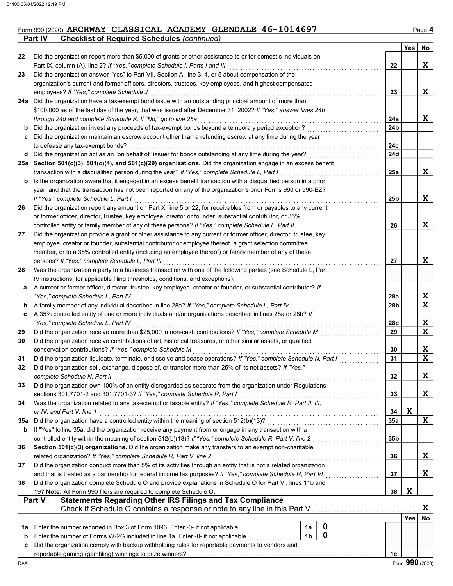### Form 990 (2020) ARCHWAY CLASSICAL ACADEMY GLENDALE  $46-1014697$  Page 4 **Part IV** Checklist of Required Schedules (continued)

|     |                                                                                                                                                                                                                               |                 | Yes        |                              |  |  |  |  |  |
|-----|-------------------------------------------------------------------------------------------------------------------------------------------------------------------------------------------------------------------------------|-----------------|------------|------------------------------|--|--|--|--|--|
| 22  | Did the organization report more than \$5,000 of grants or other assistance to or for domestic individuals on                                                                                                                 |                 |            | No                           |  |  |  |  |  |
|     | Part IX, column (A), line 2? If "Yes," complete Schedule I, Parts I and III                                                                                                                                                   | 22              |            | X                            |  |  |  |  |  |
| 23  | Did the organization answer "Yes" to Part VII, Section A, line 3, 4, or 5 about compensation of the                                                                                                                           |                 |            |                              |  |  |  |  |  |
|     | organization's current and former officers, directors, trustees, key employees, and highest compensated                                                                                                                       |                 |            |                              |  |  |  |  |  |
|     | employees? If "Yes," complete Schedule J                                                                                                                                                                                      | 23              |            | X                            |  |  |  |  |  |
| 24a | Did the organization have a tax-exempt bond issue with an outstanding principal amount of more than                                                                                                                           |                 |            |                              |  |  |  |  |  |
|     | \$100,000 as of the last day of the year, that was issued after December 31, 2002? If "Yes," answer lines 24b                                                                                                                 |                 |            |                              |  |  |  |  |  |
|     | through 24d and complete Schedule K. If "No," go to line 25a                                                                                                                                                                  | 24a             |            | X                            |  |  |  |  |  |
| b   | Did the organization invest any proceeds of tax-exempt bonds beyond a temporary period exception?<br>24 <sub>b</sub>                                                                                                          |                 |            |                              |  |  |  |  |  |
| c   | Did the organization maintain an escrow account other than a refunding escrow at any time during the year                                                                                                                     | 24c             |            |                              |  |  |  |  |  |
|     | to defease any tax-exempt bonds?<br>d Did the organization act as an "on behalf of" issuer for bonds outstanding at any time during the year?                                                                                 | 24d             |            |                              |  |  |  |  |  |
|     | 25a Section 501(c)(3), 501(c)(4), and 501(c)(29) organizations. Did the organization engage in an excess benefit                                                                                                              |                 |            |                              |  |  |  |  |  |
|     | transaction with a disqualified person during the year? If "Yes," complete Schedule L, Part I                                                                                                                                 | 25a             |            | X                            |  |  |  |  |  |
| b   | Is the organization aware that it engaged in an excess benefit transaction with a disqualified person in a prior                                                                                                              |                 |            |                              |  |  |  |  |  |
|     | year, and that the transaction has not been reported on any of the organization's prior Forms 990 or 990-EZ?                                                                                                                  |                 |            |                              |  |  |  |  |  |
|     | If "Yes," complete Schedule L, Part I                                                                                                                                                                                         | 25 <sub>b</sub> |            | X                            |  |  |  |  |  |
| 26  | Did the organization report any amount on Part X, line 5 or 22, for receivables from or payables to any current                                                                                                               |                 |            |                              |  |  |  |  |  |
|     | or former officer, director, trustee, key employee, creator or founder, substantial contributor, or 35%                                                                                                                       |                 |            |                              |  |  |  |  |  |
|     | controlled entity or family member of any of these persons? If "Yes," complete Schedule L, Part II                                                                                                                            | 26              |            | X                            |  |  |  |  |  |
| 27  | Did the organization provide a grant or other assistance to any current or former officer, director, trustee, key                                                                                                             |                 |            |                              |  |  |  |  |  |
|     | employee, creator or founder, substantial contributor or employee thereof, a grant selection committee                                                                                                                        |                 |            |                              |  |  |  |  |  |
|     | member, or to a 35% controlled entity (including an employee thereof) or family member of any of these                                                                                                                        |                 |            | X                            |  |  |  |  |  |
| 28  | persons? If "Yes," complete Schedule L, Part III<br>Was the organization a party to a business transaction with one of the following parties (see Schedule L, Part                                                            | 27              |            |                              |  |  |  |  |  |
|     | IV instructions, for applicable filing thresholds, conditions, and exceptions):                                                                                                                                               |                 |            |                              |  |  |  |  |  |
| a   | A current or former officer, director, trustee, key employee, creator or founder, or substantial contributor? If                                                                                                              |                 |            |                              |  |  |  |  |  |
|     | "Yes," complete Schedule L, Part IV                                                                                                                                                                                           | 28a             |            | X                            |  |  |  |  |  |
| b   | A family member of any individual described in line 28a? If "Yes," complete Schedule L, Part IV                                                                                                                               | 28b             |            | $\mathbf x$                  |  |  |  |  |  |
| C   | A 35% controlled entity of one or more individuals and/or organizations described in lines 28a or 28b? If                                                                                                                     |                 |            |                              |  |  |  |  |  |
|     | "Yes," complete Schedule L, Part IV                                                                                                                                                                                           | 28c             |            | X                            |  |  |  |  |  |
| 29  | Did the organization receive more than \$25,000 in non-cash contributions? If "Yes," complete Schedule M                                                                                                                      | 29              |            | $\overline{\mathbf{x}}$      |  |  |  |  |  |
| 30  | Did the organization receive contributions of art, historical treasures, or other similar assets, or qualified                                                                                                                |                 |            |                              |  |  |  |  |  |
|     | conservation contributions? If "Yes," complete Schedule M                                                                                                                                                                     | 30              |            | X<br>$\overline{\mathbf{x}}$ |  |  |  |  |  |
| 31  | Did the organization liquidate, terminate, or dissolve and cease operations? If "Yes," complete Schedule N, Part I<br>Did the organization sell, exchange, dispose of, or transfer more than 25% of its net assets? If "Yes," | 31              |            |                              |  |  |  |  |  |
| 32  | complete Schedule N, Part II                                                                                                                                                                                                  | 32              |            | X                            |  |  |  |  |  |
| 33  | Did the organization own 100% of an entity disregarded as separate from the organization under Regulations                                                                                                                    |                 |            |                              |  |  |  |  |  |
|     | sections 301.7701-2 and 301.7701-3? If "Yes," complete Schedule R, Part I                                                                                                                                                     | 33              |            | X                            |  |  |  |  |  |
| 34  | Was the organization related to any tax-exempt or taxable entity? If "Yes," complete Schedule R, Part II, III,                                                                                                                |                 |            |                              |  |  |  |  |  |
|     | or IV, and Part V, line 1                                                                                                                                                                                                     | 34              | X          |                              |  |  |  |  |  |
| 35а | Did the organization have a controlled entity within the meaning of section 512(b)(13)?                                                                                                                                       | <b>35a</b>      |            | X                            |  |  |  |  |  |
| b   | If "Yes" to line 35a, did the organization receive any payment from or engage in any transaction with a                                                                                                                       |                 |            |                              |  |  |  |  |  |
|     | controlled entity within the meaning of section 512(b)(13)? If "Yes," complete Schedule R, Part V, line 2                                                                                                                     | 35 <sub>b</sub> |            |                              |  |  |  |  |  |
| 36  | Section 501(c)(3) organizations. Did the organization make any transfers to an exempt non-charitable                                                                                                                          |                 |            |                              |  |  |  |  |  |
|     | related organization? If "Yes," complete Schedule R, Part V, line 2                                                                                                                                                           | 36              |            | X                            |  |  |  |  |  |
| 37  | Did the organization conduct more than 5% of its activities through an entity that is not a related organization                                                                                                              |                 |            |                              |  |  |  |  |  |
| 38  | and that is treated as a partnership for federal income tax purposes? If "Yes," complete Schedule R, Part VI<br>Did the organization complete Schedule O and provide explanations in Schedule O for Part VI, lines 11b and    | 37              |            | X                            |  |  |  |  |  |
|     | 19? Note: All Form 990 filers are required to complete Schedule O.                                                                                                                                                            | 38              | X          |                              |  |  |  |  |  |
|     | <b>Statements Regarding Other IRS Filings and Tax Compliance</b><br>Part V                                                                                                                                                    |                 |            |                              |  |  |  |  |  |
|     | Check if Schedule O contains a response or note to any line in this Part V.                                                                                                                                                   |                 |            | $\overline{\mathbf{x}}$      |  |  |  |  |  |
|     |                                                                                                                                                                                                                               |                 | <b>Yes</b> | No                           |  |  |  |  |  |
| 1a  | $\boldsymbol{0}$<br>Enter the number reported in Box 3 of Form 1096. Enter -0- if not applicable<br>1a                                                                                                                        |                 |            |                              |  |  |  |  |  |
| b   | $\overline{0}$<br>1 <sub>b</sub><br>Enter the number of Forms W-2G included in line 1a. Enter -0- if not applicable                                                                                                           |                 |            |                              |  |  |  |  |  |
| c   | Did the organization comply with backup withholding rules for reportable payments to vendors and                                                                                                                              |                 |            |                              |  |  |  |  |  |
|     |                                                                                                                                                                                                                               | 1c              |            |                              |  |  |  |  |  |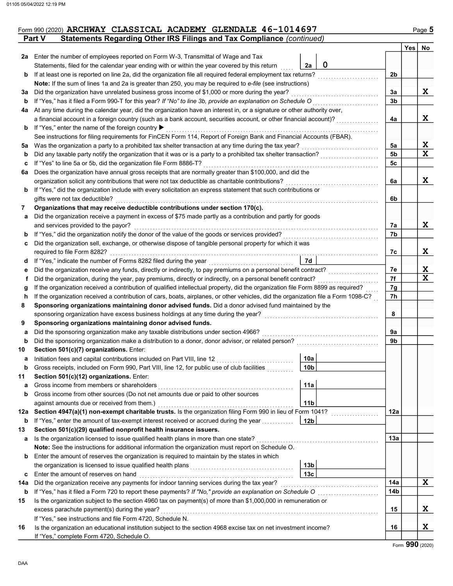### **Part V** Statements Regarding Other IRS Filings and Tax Compliance (continued) Form 990 (2020) ARCHWAY CLASSICAL ACADEMY GLENDALE  $46-1014697$  Page 5

|--|--|

|     |                                                                                                                                                           |                 |             |                | Yes | No |  |  |  |  |
|-----|-----------------------------------------------------------------------------------------------------------------------------------------------------------|-----------------|-------------|----------------|-----|----|--|--|--|--|
|     | 2a Enter the number of employees reported on Form W-3, Transmittal of Wage and Tax                                                                        |                 |             |                |     |    |  |  |  |  |
|     | Statements, filed for the calendar year ending with or within the year covered by this return                                                             | 2a              | $\mathbf 0$ |                |     |    |  |  |  |  |
| b   |                                                                                                                                                           |                 |             | 2 <sub>b</sub> |     |    |  |  |  |  |
|     | Note: If the sum of lines 1a and 2a is greater than 250, you may be required to e-file (see instructions)                                                 |                 |             |                |     |    |  |  |  |  |
| За  | Did the organization have unrelated business gross income of \$1,000 or more during the year?                                                             |                 |             |                |     |    |  |  |  |  |
| b   | If "Yes," has it filed a Form 990-T for this year? If "No" to line 3b, provide an explanation on Schedule O                                               |                 |             |                |     |    |  |  |  |  |
| 4a  | At any time during the calendar year, did the organization have an interest in, or a signature or other authority over,                                   |                 |             |                |     |    |  |  |  |  |
|     | a financial account in a foreign country (such as a bank account, securities account, or other financial account)?                                        |                 |             | 4a             |     | X  |  |  |  |  |
| b   | If "Yes," enter the name of the foreign country ▶                                                                                                         |                 |             |                |     |    |  |  |  |  |
|     | See instructions for filing requirements for FinCEN Form 114, Report of Foreign Bank and Financial Accounts (FBAR).                                       |                 |             |                |     |    |  |  |  |  |
| 5а  | Was the organization a party to a prohibited tax shelter transaction at any time during the tax year?                                                     |                 |             | 5a             |     | X  |  |  |  |  |
| b   |                                                                                                                                                           |                 |             | <b>5b</b>      |     | X  |  |  |  |  |
| c   | If "Yes" to line 5a or 5b, did the organization file Form 8886-T?                                                                                         |                 |             | 5 <sub>c</sub> |     |    |  |  |  |  |
| 6a  | Does the organization have annual gross receipts that are normally greater than \$100,000, and did the                                                    |                 |             |                |     |    |  |  |  |  |
|     | organization solicit any contributions that were not tax deductible as charitable contributions?                                                          |                 |             | 6a             |     | X  |  |  |  |  |
| b   | If "Yes," did the organization include with every solicitation an express statement that such contributions or                                            |                 |             |                |     |    |  |  |  |  |
|     | gifts were not tax deductible?                                                                                                                            |                 |             | 6b             |     |    |  |  |  |  |
| 7   | Organizations that may receive deductible contributions under section 170(c).                                                                             |                 |             |                |     |    |  |  |  |  |
| а   | Did the organization receive a payment in excess of \$75 made partly as a contribution and partly for goods                                               |                 |             |                |     |    |  |  |  |  |
|     | and services provided to the payor?                                                                                                                       |                 |             | 7a             |     | X  |  |  |  |  |
| b   |                                                                                                                                                           |                 |             | 7b             |     |    |  |  |  |  |
| c   | Did the organization sell, exchange, or otherwise dispose of tangible personal property for which it was                                                  |                 |             |                |     |    |  |  |  |  |
|     | required to file Form 8282?                                                                                                                               |                 |             | 7c             |     | X  |  |  |  |  |
| d   |                                                                                                                                                           | 7d              |             | 7e             |     | X  |  |  |  |  |
|     | Did the organization receive any funds, directly or indirectly, to pay premiums on a personal benefit contract?                                           |                 |             |                |     |    |  |  |  |  |
|     | Did the organization, during the year, pay premiums, directly or indirectly, on a personal benefit contract?<br>f                                         |                 |             |                |     |    |  |  |  |  |
| g   | If the organization received a contribution of qualified intellectual property, did the organization file Form 8899 as required?                          |                 |             |                |     |    |  |  |  |  |
| h   | If the organization received a contribution of cars, boats, airplanes, or other vehicles, did the organization file a Form 1098-C?                        |                 |             | 7h             |     |    |  |  |  |  |
| 8   | Sponsoring organizations maintaining donor advised funds. Did a donor advised fund maintained by the                                                      |                 |             |                |     |    |  |  |  |  |
|     | sponsoring organization have excess business holdings at any time during the year?                                                                        |                 |             | 8              |     |    |  |  |  |  |
| 9   | Sponsoring organizations maintaining donor advised funds.                                                                                                 |                 |             |                |     |    |  |  |  |  |
| а   | Did the sponsoring organization make any taxable distributions under section 4966?                                                                        |                 |             | 9a             |     |    |  |  |  |  |
| b   |                                                                                                                                                           |                 |             | 9b             |     |    |  |  |  |  |
| 10  | Section 501(c)(7) organizations. Enter:                                                                                                                   |                 |             |                |     |    |  |  |  |  |
| а   | Initiation fees and capital contributions included on Part VIII, line 12                                                                                  | 10a             |             |                |     |    |  |  |  |  |
| b   | Gross receipts, included on Form 990, Part VIII, line 12, for public use of club facilities                                                               | 10 <sub>b</sub> |             |                |     |    |  |  |  |  |
| 11  | Section 501(c)(12) organizations. Enter:                                                                                                                  |                 |             |                |     |    |  |  |  |  |
| а   | Gross income from members or shareholders<br>Gross income from other sources (Do not net amounts due or paid to other sources                             | 11a             |             |                |     |    |  |  |  |  |
| b   |                                                                                                                                                           | 11b             |             |                |     |    |  |  |  |  |
| 12a | against amounts due or received from them.)<br>Section 4947(a)(1) non-exempt charitable trusts. Is the organization filing Form 990 in lieu of Form 1041? |                 |             | 12a            |     |    |  |  |  |  |
| b   | If "Yes," enter the amount of tax-exempt interest received or accrued during the year                                                                     | 12 <sub>b</sub> |             |                |     |    |  |  |  |  |
| 13  | Section 501(c)(29) qualified nonprofit health insurance issuers.                                                                                          |                 |             |                |     |    |  |  |  |  |
| а   | Is the organization licensed to issue qualified health plans in more than one state?                                                                      |                 |             | 13а            |     |    |  |  |  |  |
|     | Note: See the instructions for additional information the organization must report on Schedule O.                                                         |                 |             |                |     |    |  |  |  |  |
| b   | Enter the amount of reserves the organization is required to maintain by the states in which                                                              |                 |             |                |     |    |  |  |  |  |
|     |                                                                                                                                                           | 13 <sub>b</sub> |             |                |     |    |  |  |  |  |
| c   | Enter the amount of reserves on hand                                                                                                                      | 13 <sub>c</sub> |             |                |     |    |  |  |  |  |
| 14a | Did the organization receive any payments for indoor tanning services during the tax year?                                                                |                 |             | 14a            |     | X  |  |  |  |  |
| b   |                                                                                                                                                           |                 |             | 14b            |     |    |  |  |  |  |
| 15  | Is the organization subject to the section 4960 tax on payment(s) of more than \$1,000,000 in remuneration or                                             |                 |             |                |     |    |  |  |  |  |
|     | excess parachute payment(s) during the year?                                                                                                              |                 |             | 15             |     | X. |  |  |  |  |
|     | If "Yes," see instructions and file Form 4720, Schedule N.                                                                                                |                 |             |                |     |    |  |  |  |  |
| 16  | Is the organization an educational institution subject to the section 4968 excise tax on net investment income?                                           |                 |             | 16             |     | X  |  |  |  |  |
|     | If "Yes," complete Form 4720, Schedule O.                                                                                                                 |                 |             |                |     |    |  |  |  |  |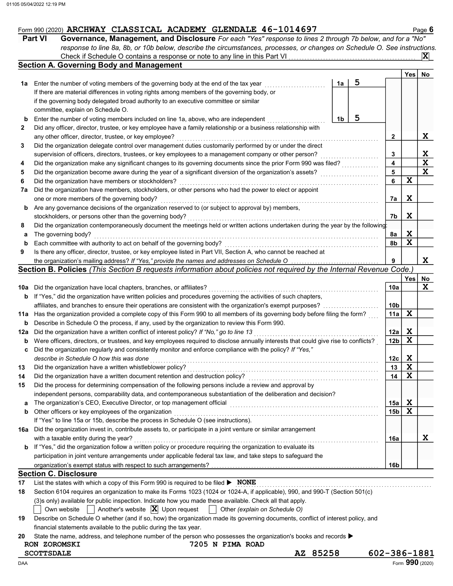# Form 990 (2020) ARCHWAY CLASSICAL ACADEMY GLENDALE  $46-1014697$  Page 6

Part VI Governance, Management, and Disclosure For each "Yes" response to lines 2 through 7b below, and for a "No" response to line 8a, 8b, or 10b below, describe the circumstances, processes, or changes on Schedule O. See instructions. Check if Schedule O contains a response or note to any line in this Part VI.  $\mathbf{x}$ 

|              | <b>Section A. Governing Body and Management</b>                                                                                     |    |   |     | Yes | No          |
|--------------|-------------------------------------------------------------------------------------------------------------------------------------|----|---|-----|-----|-------------|
| 1a           | Enter the number of voting members of the governing body at the end of the tax year                                                 | 1a | 5 |     |     |             |
|              | If there are material differences in voting rights among members of the governing body, or                                          |    |   |     |     |             |
|              | if the governing body delegated broad authority to an executive committee or similar                                                |    |   |     |     |             |
|              | committee, explain on Schedule O.                                                                                                   |    |   |     |     |             |
| b            | Enter the number of voting members included on line 1a, above, who are independent                                                  | 1b | 5 |     |     |             |
| $\mathbf{2}$ | Did any officer, director, trustee, or key employee have a family relationship or a business relationship with                      |    |   |     |     |             |
|              | any other officer, director, trustee, or key employee?                                                                              |    |   | 2   |     | X           |
| 3            | Did the organization delegate control over management duties customarily performed by or under the direct                           |    |   |     |     |             |
|              | supervision of officers, directors, trustees, or key employees to a management company or other person?                             |    |   | 3   |     | X           |
| 4            | Did the organization make any significant changes to its governing documents since the prior Form 990 was filed?                    |    |   | 4   |     | $\mathbf x$ |
| 5            | Did the organization become aware during the year of a significant diversion of the organization's assets?                          |    |   | 5   |     | $\mathbf x$ |
| 6            | Did the organization have members or stockholders?                                                                                  |    |   | 6   | X   |             |
| 7a           | Did the organization have members, stockholders, or other persons who had the power to elect or appoint                             |    |   |     |     |             |
|              | one or more members of the governing body?                                                                                          |    |   | 7a  | X   |             |
| b            | Are any governance decisions of the organization reserved to (or subject to approval by) members,                                   |    |   |     |     |             |
|              | stockholders, or persons other than the governing body?                                                                             |    |   | 7b  | X   |             |
| 8            | Did the organization contemporaneously document the meetings held or written actions undertaken during the year by the following:   |    |   |     |     |             |
| а            | The governing body?                                                                                                                 |    |   | 8а  | X   |             |
| b            | Each committee with authority to act on behalf of the governing body?                                                               |    |   | 8b  | X   |             |
| 9            | Is there any officer, director, trustee, or key employee listed in Part VII, Section A, who cannot be reached at                    |    |   |     |     |             |
|              | the organization's mailing address? If "Yes," provide the names and addresses on Schedule O                                         |    |   | 9   |     | X           |
|              | Section B. Policies (This Section B requests information about policies not required by the Internal Revenue Code.)                 |    |   |     |     |             |
|              |                                                                                                                                     |    |   |     | Yes | No          |
| 10a l        | Did the organization have local chapters, branches, or affiliates?                                                                  |    |   | 10a |     | X           |
| b            | If "Yes," did the organization have written policies and procedures governing the activities of such chapters,                      |    |   |     |     |             |
|              | affiliates, and branches to ensure their operations are consistent with the organization's exempt purposes?                         |    |   | 10b |     |             |
| 11a          | Has the organization provided a complete copy of this Form 990 to all members of its governing body before filing the form?         |    |   | 11a | X   |             |
| b            | Describe in Schedule O the process, if any, used by the organization to review this Form 990.                                       |    |   |     |     |             |
| 12a          | Did the organization have a written conflict of interest policy? If "No," go to line 13                                             |    |   | 12a | X   |             |
| b            | Were officers, directors, or trustees, and key employees required to disclose annually interests that could give rise to conflicts? |    |   | 12b | X   |             |
| c            | Did the organization regularly and consistently monitor and enforce compliance with the policy? If "Yes,"                           |    |   |     |     |             |
|              | describe in Schedule O how this was done                                                                                            |    |   | 12c | X   |             |
| 13           | Did the organization have a written whistleblower policy?                                                                           |    |   | 13  | X   |             |
| 14           | Did the organization have a written document retention and destruction policy?                                                      |    |   | 14  | X   |             |
| 15           | Did the process for determining compensation of the following persons include a review and approval by                              |    |   |     |     |             |
|              | independent persons, comparability data, and contemporaneous substantiation of the deliberation and decision?                       |    |   |     |     |             |
|              | The organization's CEO, Executive Director, or top management official                                                              |    |   | 15a | X   |             |
| b            | Other officers or key employees of the organization                                                                                 |    |   | 15b | X   |             |
|              | If "Yes" to line 15a or 15b, describe the process in Schedule O (see instructions).                                                 |    |   |     |     |             |
|              | 16a Did the organization invest in, contribute assets to, or participate in a joint venture or similar arrangement                  |    |   |     |     |             |
|              | with a taxable entity during the year?                                                                                              |    |   | 16a |     | X           |
| b            | If "Yes," did the organization follow a written policy or procedure requiring the organization to evaluate its                      |    |   |     |     |             |
|              | participation in joint venture arrangements under applicable federal tax law, and take steps to safeguard the                       |    |   |     |     |             |
|              | <b>Section C. Disclosure</b>                                                                                                        |    |   | 16b |     |             |
| 17           | List the states with which a copy of this Form 990 is required to be filed $\triangleright$ NONE                                    |    |   |     |     |             |
| 18           | Section 6104 requires an organization to make its Forms 1023 (1024 or 1024-A, if applicable), 990, and 990-T (Section 501(c)        |    |   |     |     |             |
|              | (3)s only) available for public inspection. Indicate how you made these available. Check all that apply.                            |    |   |     |     |             |
|              | Another's website $ \mathbf{X} $ Upon request<br>Other (explain on Schedule O)<br>Own website                                       |    |   |     |     |             |
| 19           | Describe on Schedule O whether (and if so, how) the organization made its governing documents, conflict of interest policy, and     |    |   |     |     |             |
|              | financial statements available to the public during the tax year.                                                                   |    |   |     |     |             |
|              |                                                                                                                                     |    |   |     |     |             |

20 State the name, address, and telephone number of the person who possesses the organization's books and records  $\blacktriangleright$ 

RON ZOROMSKI 7205 N PIMA ROAD SCOTTSDALE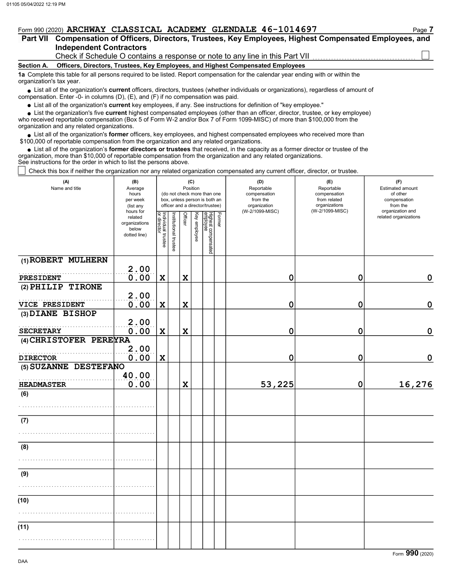#### Section A. Independent Contractors Part VII Compensation of Officers, Directors, Trustees, Key Employees, Highest Compensated Employees, and Form 990 (2020) ARCHWAY CLASSICAL ACADEMY GLENDALE  $46-1014697$  Page 7 Officers, Directors, Trustees, Key Employees, and Highest Compensated Employees Check if Schedule O contains a response or note to any line in this Part VII

1a Complete this table for all persons required to be listed. Report compensation for the calendar year ending with or within the organization's tax year.

• List all of the organization's **current** officers, directors, trustees (whether individuals or organizations), regardless of amount of proposation. Enter  $\Omega$  in columns  $(D)$ ,  $(E)$  and  $(E)$  if no componention was paid compensation. Enter -0- in columns (D), (E), and (F) if no compensation was paid.

• List all of the organization's **current** key employees, if any. See instructions for definition of "key employee."

• List the organization's five **current** highest compensated employees (other than an officer, director, trustee, or key employee)<br>• received reportable compensation (Box 5 of Form W 2 and/or Box 7 of Form 1000 MISC) of m

who received reportable compensation (Box 5 of Form W-2 and/or Box 7 of Form 1099-MISC) of more than \$100,000 from the organization and any related organizations.

 $\bullet$  List all of the organization's **former** officers, key employees, and highest compensated employees who received more than  $\Omega$  0.00 of reportable compensation from the erganization and any related erganizations. \$100,000 of reportable compensation from the organization and any related organizations.

 $\bullet$  List all of the organization's **former directors or trustees** that received, in the capacity as a former director or trustee of the entrance in the organization and any related organizations organization, more than \$10,000 of reportable compensation from the organization and any related organizations. See instructions for the order in which to list the persons above.

Check this box if neither the organization nor any related organization compensated any current officer, director, or trustee.

| (A)<br>Name and title  | (B)<br>Average<br>hours<br>per week<br>(list any               |                                   |                                                         | (C)<br>Position<br>(do not check more than one<br>box, unless person is both an<br>officer and a director/trustee) |                                 |  |  | (D)<br>Reportable<br>compensation<br>from the<br>organization | (E)<br>Reportable<br>compensation<br>from related<br>organizations | (F)<br><b>Estimated amount</b><br>of other<br>compensation<br>from the |                 |                                           |
|------------------------|----------------------------------------------------------------|-----------------------------------|---------------------------------------------------------|--------------------------------------------------------------------------------------------------------------------|---------------------------------|--|--|---------------------------------------------------------------|--------------------------------------------------------------------|------------------------------------------------------------------------|-----------------|-------------------------------------------|
|                        | hours for<br>related<br>organizations<br>below<br>dotted line) | Individual trustee<br>or director | <b>Officer</b><br>Key employee<br>Institutional trustee |                                                                                                                    | Highest compensated<br>employee |  |  |                                                               | <b>Former</b>                                                      | (W-2/1099-MISC)                                                        | (W-2/1099-MISC) | organization and<br>related organizations |
| (1) ROBERT MULHERN     |                                                                |                                   |                                                         |                                                                                                                    |                                 |  |  |                                                               |                                                                    |                                                                        |                 |                                           |
| PRESIDENT              | 2.00<br>0.00                                                   | $\mathbf x$                       |                                                         | $\mathbf x$                                                                                                        |                                 |  |  | 0                                                             | $\mathbf 0$                                                        | $\mathbf 0$                                                            |                 |                                           |
| (2) PHILIP TIRONE      |                                                                |                                   |                                                         |                                                                                                                    |                                 |  |  |                                                               |                                                                    |                                                                        |                 |                                           |
| VICE PRESIDENT         | 2.00<br>0.00                                                   | $\mathbf x$                       |                                                         | $\mathbf x$                                                                                                        |                                 |  |  | 0                                                             | 0                                                                  | 0                                                                      |                 |                                           |
| (3) DIANE BISHOP       |                                                                |                                   |                                                         |                                                                                                                    |                                 |  |  |                                                               |                                                                    |                                                                        |                 |                                           |
| <b>SECRETARY</b>       | 2.00<br>0.00                                                   | $\mathbf x$                       |                                                         | $\mathbf x$                                                                                                        |                                 |  |  | 0                                                             | 0                                                                  | 0                                                                      |                 |                                           |
| (4) CHRISTOFER PEREYRA |                                                                |                                   |                                                         |                                                                                                                    |                                 |  |  |                                                               |                                                                    |                                                                        |                 |                                           |
| <b>DIRECTOR</b>        | 2.00<br>0.00                                                   | $\mathbf x$                       |                                                         |                                                                                                                    |                                 |  |  | 0                                                             | 0                                                                  | $\mathbf 0$                                                            |                 |                                           |
| (5) SUZANNE DESTEFANO  |                                                                |                                   |                                                         |                                                                                                                    |                                 |  |  |                                                               |                                                                    |                                                                        |                 |                                           |
| <b>HEADMASTER</b>      | 40.00<br>0.00                                                  |                                   |                                                         | $\mathbf x$                                                                                                        |                                 |  |  | 53,225                                                        | $\mathbf 0$                                                        | 16,276                                                                 |                 |                                           |
| (6)                    |                                                                |                                   |                                                         |                                                                                                                    |                                 |  |  |                                                               |                                                                    |                                                                        |                 |                                           |
|                        |                                                                |                                   |                                                         |                                                                                                                    |                                 |  |  |                                                               |                                                                    |                                                                        |                 |                                           |
| (7)                    |                                                                |                                   |                                                         |                                                                                                                    |                                 |  |  |                                                               |                                                                    |                                                                        |                 |                                           |
|                        |                                                                |                                   |                                                         |                                                                                                                    |                                 |  |  |                                                               |                                                                    |                                                                        |                 |                                           |
| (8)                    |                                                                |                                   |                                                         |                                                                                                                    |                                 |  |  |                                                               |                                                                    |                                                                        |                 |                                           |
|                        |                                                                |                                   |                                                         |                                                                                                                    |                                 |  |  |                                                               |                                                                    |                                                                        |                 |                                           |
| (9)                    |                                                                |                                   |                                                         |                                                                                                                    |                                 |  |  |                                                               |                                                                    |                                                                        |                 |                                           |
|                        |                                                                |                                   |                                                         |                                                                                                                    |                                 |  |  |                                                               |                                                                    |                                                                        |                 |                                           |
| (10)                   |                                                                |                                   |                                                         |                                                                                                                    |                                 |  |  |                                                               |                                                                    |                                                                        |                 |                                           |
|                        |                                                                |                                   |                                                         |                                                                                                                    |                                 |  |  |                                                               |                                                                    |                                                                        |                 |                                           |
| (11)                   |                                                                |                                   |                                                         |                                                                                                                    |                                 |  |  |                                                               |                                                                    |                                                                        |                 |                                           |
|                        |                                                                |                                   |                                                         |                                                                                                                    |                                 |  |  |                                                               |                                                                    |                                                                        |                 |                                           |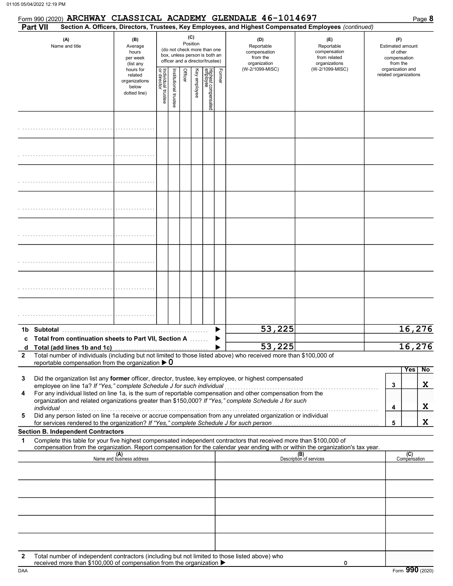|                   | Form 990 (2020) ARCHWAY CLASSICAL ACADEMY GLENDALE 46-1014697<br>Part VII                                                                                                                                                                                                                                                                                          |                                                                |                                                                                                                    |                       |         |              |                                 |        |                                                               | Section A. Officers, Directors, Trustees, Key Employees, and Highest Compensated Employees (continued) | Page 8                                                                 |
|-------------------|--------------------------------------------------------------------------------------------------------------------------------------------------------------------------------------------------------------------------------------------------------------------------------------------------------------------------------------------------------------------|----------------------------------------------------------------|--------------------------------------------------------------------------------------------------------------------|-----------------------|---------|--------------|---------------------------------|--------|---------------------------------------------------------------|--------------------------------------------------------------------------------------------------------|------------------------------------------------------------------------|
|                   | (A)<br>Name and title                                                                                                                                                                                                                                                                                                                                              | (B)<br>Average<br>hours<br>per week<br>(list any               | (C)<br>Position<br>(do not check more than one<br>box, unless person is both an<br>officer and a director/trustee) |                       |         |              |                                 |        | (D)<br>Reportable<br>compensation<br>from the<br>organization | (E)<br>Reportable<br>compensation<br>from related<br>organizations                                     | (F)<br><b>Estimated amount</b><br>of other<br>compensation<br>from the |
|                   |                                                                                                                                                                                                                                                                                                                                                                    | hours for<br>related<br>organizations<br>below<br>dotted line) | Individual trustee<br>or director                                                                                  | Institutional trustee | Officer | Key employee | Highest compensated<br>employee | Former | (W-2/1099-MISC)                                               | (W-2/1099-MISC)                                                                                        | organization and<br>related organizations                              |
|                   |                                                                                                                                                                                                                                                                                                                                                                    |                                                                |                                                                                                                    |                       |         |              |                                 |        |                                                               |                                                                                                        |                                                                        |
|                   |                                                                                                                                                                                                                                                                                                                                                                    |                                                                |                                                                                                                    |                       |         |              |                                 |        |                                                               |                                                                                                        |                                                                        |
|                   |                                                                                                                                                                                                                                                                                                                                                                    |                                                                |                                                                                                                    |                       |         |              |                                 |        |                                                               |                                                                                                        |                                                                        |
|                   |                                                                                                                                                                                                                                                                                                                                                                    |                                                                |                                                                                                                    |                       |         |              |                                 |        |                                                               |                                                                                                        |                                                                        |
|                   |                                                                                                                                                                                                                                                                                                                                                                    |                                                                |                                                                                                                    |                       |         |              |                                 |        |                                                               |                                                                                                        |                                                                        |
|                   |                                                                                                                                                                                                                                                                                                                                                                    |                                                                |                                                                                                                    |                       |         |              |                                 |        |                                                               |                                                                                                        |                                                                        |
|                   |                                                                                                                                                                                                                                                                                                                                                                    |                                                                |                                                                                                                    |                       |         |              |                                 |        |                                                               |                                                                                                        |                                                                        |
|                   |                                                                                                                                                                                                                                                                                                                                                                    |                                                                |                                                                                                                    |                       |         |              |                                 |        |                                                               |                                                                                                        |                                                                        |
|                   | 1b Subtotal<br>c Total from continuation sheets to Part VII, Section A                                                                                                                                                                                                                                                                                             |                                                                |                                                                                                                    |                       |         |              |                                 |        | 53,225                                                        |                                                                                                        | 16,276                                                                 |
| d<br>$\mathbf{2}$ | Total (add lines 1b and 1c)<br>Total number of individuals (including but not limited to those listed above) who received more than \$100,000 of                                                                                                                                                                                                                   |                                                                |                                                                                                                    |                       |         |              |                                 |        | 53,225                                                        |                                                                                                        | 16,276                                                                 |
| 3<br>4            | reportable compensation from the organization $\triangleright$ 0<br>Did the organization list any former officer, director, trustee, key employee, or highest compensated<br>employee on line 1a? If "Yes," complete Schedule J for such individual<br>For any individual listed on line 1a, is the sum of reportable compensation and other compensation from the |                                                                |                                                                                                                    |                       |         |              |                                 |        |                                                               |                                                                                                        | Yes<br>No<br>X<br>3                                                    |
| 5                 | organization and related organizations greater than \$150,000? If "Yes," complete Schedule J for such<br>individual<br>Did any person listed on line 1a receive or accrue compensation from any unrelated organization or individual                                                                                                                               |                                                                |                                                                                                                    |                       |         |              |                                 |        |                                                               |                                                                                                        | X<br>4                                                                 |
|                   | <b>Section B. Independent Contractors</b>                                                                                                                                                                                                                                                                                                                          |                                                                |                                                                                                                    |                       |         |              |                                 |        |                                                               |                                                                                                        | X<br>5                                                                 |
| $\mathbf 1$       | Complete this table for your five highest compensated independent contractors that received more than \$100,000 of<br>compensation from the organization. Report compensation for the calendar year ending with or within the organization's tax year.                                                                                                             |                                                                |                                                                                                                    |                       |         |              |                                 |        |                                                               |                                                                                                        |                                                                        |
|                   |                                                                                                                                                                                                                                                                                                                                                                    | (A)<br>Name and business address                               |                                                                                                                    |                       |         |              |                                 |        |                                                               | (B)<br>Description of services                                                                         | (C)<br>Compensation                                                    |
|                   |                                                                                                                                                                                                                                                                                                                                                                    |                                                                |                                                                                                                    |                       |         |              |                                 |        |                                                               |                                                                                                        |                                                                        |
|                   |                                                                                                                                                                                                                                                                                                                                                                    |                                                                |                                                                                                                    |                       |         |              |                                 |        |                                                               |                                                                                                        |                                                                        |
|                   |                                                                                                                                                                                                                                                                                                                                                                    |                                                                |                                                                                                                    |                       |         |              |                                 |        |                                                               |                                                                                                        |                                                                        |
| $\mathbf{2}$      | Total number of independent contractors (including but not limited to those listed above) who<br>received more than \$100,000 of compensation from the organization ▶                                                                                                                                                                                              |                                                                |                                                                                                                    |                       |         |              |                                 |        |                                                               | 0                                                                                                      |                                                                        |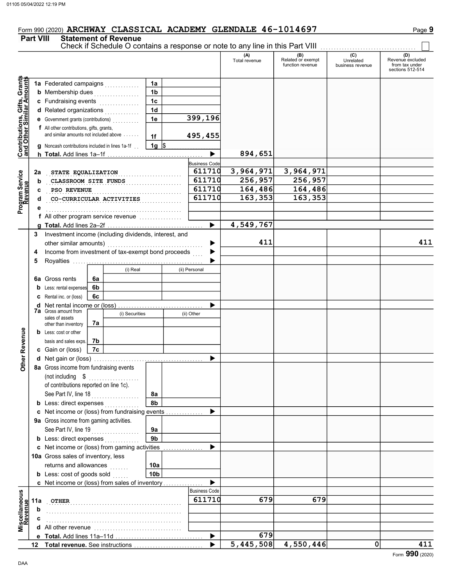# Form 990 (2020) ARCHWAY CLASSICAL ACADEMY GLENDALE  $46-1014697$  Page 9

# Part VIII Statement of Revenue

Check if Schedule O contains a response or note to any line in this Part VIII ................................

|                                                           |     |                                                              |                                        |                                            |                 |     |                      | (A)<br>Total revenue | (B)<br>Related or exempt<br>function revenue | (C)<br>Unrelated<br>business revenue | (D)<br>Revenue excluded<br>from tax under<br>sections 512-514 |
|-----------------------------------------------------------|-----|--------------------------------------------------------------|----------------------------------------|--------------------------------------------|-----------------|-----|----------------------|----------------------|----------------------------------------------|--------------------------------------|---------------------------------------------------------------|
| Contributions, Gifts, Grants<br>and Other Similar Amounts |     | 1a Federated campaigns                                       |                                        |                                            | 1a              |     |                      |                      |                                              |                                      |                                                               |
|                                                           |     | <b>b</b> Membership dues                                     |                                        | <u>.</u><br>1986 - Paul Barbara, president | 1 <sub>b</sub>  |     |                      |                      |                                              |                                      |                                                               |
|                                                           |     | c Fundraising events                                         |                                        | <u>.</u><br>1986 - Paul Barbara, president | 1 <sub>c</sub>  |     |                      |                      |                                              |                                      |                                                               |
|                                                           |     | d Related organizations                                      |                                        |                                            | 1 <sub>d</sub>  |     |                      |                      |                                              |                                      |                                                               |
|                                                           | е   | Government grants (contributions)                            |                                        |                                            | 1e              |     | 399,196              |                      |                                              |                                      |                                                               |
|                                                           |     | <b>f</b> All other contributions, gifts, grants,             |                                        |                                            |                 |     |                      |                      |                                              |                                      |                                                               |
|                                                           |     |                                                              | and similar amounts not included above |                                            | 1f              |     | 495,455              |                      |                                              |                                      |                                                               |
|                                                           |     | Noncash contributions included in lines 1a-1f                |                                        |                                            | $1g$ \$         |     |                      |                      |                                              |                                      |                                                               |
|                                                           |     |                                                              |                                        |                                            |                 |     | ▶                    | 894,651              |                                              |                                      |                                                               |
|                                                           |     |                                                              |                                        |                                            |                 |     | <b>Business Code</b> |                      |                                              |                                      |                                                               |
|                                                           | 2a  | STATE EQUALIZATION                                           |                                        |                                            |                 |     | 611710               | 3,964,971            | 3,964,971                                    |                                      |                                                               |
|                                                           | b   | CLASSROOM SITE FUNDS                                         |                                        |                                            |                 |     | 611710               | 256,957              | 256,957                                      |                                      |                                                               |
|                                                           |     | PSO REVENUE                                                  |                                        |                                            |                 |     | 611710               | 164,486              | 164,486                                      |                                      |                                                               |
| Program Service<br>Revenue                                |     | CO-CURRICULAR ACTIVITIES                                     |                                        |                                            |                 |     | 611710               | 163,353              | 163,353                                      |                                      |                                                               |
|                                                           |     |                                                              |                                        |                                            |                 |     |                      |                      |                                              |                                      |                                                               |
|                                                           |     | <b>f</b> All other program service revenue $\ldots$          |                                        |                                            |                 |     |                      |                      |                                              |                                      |                                                               |
|                                                           | a   |                                                              |                                        |                                            |                 |     | ▶                    | 4,549,767            |                                              |                                      |                                                               |
|                                                           | 3   | Investment income (including dividends, interest, and        |                                        |                                            |                 |     |                      |                      |                                              |                                      |                                                               |
|                                                           |     | other similar amounts)                                       |                                        |                                            |                 |     |                      | 411                  |                                              |                                      | 411                                                           |
|                                                           | 4   | Income from investment of tax-exempt bond proceeds           |                                        |                                            |                 |     |                      |                      |                                              |                                      |                                                               |
|                                                           | 5   |                                                              |                                        |                                            |                 |     |                      |                      |                                              |                                      |                                                               |
|                                                           |     |                                                              |                                        | (i) Real                                   |                 |     | (ii) Personal        |                      |                                              |                                      |                                                               |
|                                                           | 6a  | Gross rents                                                  | 6a                                     |                                            |                 |     |                      |                      |                                              |                                      |                                                               |
|                                                           | b   | Less: rental expenses                                        | 6b                                     |                                            |                 |     |                      |                      |                                              |                                      |                                                               |
|                                                           | С   | Rental inc. or (loss)                                        | 6c                                     |                                            |                 |     |                      |                      |                                              |                                      |                                                               |
|                                                           | d   | Net rental income or (loss)<br><b>7a</b> Gross amount from   |                                        |                                            |                 | .   |                      |                      |                                              |                                      |                                                               |
|                                                           |     | sales of assets                                              |                                        | (i) Securities                             |                 |     | (ii) Other           |                      |                                              |                                      |                                                               |
|                                                           |     | other than inventory                                         | 7a                                     |                                            |                 |     |                      |                      |                                              |                                      |                                                               |
|                                                           | b   | Less: cost or other                                          |                                        |                                            |                 |     |                      |                      |                                              |                                      |                                                               |
|                                                           |     | basis and sales exps.                                        | 7b                                     |                                            |                 |     |                      |                      |                                              |                                      |                                                               |
|                                                           |     | c Gain or (loss)                                             | 7c                                     |                                            |                 |     |                      |                      |                                              |                                      |                                                               |
| Other Revenue                                             | d   |                                                              |                                        |                                            |                 |     |                      |                      |                                              |                                      |                                                               |
|                                                           |     | 8a Gross income from fundraising events<br>(not including \$ |                                        |                                            |                 |     |                      |                      |                                              |                                      |                                                               |
|                                                           |     | of contributions reported on line 1c).                       |                                        | .                                          |                 |     |                      |                      |                                              |                                      |                                                               |
|                                                           |     | See Part IV, line 18                                         |                                        |                                            | 8a              |     |                      |                      |                                              |                                      |                                                               |
|                                                           |     | <b>b</b> Less: direct expenses                               |                                        |                                            | 8b              |     |                      |                      |                                              |                                      |                                                               |
|                                                           |     | c Net income or (loss) from fundraising events               |                                        |                                            |                 |     |                      |                      |                                              |                                      |                                                               |
|                                                           |     | 9a Gross income from gaming activities.                      |                                        |                                            |                 |     |                      |                      |                                              |                                      |                                                               |
|                                                           |     | See Part IV, line 19                                         |                                        |                                            | 9a              |     |                      |                      |                                              |                                      |                                                               |
|                                                           |     | <b>b</b> Less: direct expenses                               |                                        |                                            | 9 <sub>b</sub>  |     |                      |                      |                                              |                                      |                                                               |
|                                                           |     | c Net income or (loss) from gaming activities.               |                                        |                                            |                 |     |                      |                      |                                              |                                      |                                                               |
|                                                           |     | 10a Gross sales of inventory, less                           |                                        |                                            |                 |     |                      |                      |                                              |                                      |                                                               |
|                                                           |     | returns and allowances                                       |                                        |                                            | 10a             |     |                      |                      |                                              |                                      |                                                               |
|                                                           |     | <b>b</b> Less: cost of goods sold                            |                                        |                                            | 10 <sub>b</sub> |     |                      |                      |                                              |                                      |                                                               |
|                                                           |     | c Net income or (loss) from sales of inventory               |                                        |                                            |                 |     | ▶                    |                      |                                              |                                      |                                                               |
|                                                           |     |                                                              |                                        |                                            |                 |     | <b>Business Code</b> |                      |                                              |                                      |                                                               |
| Miscellaneous<br>Revenue                                  | 11a | <b>OTHER</b>                                                 |                                        |                                            |                 |     | 611710               | 679                  | 679                                          |                                      |                                                               |
|                                                           | b   |                                                              |                                        |                                            |                 |     |                      |                      |                                              |                                      |                                                               |
|                                                           | с   |                                                              |                                        |                                            |                 |     |                      |                      |                                              |                                      |                                                               |
|                                                           | d   |                                                              |                                        |                                            |                 |     |                      |                      |                                              |                                      |                                                               |
|                                                           | е   | ▶                                                            |                                        |                                            |                 | 679 |                      |                      |                                              |                                      |                                                               |
|                                                           | 12  | Total revenue. See instructions                              |                                        |                                            |                 |     |                      | 5,445,508            | 4,550,446                                    | 0                                    | 411                                                           |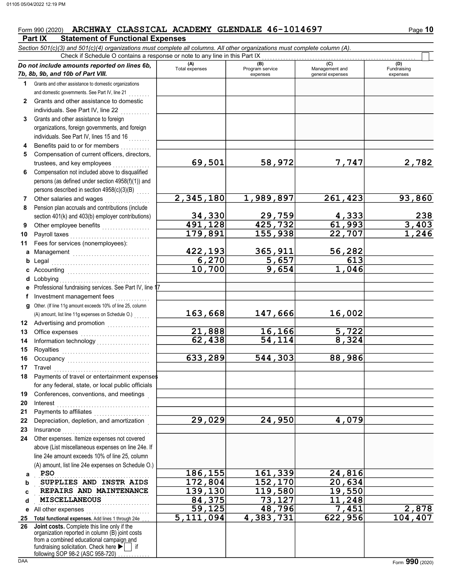### **Part IX** Statement of Functional Expenses  $From 990 (2020)$   $\bf ARCHWAY$  CLASSICAL ACADEMY GLENDALE  $46-1014697$  Page 10

|              | Section 501(c)(3) and 501(c)(4) organizations must complete all columns. All other organizations must complete column (A).<br>Check if Schedule O contains a response or note to any line in this Part IX |                |                             |                                    |                         |
|--------------|-----------------------------------------------------------------------------------------------------------------------------------------------------------------------------------------------------------|----------------|-----------------------------|------------------------------------|-------------------------|
|              | Do not include amounts reported on lines 6b,                                                                                                                                                              | (A)            | (B)                         | (C)                                | (D)                     |
|              | 7b, 8b, 9b, and 10b of Part VIII.                                                                                                                                                                         | Total expenses | Program service<br>expenses | Management and<br>general expenses | Fundraising<br>expenses |
| $\mathbf{1}$ | Grants and other assistance to domestic organizations                                                                                                                                                     |                |                             |                                    |                         |
|              | and domestic governments. See Part IV, line 21                                                                                                                                                            |                |                             |                                    |                         |
| 2.           | Grants and other assistance to domestic                                                                                                                                                                   |                |                             |                                    |                         |
|              | individuals. See Part IV, line 22                                                                                                                                                                         |                |                             |                                    |                         |
| 3            | Grants and other assistance to foreign                                                                                                                                                                    |                |                             |                                    |                         |
|              | organizations, foreign governments, and foreign                                                                                                                                                           |                |                             |                                    |                         |
|              | individuals. See Part IV, lines 15 and 16                                                                                                                                                                 |                |                             |                                    |                         |
| 4            | Benefits paid to or for members                                                                                                                                                                           |                |                             |                                    |                         |
| 5            | Compensation of current officers, directors,                                                                                                                                                              |                |                             |                                    |                         |
|              | trustees, and key employees                                                                                                                                                                               | 69,501         | 58,972                      | 7,747                              | 2,782                   |
| 6            | Compensation not included above to disqualified                                                                                                                                                           |                |                             |                                    |                         |
|              | persons (as defined under section 4958(f)(1)) and                                                                                                                                                         |                |                             |                                    |                         |
|              | persons described in section 4958(c)(3)(B)                                                                                                                                                                |                |                             |                                    |                         |
| 7            | Other salaries and wages                                                                                                                                                                                  | 2,345,180      | 1,989,897                   | 261,423                            | 93,860                  |
| 8            | Pension plan accruals and contributions (include                                                                                                                                                          |                |                             |                                    |                         |
|              | section 401(k) and 403(b) employer contributions)                                                                                                                                                         | 34,330         | 29,759                      | 4,333                              | 238                     |
| 9            |                                                                                                                                                                                                           | 491,128        | 425,732                     | 61,993                             | 3,403                   |
| 10           | Payroll taxes                                                                                                                                                                                             | 179,891        | 155,938                     | 22,707                             | 1,246                   |
| 11           | Fees for services (nonemployees):                                                                                                                                                                         |                |                             |                                    |                         |
| а            | Management                                                                                                                                                                                                | 422,193        | 365,911                     | 56,282                             |                         |
| b            | Legal                                                                                                                                                                                                     | 6,270          | $\overline{5}$ , 657        | 613                                |                         |
| c            |                                                                                                                                                                                                           | 10,700         | $\overline{9}$ , 654        | 1,046                              |                         |
| d            | Lobbying                                                                                                                                                                                                  |                |                             |                                    |                         |
| е            | Professional fundraising services. See Part IV, line 17                                                                                                                                                   |                |                             |                                    |                         |
| f            | Investment management fees                                                                                                                                                                                |                |                             |                                    |                         |
| g            | Other. (If line 11g amount exceeds 10% of line 25, column                                                                                                                                                 |                |                             |                                    |                         |
|              |                                                                                                                                                                                                           | 163,668        | 147,666                     | 16,002                             |                         |
| 12           | Advertising and promotion<br>                                                                                                                                                                             |                |                             |                                    |                         |
| 13           |                                                                                                                                                                                                           | 21,888         | 16,166                      | 5,722                              |                         |
| 14           | Information technology<br>                                                                                                                                                                                | 62,438         | 54,114                      | 8,324                              |                         |
| 15           |                                                                                                                                                                                                           |                |                             |                                    |                         |
| 16           |                                                                                                                                                                                                           | 633,289        | 544,303                     | 88,986                             |                         |
| 17           | Travel<br>Payments of travel or entertainment expenses                                                                                                                                                    |                |                             |                                    |                         |
|              | for any federal, state, or local public officials                                                                                                                                                         |                |                             |                                    |                         |
|              |                                                                                                                                                                                                           |                |                             |                                    |                         |
| 19<br>20     | Conferences, conventions, and meetings                                                                                                                                                                    |                |                             |                                    |                         |
| 21           | Interest<br>Payments to affiliates<br>interactional continuum                                                                                                                                             |                |                             |                                    |                         |
| 22           | Depreciation, depletion, and amortization                                                                                                                                                                 | 29,029         | 24,950                      | 4,079                              |                         |
| 23           | Insurance                                                                                                                                                                                                 |                |                             |                                    |                         |
| 24           | Other expenses. Itemize expenses not covered                                                                                                                                                              |                |                             |                                    |                         |
|              | above (List miscellaneous expenses on line 24e. If                                                                                                                                                        |                |                             |                                    |                         |
|              | line 24e amount exceeds 10% of line 25, column                                                                                                                                                            |                |                             |                                    |                         |
|              | (A) amount, list line 24e expenses on Schedule O.)                                                                                                                                                        |                |                             |                                    |                         |
| a            | <b>PSO</b>                                                                                                                                                                                                | 186,155        | 161,339                     | 24,816                             |                         |
| b            | SUPPLIES AND INSTR AIDS                                                                                                                                                                                   | 172,804        | 152,170                     | 20,634                             |                         |
| c            | REPAIRS AND MAINTENANCE                                                                                                                                                                                   | 139,130        | 119,580                     | 19,550                             |                         |
| d            | <b>MISCELLANEOUS</b>                                                                                                                                                                                      | 84,375         | 73,127                      | 11,248                             |                         |
| е            | All other expenses                                                                                                                                                                                        | 59,125         | 48,796                      | 7,451                              | 2,878                   |
| 25           | Total functional expenses. Add lines 1 through 24e                                                                                                                                                        | 5, 111, 094    | 4,383,731                   | 622,956                            | 104,407                 |
| 26           | <b>Joint costs.</b> Complete this line only if the<br>organization reported in column (B) joint costs                                                                                                     |                |                             |                                    |                         |
|              | from a combined educational campaign and<br>fundraising solicitation. Check here $\blacktriangleright$<br>following SOP 98-2 (ASC 958-720)                                                                |                |                             |                                    |                         |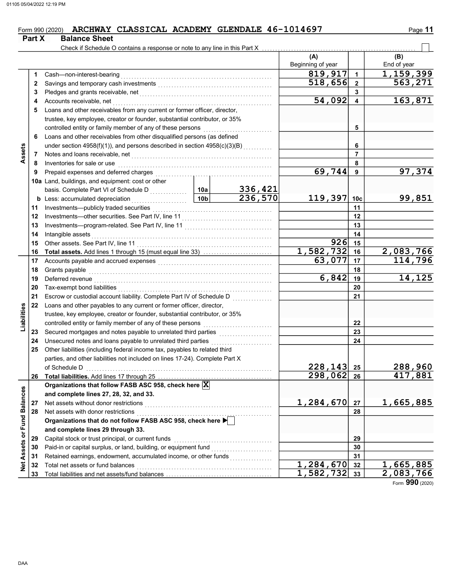#### Form 990 (2020) ARCHWAY CLASSICAL ACADEMY GLENDALE  $46-1014697$  Page 11 ARCHWAY CLASSICAL ACADEMY GLENDALE 46-1014697

|                             | Part X | <b>Balance Sheet</b>                                                                                                                    |                 |         |                           |                 |             |
|-----------------------------|--------|-----------------------------------------------------------------------------------------------------------------------------------------|-----------------|---------|---------------------------|-----------------|-------------|
|                             |        | Check if Schedule O contains a response or note to any line in this Part X                                                              |                 |         |                           |                 |             |
|                             |        |                                                                                                                                         |                 |         | (A)                       |                 | (B)         |
|                             |        |                                                                                                                                         |                 |         | Beginning of year         |                 | End of year |
|                             | 1      | Cash-non-interest-bearing                                                                                                               |                 |         | 819,917                   | $\mathbf{1}$    | 1,159,399   |
|                             | 2      |                                                                                                                                         |                 |         | 518,656                   | $\mathbf 2$     | 563,271     |
|                             | 3      |                                                                                                                                         |                 |         |                           | 3               |             |
|                             | 4      | Accounts receivable, net                                                                                                                |                 |         | 54,092                    | 4               | 163,871     |
|                             | 5      | Loans and other receivables from any current or former officer, director,                                                               |                 |         |                           |                 |             |
|                             |        | trustee, key employee, creator or founder, substantial contributor, or 35%                                                              |                 |         |                           |                 |             |
|                             |        |                                                                                                                                         |                 |         |                           | 5               |             |
|                             | 6      | Loans and other receivables from other disqualified persons (as defined                                                                 |                 |         |                           |                 |             |
|                             |        | under section 4958(f)(1)), and persons described in section 4958(c)(3)(B)                                                               |                 |         |                           | 6               |             |
| Assets                      | 7      |                                                                                                                                         |                 |         |                           | $\overline{7}$  |             |
|                             | 8      | Inventories for sale or use                                                                                                             |                 |         |                           | 8               |             |
|                             | 9      |                                                                                                                                         |                 |         | 69,744                    | 9               | 97,374      |
|                             |        | 10a Land, buildings, and equipment: cost or other                                                                                       |                 |         |                           |                 |             |
|                             |        | basis. Complete Part VI of Schedule D                                                                                                   | 10a             | 336,421 |                           |                 |             |
|                             |        | <b>b</b> Less: accumulated depreciation                                                                                                 | 10 <sub>b</sub> | 236,570 | 119,397                   | 10 <sub>c</sub> | 99,851      |
|                             | 11     |                                                                                                                                         |                 |         |                           | 11              |             |
|                             | 12     |                                                                                                                                         |                 | 12      |                           |                 |             |
|                             | 13     |                                                                                                                                         |                 | 13      |                           |                 |             |
|                             | 14     | Intangible assets                                                                                                                       |                 |         |                           | 14              |             |
|                             | 15     |                                                                                                                                         |                 |         | 926                       | 15              |             |
|                             | 16     |                                                                                                                                         |                 |         | 1,582,732                 | 16              | 2,083,766   |
|                             | 17     |                                                                                                                                         |                 |         | 63,077                    | 17              | 114,796     |
|                             | 18     | Grants payable                                                                                                                          |                 | 18      |                           |                 |             |
|                             | 19     | Deferred revenue <b>construction and the construction of the construction of the construction</b>                                       | 6,842           | 19      | 14,125                    |                 |             |
|                             | 20     |                                                                                                                                         |                 | 20      |                           |                 |             |
|                             | 21     |                                                                                                                                         |                 |         |                           | 21              |             |
|                             | 22     | Loans and other payables to any current or former officer, director,                                                                    |                 |         |                           |                 |             |
|                             |        | trustee, key employee, creator or founder, substantial contributor, or 35%                                                              |                 |         |                           |                 |             |
| Liabilities                 |        |                                                                                                                                         |                 |         |                           | 22              |             |
|                             | 23     | Secured mortgages and notes payable to unrelated third parties<br>[[[[[[[[[[[[[[[[[[[[[]]]]]]]                                          |                 |         |                           | 23              |             |
|                             | 24     | Unsecured notes and loans payable to unrelated third parties                                                                            |                 |         |                           | 24              |             |
|                             | 25     | Other liabilities (including federal income tax, payables to related third                                                              |                 |         |                           |                 |             |
|                             |        | parties, and other liabilities not included on lines 17-24). Complete Part X                                                            |                 |         |                           |                 |             |
|                             |        | of Schedule D                                                                                                                           |                 |         | 228, 143                  | 25              | 288,960     |
|                             | 26     |                                                                                                                                         |                 |         | 298,062                   | 26              | 417,881     |
|                             |        | Organizations that follow FASB ASC 958, check here X                                                                                    |                 |         |                           |                 |             |
|                             |        | and complete lines 27, 28, 32, and 33.                                                                                                  |                 |         | 1,284,670                 |                 | 1,665,885   |
|                             | 27     | Net assets without donor restrictions                                                                                                   |                 |         |                           | 27              |             |
|                             | 28     | Net assets with donor restrictions<br>Net assets with donor restrictions<br>Organizations that do not follow FASB ASC 958, check here ▶ |                 |         |                           | 28              |             |
|                             |        | and complete lines 29 through 33.                                                                                                       |                 |         |                           |                 |             |
|                             | 29     | Capital stock or trust principal, or current funds                                                                                      |                 |         | 29                        |                 |             |
|                             | 30     | Paid-in or capital surplus, or land, building, or equipment fund [[[[[[[[[[[[[[[[[[[[[[[[[[[[[[[[[[[                                    |                 |         | 30                        |                 |             |
|                             | 31     | Retained earnings, endowment, accumulated income, or other funds                                                                        |                 |         |                           | 31              |             |
| Net Assets or Fund Balances | 32     | Total net assets or fund balances                                                                                                       |                 |         | $\overline{1}$ , 284, 670 | 32              | 1,665,885   |
|                             | 33     |                                                                                                                                         |                 |         | 1,582,732                 | 33              | 2,083,766   |
|                             |        |                                                                                                                                         |                 |         |                           |                 |             |

Form 990 (2020)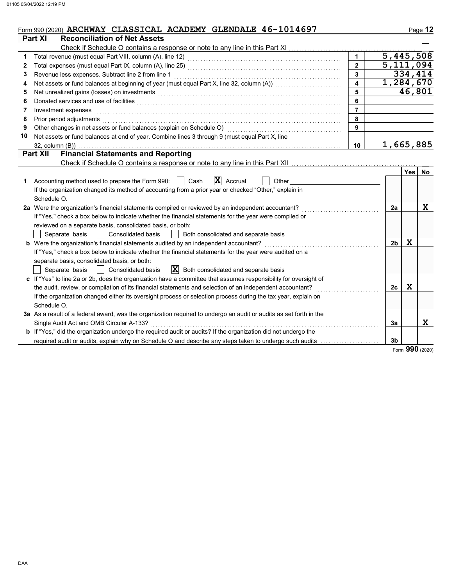| <b>Part XI</b><br><b>Reconciliation of Net Assets</b><br>5,445,508<br>1<br>5, 111, 094<br>$2^{\circ}$<br>2<br>334,414<br>3<br>Revenue less expenses. Subtract line 2 from line 1<br>3<br>1,284,670<br>Net assets or fund balances at beginning of year (must equal Part X, line 32, column (A))<br>$\overline{\mathbf{4}}$<br>4<br>46,801<br>5<br>Net unrealized gains (losses) on investments<br>5<br>6<br>Donated services and use of facilities <b>constructs</b> and the construction of the service of the construction of the construction of the construction of the construction of the construction of the construction of the constru<br>6<br>$\overline{7}$<br>Investment expenses<br>7<br>8<br>Prior period adjustments<br>8<br>Other changes in net assets or fund balances (explain on Schedule O)<br>9<br>9<br>Net assets or fund balances at end of year. Combine lines 3 through 9 (must equal Part X, line<br>10<br>1,665,885<br>10<br>32, column (B))<br><b>Financial Statements and Reporting</b><br><b>Part XII</b><br>Check if Schedule O contains a response or note to any line in this Part XII<br>Yes l<br>No.<br>X Accrual<br>Accounting method used to prepare the Form 990:<br>Cash<br>Other<br>1<br>If the organization changed its method of accounting from a prior year or checked "Other," explain in<br>Schedule O.<br>X<br>2a Were the organization's financial statements compiled or reviewed by an independent accountant?<br>2a<br>If "Yes," check a box below to indicate whether the financial statements for the year were compiled or<br>reviewed on a separate basis, consolidated basis, or both:<br>Separate basis<br><b>Consolidated basis</b><br>Both consolidated and separate basis<br>b Were the organization's financial statements audited by an independent accountant?<br>X<br>2 <sub>b</sub><br>If "Yes," check a box below to indicate whether the financial statements for the year were audited on a<br>separate basis, consolidated basis, or both:<br>$ \mathbf{X} $ Both consolidated and separate basis<br>Consolidated basis<br>Separate basis<br>c If "Yes" to line 2a or 2b, does the organization have a committee that assumes responsibility for oversight of<br>X<br>the audit, review, or compilation of its financial statements and selection of an independent accountant?<br>2c<br>If the organization changed either its oversight process or selection process during the tax year, explain on<br>Schedule O.<br>3a As a result of a federal award, was the organization required to undergo an audit or audits as set forth in the<br>X<br>Single Audit Act and OMB Circular A-133?<br>3a<br><b>b</b> If "Yes," did the organization undergo the required audit or audits? If the organization did not undergo the<br>3 <sub>b</sub><br>required audit or audits, explain why on Schedule O and describe any steps taken to undergo such audits | Form 990 (2020) ARCHWAY CLASSICAL ACADEMY GLENDALE 46-1014697 |  | Page 12 |
|--------------------------------------------------------------------------------------------------------------------------------------------------------------------------------------------------------------------------------------------------------------------------------------------------------------------------------------------------------------------------------------------------------------------------------------------------------------------------------------------------------------------------------------------------------------------------------------------------------------------------------------------------------------------------------------------------------------------------------------------------------------------------------------------------------------------------------------------------------------------------------------------------------------------------------------------------------------------------------------------------------------------------------------------------------------------------------------------------------------------------------------------------------------------------------------------------------------------------------------------------------------------------------------------------------------------------------------------------------------------------------------------------------------------------------------------------------------------------------------------------------------------------------------------------------------------------------------------------------------------------------------------------------------------------------------------------------------------------------------------------------------------------------------------------------------------------------------------------------------------------------------------------------------------------------------------------------------------------------------------------------------------------------------------------------------------------------------------------------------------------------------------------------------------------------------------------------------------------------------------------------------------------------------------------------------------------------------------------------------------------------------------------------------------------------------------------------------------------------------------------------------------------------------------------------------------------------------------------------------------------------------------------------------------------------------------------------------------------------------------------------------------------------------------------------------------------------------------------------------------------------------------------------------------------------|---------------------------------------------------------------|--|---------|
|                                                                                                                                                                                                                                                                                                                                                                                                                                                                                                                                                                                                                                                                                                                                                                                                                                                                                                                                                                                                                                                                                                                                                                                                                                                                                                                                                                                                                                                                                                                                                                                                                                                                                                                                                                                                                                                                                                                                                                                                                                                                                                                                                                                                                                                                                                                                                                                                                                                                                                                                                                                                                                                                                                                                                                                                                                                                                                                                |                                                               |  |         |
|                                                                                                                                                                                                                                                                                                                                                                                                                                                                                                                                                                                                                                                                                                                                                                                                                                                                                                                                                                                                                                                                                                                                                                                                                                                                                                                                                                                                                                                                                                                                                                                                                                                                                                                                                                                                                                                                                                                                                                                                                                                                                                                                                                                                                                                                                                                                                                                                                                                                                                                                                                                                                                                                                                                                                                                                                                                                                                                                |                                                               |  |         |
|                                                                                                                                                                                                                                                                                                                                                                                                                                                                                                                                                                                                                                                                                                                                                                                                                                                                                                                                                                                                                                                                                                                                                                                                                                                                                                                                                                                                                                                                                                                                                                                                                                                                                                                                                                                                                                                                                                                                                                                                                                                                                                                                                                                                                                                                                                                                                                                                                                                                                                                                                                                                                                                                                                                                                                                                                                                                                                                                |                                                               |  |         |
|                                                                                                                                                                                                                                                                                                                                                                                                                                                                                                                                                                                                                                                                                                                                                                                                                                                                                                                                                                                                                                                                                                                                                                                                                                                                                                                                                                                                                                                                                                                                                                                                                                                                                                                                                                                                                                                                                                                                                                                                                                                                                                                                                                                                                                                                                                                                                                                                                                                                                                                                                                                                                                                                                                                                                                                                                                                                                                                                |                                                               |  |         |
|                                                                                                                                                                                                                                                                                                                                                                                                                                                                                                                                                                                                                                                                                                                                                                                                                                                                                                                                                                                                                                                                                                                                                                                                                                                                                                                                                                                                                                                                                                                                                                                                                                                                                                                                                                                                                                                                                                                                                                                                                                                                                                                                                                                                                                                                                                                                                                                                                                                                                                                                                                                                                                                                                                                                                                                                                                                                                                                                |                                                               |  |         |
|                                                                                                                                                                                                                                                                                                                                                                                                                                                                                                                                                                                                                                                                                                                                                                                                                                                                                                                                                                                                                                                                                                                                                                                                                                                                                                                                                                                                                                                                                                                                                                                                                                                                                                                                                                                                                                                                                                                                                                                                                                                                                                                                                                                                                                                                                                                                                                                                                                                                                                                                                                                                                                                                                                                                                                                                                                                                                                                                |                                                               |  |         |
|                                                                                                                                                                                                                                                                                                                                                                                                                                                                                                                                                                                                                                                                                                                                                                                                                                                                                                                                                                                                                                                                                                                                                                                                                                                                                                                                                                                                                                                                                                                                                                                                                                                                                                                                                                                                                                                                                                                                                                                                                                                                                                                                                                                                                                                                                                                                                                                                                                                                                                                                                                                                                                                                                                                                                                                                                                                                                                                                |                                                               |  |         |
|                                                                                                                                                                                                                                                                                                                                                                                                                                                                                                                                                                                                                                                                                                                                                                                                                                                                                                                                                                                                                                                                                                                                                                                                                                                                                                                                                                                                                                                                                                                                                                                                                                                                                                                                                                                                                                                                                                                                                                                                                                                                                                                                                                                                                                                                                                                                                                                                                                                                                                                                                                                                                                                                                                                                                                                                                                                                                                                                |                                                               |  |         |
|                                                                                                                                                                                                                                                                                                                                                                                                                                                                                                                                                                                                                                                                                                                                                                                                                                                                                                                                                                                                                                                                                                                                                                                                                                                                                                                                                                                                                                                                                                                                                                                                                                                                                                                                                                                                                                                                                                                                                                                                                                                                                                                                                                                                                                                                                                                                                                                                                                                                                                                                                                                                                                                                                                                                                                                                                                                                                                                                |                                                               |  |         |
|                                                                                                                                                                                                                                                                                                                                                                                                                                                                                                                                                                                                                                                                                                                                                                                                                                                                                                                                                                                                                                                                                                                                                                                                                                                                                                                                                                                                                                                                                                                                                                                                                                                                                                                                                                                                                                                                                                                                                                                                                                                                                                                                                                                                                                                                                                                                                                                                                                                                                                                                                                                                                                                                                                                                                                                                                                                                                                                                |                                                               |  |         |
|                                                                                                                                                                                                                                                                                                                                                                                                                                                                                                                                                                                                                                                                                                                                                                                                                                                                                                                                                                                                                                                                                                                                                                                                                                                                                                                                                                                                                                                                                                                                                                                                                                                                                                                                                                                                                                                                                                                                                                                                                                                                                                                                                                                                                                                                                                                                                                                                                                                                                                                                                                                                                                                                                                                                                                                                                                                                                                                                |                                                               |  |         |
|                                                                                                                                                                                                                                                                                                                                                                                                                                                                                                                                                                                                                                                                                                                                                                                                                                                                                                                                                                                                                                                                                                                                                                                                                                                                                                                                                                                                                                                                                                                                                                                                                                                                                                                                                                                                                                                                                                                                                                                                                                                                                                                                                                                                                                                                                                                                                                                                                                                                                                                                                                                                                                                                                                                                                                                                                                                                                                                                |                                                               |  |         |
|                                                                                                                                                                                                                                                                                                                                                                                                                                                                                                                                                                                                                                                                                                                                                                                                                                                                                                                                                                                                                                                                                                                                                                                                                                                                                                                                                                                                                                                                                                                                                                                                                                                                                                                                                                                                                                                                                                                                                                                                                                                                                                                                                                                                                                                                                                                                                                                                                                                                                                                                                                                                                                                                                                                                                                                                                                                                                                                                |                                                               |  |         |
|                                                                                                                                                                                                                                                                                                                                                                                                                                                                                                                                                                                                                                                                                                                                                                                                                                                                                                                                                                                                                                                                                                                                                                                                                                                                                                                                                                                                                                                                                                                                                                                                                                                                                                                                                                                                                                                                                                                                                                                                                                                                                                                                                                                                                                                                                                                                                                                                                                                                                                                                                                                                                                                                                                                                                                                                                                                                                                                                |                                                               |  |         |
|                                                                                                                                                                                                                                                                                                                                                                                                                                                                                                                                                                                                                                                                                                                                                                                                                                                                                                                                                                                                                                                                                                                                                                                                                                                                                                                                                                                                                                                                                                                                                                                                                                                                                                                                                                                                                                                                                                                                                                                                                                                                                                                                                                                                                                                                                                                                                                                                                                                                                                                                                                                                                                                                                                                                                                                                                                                                                                                                |                                                               |  |         |
|                                                                                                                                                                                                                                                                                                                                                                                                                                                                                                                                                                                                                                                                                                                                                                                                                                                                                                                                                                                                                                                                                                                                                                                                                                                                                                                                                                                                                                                                                                                                                                                                                                                                                                                                                                                                                                                                                                                                                                                                                                                                                                                                                                                                                                                                                                                                                                                                                                                                                                                                                                                                                                                                                                                                                                                                                                                                                                                                |                                                               |  |         |
|                                                                                                                                                                                                                                                                                                                                                                                                                                                                                                                                                                                                                                                                                                                                                                                                                                                                                                                                                                                                                                                                                                                                                                                                                                                                                                                                                                                                                                                                                                                                                                                                                                                                                                                                                                                                                                                                                                                                                                                                                                                                                                                                                                                                                                                                                                                                                                                                                                                                                                                                                                                                                                                                                                                                                                                                                                                                                                                                |                                                               |  |         |
|                                                                                                                                                                                                                                                                                                                                                                                                                                                                                                                                                                                                                                                                                                                                                                                                                                                                                                                                                                                                                                                                                                                                                                                                                                                                                                                                                                                                                                                                                                                                                                                                                                                                                                                                                                                                                                                                                                                                                                                                                                                                                                                                                                                                                                                                                                                                                                                                                                                                                                                                                                                                                                                                                                                                                                                                                                                                                                                                |                                                               |  |         |
|                                                                                                                                                                                                                                                                                                                                                                                                                                                                                                                                                                                                                                                                                                                                                                                                                                                                                                                                                                                                                                                                                                                                                                                                                                                                                                                                                                                                                                                                                                                                                                                                                                                                                                                                                                                                                                                                                                                                                                                                                                                                                                                                                                                                                                                                                                                                                                                                                                                                                                                                                                                                                                                                                                                                                                                                                                                                                                                                |                                                               |  |         |
|                                                                                                                                                                                                                                                                                                                                                                                                                                                                                                                                                                                                                                                                                                                                                                                                                                                                                                                                                                                                                                                                                                                                                                                                                                                                                                                                                                                                                                                                                                                                                                                                                                                                                                                                                                                                                                                                                                                                                                                                                                                                                                                                                                                                                                                                                                                                                                                                                                                                                                                                                                                                                                                                                                                                                                                                                                                                                                                                |                                                               |  |         |
|                                                                                                                                                                                                                                                                                                                                                                                                                                                                                                                                                                                                                                                                                                                                                                                                                                                                                                                                                                                                                                                                                                                                                                                                                                                                                                                                                                                                                                                                                                                                                                                                                                                                                                                                                                                                                                                                                                                                                                                                                                                                                                                                                                                                                                                                                                                                                                                                                                                                                                                                                                                                                                                                                                                                                                                                                                                                                                                                |                                                               |  |         |
|                                                                                                                                                                                                                                                                                                                                                                                                                                                                                                                                                                                                                                                                                                                                                                                                                                                                                                                                                                                                                                                                                                                                                                                                                                                                                                                                                                                                                                                                                                                                                                                                                                                                                                                                                                                                                                                                                                                                                                                                                                                                                                                                                                                                                                                                                                                                                                                                                                                                                                                                                                                                                                                                                                                                                                                                                                                                                                                                |                                                               |  |         |
|                                                                                                                                                                                                                                                                                                                                                                                                                                                                                                                                                                                                                                                                                                                                                                                                                                                                                                                                                                                                                                                                                                                                                                                                                                                                                                                                                                                                                                                                                                                                                                                                                                                                                                                                                                                                                                                                                                                                                                                                                                                                                                                                                                                                                                                                                                                                                                                                                                                                                                                                                                                                                                                                                                                                                                                                                                                                                                                                |                                                               |  |         |
|                                                                                                                                                                                                                                                                                                                                                                                                                                                                                                                                                                                                                                                                                                                                                                                                                                                                                                                                                                                                                                                                                                                                                                                                                                                                                                                                                                                                                                                                                                                                                                                                                                                                                                                                                                                                                                                                                                                                                                                                                                                                                                                                                                                                                                                                                                                                                                                                                                                                                                                                                                                                                                                                                                                                                                                                                                                                                                                                |                                                               |  |         |
|                                                                                                                                                                                                                                                                                                                                                                                                                                                                                                                                                                                                                                                                                                                                                                                                                                                                                                                                                                                                                                                                                                                                                                                                                                                                                                                                                                                                                                                                                                                                                                                                                                                                                                                                                                                                                                                                                                                                                                                                                                                                                                                                                                                                                                                                                                                                                                                                                                                                                                                                                                                                                                                                                                                                                                                                                                                                                                                                |                                                               |  |         |
|                                                                                                                                                                                                                                                                                                                                                                                                                                                                                                                                                                                                                                                                                                                                                                                                                                                                                                                                                                                                                                                                                                                                                                                                                                                                                                                                                                                                                                                                                                                                                                                                                                                                                                                                                                                                                                                                                                                                                                                                                                                                                                                                                                                                                                                                                                                                                                                                                                                                                                                                                                                                                                                                                                                                                                                                                                                                                                                                |                                                               |  |         |
|                                                                                                                                                                                                                                                                                                                                                                                                                                                                                                                                                                                                                                                                                                                                                                                                                                                                                                                                                                                                                                                                                                                                                                                                                                                                                                                                                                                                                                                                                                                                                                                                                                                                                                                                                                                                                                                                                                                                                                                                                                                                                                                                                                                                                                                                                                                                                                                                                                                                                                                                                                                                                                                                                                                                                                                                                                                                                                                                |                                                               |  |         |
|                                                                                                                                                                                                                                                                                                                                                                                                                                                                                                                                                                                                                                                                                                                                                                                                                                                                                                                                                                                                                                                                                                                                                                                                                                                                                                                                                                                                                                                                                                                                                                                                                                                                                                                                                                                                                                                                                                                                                                                                                                                                                                                                                                                                                                                                                                                                                                                                                                                                                                                                                                                                                                                                                                                                                                                                                                                                                                                                |                                                               |  |         |
|                                                                                                                                                                                                                                                                                                                                                                                                                                                                                                                                                                                                                                                                                                                                                                                                                                                                                                                                                                                                                                                                                                                                                                                                                                                                                                                                                                                                                                                                                                                                                                                                                                                                                                                                                                                                                                                                                                                                                                                                                                                                                                                                                                                                                                                                                                                                                                                                                                                                                                                                                                                                                                                                                                                                                                                                                                                                                                                                |                                                               |  |         |
|                                                                                                                                                                                                                                                                                                                                                                                                                                                                                                                                                                                                                                                                                                                                                                                                                                                                                                                                                                                                                                                                                                                                                                                                                                                                                                                                                                                                                                                                                                                                                                                                                                                                                                                                                                                                                                                                                                                                                                                                                                                                                                                                                                                                                                                                                                                                                                                                                                                                                                                                                                                                                                                                                                                                                                                                                                                                                                                                |                                                               |  |         |
|                                                                                                                                                                                                                                                                                                                                                                                                                                                                                                                                                                                                                                                                                                                                                                                                                                                                                                                                                                                                                                                                                                                                                                                                                                                                                                                                                                                                                                                                                                                                                                                                                                                                                                                                                                                                                                                                                                                                                                                                                                                                                                                                                                                                                                                                                                                                                                                                                                                                                                                                                                                                                                                                                                                                                                                                                                                                                                                                |                                                               |  |         |
|                                                                                                                                                                                                                                                                                                                                                                                                                                                                                                                                                                                                                                                                                                                                                                                                                                                                                                                                                                                                                                                                                                                                                                                                                                                                                                                                                                                                                                                                                                                                                                                                                                                                                                                                                                                                                                                                                                                                                                                                                                                                                                                                                                                                                                                                                                                                                                                                                                                                                                                                                                                                                                                                                                                                                                                                                                                                                                                                |                                                               |  |         |
|                                                                                                                                                                                                                                                                                                                                                                                                                                                                                                                                                                                                                                                                                                                                                                                                                                                                                                                                                                                                                                                                                                                                                                                                                                                                                                                                                                                                                                                                                                                                                                                                                                                                                                                                                                                                                                                                                                                                                                                                                                                                                                                                                                                                                                                                                                                                                                                                                                                                                                                                                                                                                                                                                                                                                                                                                                                                                                                                |                                                               |  |         |
|                                                                                                                                                                                                                                                                                                                                                                                                                                                                                                                                                                                                                                                                                                                                                                                                                                                                                                                                                                                                                                                                                                                                                                                                                                                                                                                                                                                                                                                                                                                                                                                                                                                                                                                                                                                                                                                                                                                                                                                                                                                                                                                                                                                                                                                                                                                                                                                                                                                                                                                                                                                                                                                                                                                                                                                                                                                                                                                                |                                                               |  |         |
|                                                                                                                                                                                                                                                                                                                                                                                                                                                                                                                                                                                                                                                                                                                                                                                                                                                                                                                                                                                                                                                                                                                                                                                                                                                                                                                                                                                                                                                                                                                                                                                                                                                                                                                                                                                                                                                                                                                                                                                                                                                                                                                                                                                                                                                                                                                                                                                                                                                                                                                                                                                                                                                                                                                                                                                                                                                                                                                                |                                                               |  |         |

Form 990 (2020)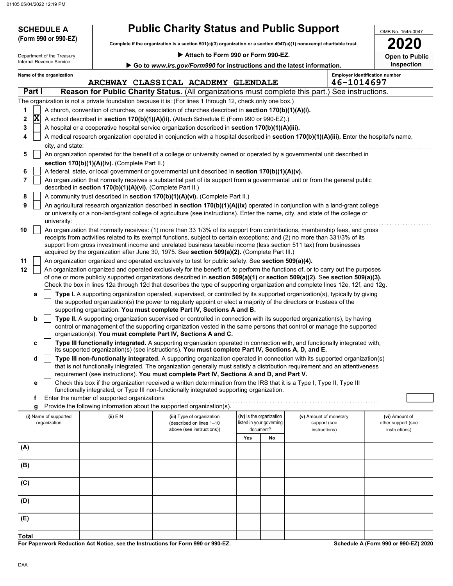01105 05/04/2022 12:19 PM

| <b>SCHEDULE A</b>            |                                                            | <b>Public Charity Status and Public Support</b>                                                                                                                                                                                                                 |                                       |    |                               |            | OMB No. 1545-0047                     |  |  |  |
|------------------------------|------------------------------------------------------------|-----------------------------------------------------------------------------------------------------------------------------------------------------------------------------------------------------------------------------------------------------------------|---------------------------------------|----|-------------------------------|------------|---------------------------------------|--|--|--|
| (Form 990 or 990-EZ)         |                                                            | Complete if the organization is a section 501(c)(3) organization or a section 4947(a)(1) nonexempt charitable trust.                                                                                                                                            |                                       |    |                               |            | <b>2020</b>                           |  |  |  |
| Department of the Treasury   |                                                            | Attach to Form 990 or Form 990-EZ.                                                                                                                                                                                                                              |                                       |    |                               |            | <b>Open to Public</b>                 |  |  |  |
| Internal Revenue Service     |                                                            | Go to www.irs.gov/Form990 for instructions and the latest information.                                                                                                                                                                                          |                                       |    |                               |            | Inspection                            |  |  |  |
| Name of the organization     |                                                            |                                                                                                                                                                                                                                                                 |                                       |    |                               |            | <b>Employer identification number</b> |  |  |  |
|                              |                                                            | ARCHWAY CLASSICAL ACADEMY GLENDALE                                                                                                                                                                                                                              |                                       |    |                               | 46-1014697 |                                       |  |  |  |
| Part I                       |                                                            | Reason for Public Charity Status. (All organizations must complete this part.) See instructions.                                                                                                                                                                |                                       |    |                               |            |                                       |  |  |  |
| 1                            |                                                            | The organization is not a private foundation because it is: (For lines 1 through 12, check only one box.)<br>A church, convention of churches, or association of churches described in section 170(b)(1)(A)(i).                                                 |                                       |    |                               |            |                                       |  |  |  |
| $\overline{\mathbf{x}}$<br>2 |                                                            | A school described in section 170(b)(1)(A)(ii). (Attach Schedule E (Form 990 or 990-EZ).)                                                                                                                                                                       |                                       |    |                               |            |                                       |  |  |  |
| 3                            |                                                            | A hospital or a cooperative hospital service organization described in section 170(b)(1)(A)(iii).                                                                                                                                                               |                                       |    |                               |            |                                       |  |  |  |
| 4                            |                                                            | A medical research organization operated in conjunction with a hospital described in section 170(b)(1)(A)(iii). Enter the hospital's name,                                                                                                                      |                                       |    |                               |            |                                       |  |  |  |
| city, and state:             |                                                            |                                                                                                                                                                                                                                                                 |                                       |    |                               |            |                                       |  |  |  |
| 5                            | section 170(b)(1)(A)(iv). (Complete Part II.)              | An organization operated for the benefit of a college or university owned or operated by a governmental unit described in                                                                                                                                       |                                       |    |                               |            |                                       |  |  |  |
| 6                            |                                                            | A federal, state, or local government or governmental unit described in section 170(b)(1)(A)(v).                                                                                                                                                                |                                       |    |                               |            |                                       |  |  |  |
| 7                            |                                                            | An organization that normally receives a substantial part of its support from a governmental unit or from the general public                                                                                                                                    |                                       |    |                               |            |                                       |  |  |  |
|                              | described in section 170(b)(1)(A)(vi). (Complete Part II.) |                                                                                                                                                                                                                                                                 |                                       |    |                               |            |                                       |  |  |  |
| 8<br>9                       |                                                            | A community trust described in section 170(b)(1)(A)(vi). (Complete Part II.)<br>An agricultural research organization described in section 170(b)(1)(A)(ix) operated in conjunction with a land-grant college                                                   |                                       |    |                               |            |                                       |  |  |  |
| university:                  |                                                            | or university or a non-land-grant college of agriculture (see instructions). Enter the name, city, and state of the college or                                                                                                                                  |                                       |    |                               |            |                                       |  |  |  |
| 10                           |                                                            | An organization that normally receives: (1) more than 33 1/3% of its support from contributions, membership fees, and gross                                                                                                                                     |                                       |    |                               |            |                                       |  |  |  |
|                              |                                                            | receipts from activities related to its exempt functions, subject to certain exceptions; and (2) no more than 331/3% of its<br>support from gross investment income and unrelated business taxable income (less section 511 tax) from businesses                |                                       |    |                               |            |                                       |  |  |  |
|                              |                                                            | acquired by the organization after June 30, 1975. See section 509(a)(2). (Complete Part III.)                                                                                                                                                                   |                                       |    |                               |            |                                       |  |  |  |
| 11                           |                                                            | An organization organized and operated exclusively to test for public safety. See section 509(a)(4).                                                                                                                                                            |                                       |    |                               |            |                                       |  |  |  |
| 12                           |                                                            | An organization organized and operated exclusively for the benefit of, to perform the functions of, or to carry out the purposes<br>of one or more publicly supported organizations described in section 509(a)(1) or section 509(a)(2). See section 509(a)(3). |                                       |    |                               |            |                                       |  |  |  |
|                              |                                                            | Check the box in lines 12a through 12d that describes the type of supporting organization and complete lines 12e, 12f, and 12g.                                                                                                                                 |                                       |    |                               |            |                                       |  |  |  |
| a                            |                                                            | Type I. A supporting organization operated, supervised, or controlled by its supported organization(s), typically by giving                                                                                                                                     |                                       |    |                               |            |                                       |  |  |  |
|                              |                                                            | the supported organization(s) the power to regularly appoint or elect a majority of the directors or trustees of the<br>supporting organization. You must complete Part IV, Sections A and B.                                                                   |                                       |    |                               |            |                                       |  |  |  |
| b                            |                                                            | Type II. A supporting organization supervised or controlled in connection with its supported organization(s), by having                                                                                                                                         |                                       |    |                               |            |                                       |  |  |  |
|                              |                                                            | control or management of the supporting organization vested in the same persons that control or manage the supported                                                                                                                                            |                                       |    |                               |            |                                       |  |  |  |
| c                            |                                                            | organization(s). You must complete Part IV, Sections A and C.<br>Type III functionally integrated. A supporting organization operated in connection with, and functionally integrated with,                                                                     |                                       |    |                               |            |                                       |  |  |  |
|                              |                                                            | its supported organization(s) (see instructions). You must complete Part IV, Sections A, D, and E.                                                                                                                                                              |                                       |    |                               |            |                                       |  |  |  |
| d                            |                                                            | Type III non-functionally integrated. A supporting organization operated in connection with its supported organization(s)<br>that is not functionally integrated. The organization generally must satisfy a distribution requirement and an attentiveness       |                                       |    |                               |            |                                       |  |  |  |
|                              |                                                            | requirement (see instructions). You must complete Part IV, Sections A and D, and Part V.                                                                                                                                                                        |                                       |    |                               |            |                                       |  |  |  |
| е                            |                                                            | Check this box if the organization received a written determination from the IRS that it is a Type I, Type II, Type III                                                                                                                                         |                                       |    |                               |            |                                       |  |  |  |
| f                            | Enter the number of supported organizations                | functionally integrated, or Type III non-functionally integrated supporting organization.                                                                                                                                                                       |                                       |    |                               |            |                                       |  |  |  |
| g                            |                                                            | Provide the following information about the supported organization(s).                                                                                                                                                                                          |                                       |    |                               |            |                                       |  |  |  |
| (i) Name of supported        | (ii) EIN                                                   | (iii) Type of organization                                                                                                                                                                                                                                      | (iv) Is the organization              |    | (v) Amount of monetary        |            | (vi) Amount of                        |  |  |  |
| organization                 |                                                            | (described on lines 1-10<br>above (see instructions))                                                                                                                                                                                                           | listed in your governing<br>document? |    | support (see<br>instructions) |            | other support (see<br>instructions)   |  |  |  |
|                              |                                                            |                                                                                                                                                                                                                                                                 | Yes                                   | No |                               |            |                                       |  |  |  |
| (A)                          |                                                            |                                                                                                                                                                                                                                                                 |                                       |    |                               |            |                                       |  |  |  |
|                              |                                                            |                                                                                                                                                                                                                                                                 |                                       |    |                               |            |                                       |  |  |  |
| (B)                          |                                                            |                                                                                                                                                                                                                                                                 |                                       |    |                               |            |                                       |  |  |  |
| (C)                          |                                                            |                                                                                                                                                                                                                                                                 |                                       |    |                               |            |                                       |  |  |  |
| (D)                          |                                                            |                                                                                                                                                                                                                                                                 |                                       |    |                               |            |                                       |  |  |  |
| (E)                          |                                                            |                                                                                                                                                                                                                                                                 |                                       |    |                               |            |                                       |  |  |  |
|                              |                                                            |                                                                                                                                                                                                                                                                 |                                       |    |                               |            |                                       |  |  |  |
| <b>Total</b>                 |                                                            |                                                                                                                                                                                                                                                                 |                                       |    |                               |            |                                       |  |  |  |

For Paperwork Reduction Act Notice, see the Instructions for Form 990 or 990-EZ.

Schedule A (Form 990 or 990-EZ) 2020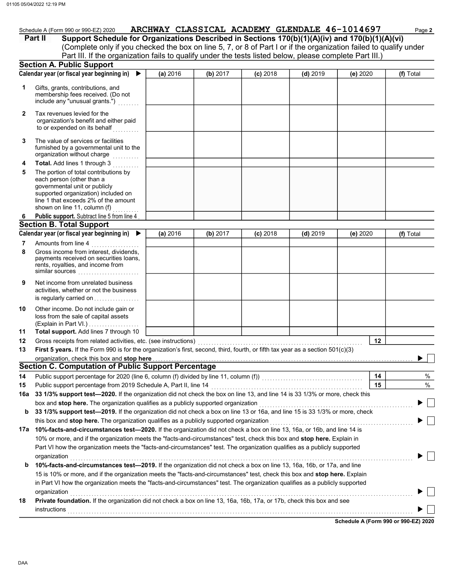|                                                                   | Schedule A (Form 990 or 990-EZ) 2020                                                                              |            |          |            |            | ARCHWAY CLASSICAL ACADEMY GLENDALE 46-1014697 | Page 2    |  |  |
|-------------------------------------------------------------------|-------------------------------------------------------------------------------------------------------------------|------------|----------|------------|------------|-----------------------------------------------|-----------|--|--|
| Part II                                                           | Support Schedule for Organizations Described in Sections 170(b)(1)(A)(iv) and 170(b)(1)(A)(vi)                    |            |          |            |            |                                               |           |  |  |
|                                                                   | (Complete only if you checked the box on line 5, 7, or 8 of Part I or if the organization failed to qualify under |            |          |            |            |                                               |           |  |  |
|                                                                   | Part III. If the organization fails to qualify under the tests listed below, please complete Part III.)           |            |          |            |            |                                               |           |  |  |
|                                                                   | <b>Section A. Public Support</b>                                                                                  |            |          |            |            |                                               |           |  |  |
| Calendar year (or fiscal year beginning in) $\blacktriangleright$ |                                                                                                                   | (a) $2016$ | (b) 2017 | $(c)$ 2018 | $(d)$ 2019 | (e) 2020                                      | (f) Total |  |  |
|                                                                   | Gifts, grants, contributions, and                                                                                 |            |          |            |            |                                               |           |  |  |

| 1            | Gifts, grants, contributions, and<br>membership fees received. (Do not<br>include any "unusual grants.")                                                                                                                |          |          |            |            |                                      |           |
|--------------|-------------------------------------------------------------------------------------------------------------------------------------------------------------------------------------------------------------------------|----------|----------|------------|------------|--------------------------------------|-----------|
| $\mathbf{2}$ | Tax revenues levied for the<br>organization's benefit and either paid<br>to or expended on its behalf                                                                                                                   |          |          |            |            |                                      |           |
| 3            | The value of services or facilities<br>furnished by a governmental unit to the<br>organization without charge                                                                                                           |          |          |            |            |                                      |           |
| 4            | Total. Add lines 1 through 3                                                                                                                                                                                            |          |          |            |            |                                      |           |
| 5            | The portion of total contributions by<br>each person (other than a<br>governmental unit or publicly<br>supported organization) included on<br>line 1 that exceeds 2% of the amount<br>shown on line 11, column (f)<br>. |          |          |            |            |                                      |           |
| 6            | Public support. Subtract line 5 from line 4                                                                                                                                                                             |          |          |            |            |                                      |           |
|              | <b>Section B. Total Support</b>                                                                                                                                                                                         |          |          |            |            |                                      |           |
|              | Calendar year (or fiscal year beginning in)                                                                                                                                                                             | (a) 2016 | (b) 2017 | $(c)$ 2018 | $(d)$ 2019 | (e) 2020                             | (f) Total |
| 7            | Amounts from line 4                                                                                                                                                                                                     |          |          |            |            |                                      |           |
| 8            | Gross income from interest, dividends,<br>payments received on securities loans,<br>rents, royalties, and income from<br>similar sources                                                                                |          |          |            |            |                                      |           |
| 9            | Net income from unrelated business<br>activities, whether or not the business<br>is regularly carried on                                                                                                                |          |          |            |            |                                      |           |
| 10           | Other income. Do not include gain or<br>loss from the sale of capital assets<br>(Explain in Part VI.)                                                                                                                   |          |          |            |            |                                      |           |
| 11           | Total support. Add lines 7 through 10                                                                                                                                                                                   |          |          |            |            |                                      |           |
| 12           |                                                                                                                                                                                                                         |          |          |            |            | 12                                   |           |
| 13           | First 5 years. If the Form 990 is for the organization's first, second, third, fourth, or fifth tax year as a section 501(c)(3)                                                                                         |          |          |            |            |                                      |           |
|              | organization, check this box and stop here                                                                                                                                                                              |          |          |            |            |                                      |           |
|              | Section C. Computation of Public Support Percentage                                                                                                                                                                     |          |          |            |            |                                      |           |
| 14           |                                                                                                                                                                                                                         |          |          |            |            | 14                                   | %         |
| 15           | Public support percentage from 2019 Schedule A, Part II, line 14                                                                                                                                                        |          |          |            |            | 15                                   | %         |
| 16a          | 33 1/3% support test-2020. If the organization did not check the box on line 13, and line 14 is 33 1/3% or more, check this                                                                                             |          |          |            |            |                                      |           |
|              | box and stop here. The organization qualifies as a publicly supported organization                                                                                                                                      |          |          |            |            |                                      |           |
| b            | 33 1/3% support test-2019. If the organization did not check a box on line 13 or 16a, and line 15 is 33 1/3% or more, check                                                                                             |          |          |            |            |                                      |           |
|              | this box and stop here. The organization qualifies as a publicly supported organization<br>10%-facts-and-circumstances test-2020. If the organization did not check a box on line 13, 16a, or 16b, and line 14 is       |          |          |            |            |                                      |           |
| 17a          | 10% or more, and if the organization meets the "facts-and-circumstances" test, check this box and stop here. Explain in                                                                                                 |          |          |            |            |                                      |           |
|              | Part VI how the organization meets the "facts-and-circumstances" test. The organization qualifies as a publicly supported<br>organization                                                                               |          |          |            |            |                                      |           |
| b            | 10%-facts-and-circumstances test-2019. If the organization did not check a box on line 13, 16a, 16b, or 17a, and line                                                                                                   |          |          |            |            |                                      |           |
|              | 15 is 10% or more, and if the organization meets the "facts-and-circumstances" test, check this box and stop here. Explain                                                                                              |          |          |            |            |                                      |           |
|              | in Part VI how the organization meets the "facts-and-circumstances" test. The organization qualifies as a publicly supported                                                                                            |          |          |            |            |                                      |           |
|              | organization                                                                                                                                                                                                            |          |          |            |            |                                      |           |
| 18           | Private foundation. If the organization did not check a box on line 13, 16a, 16b, 17a, or 17b, check this box and see                                                                                                   |          |          |            |            |                                      |           |
|              |                                                                                                                                                                                                                         |          |          |            |            | Schedule A (Form 990 or 990-EZ) 2020 |           |
|              |                                                                                                                                                                                                                         |          |          |            |            |                                      |           |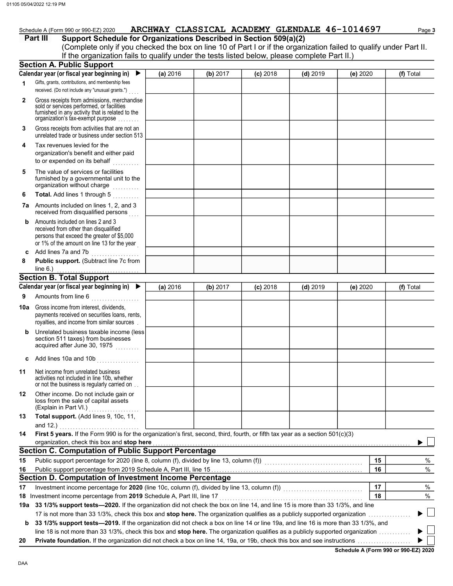## **Part III** Support Schedule for Organizations Described in Section 509(a)(2)

(Complete only if you checked the box on line 10 of Part I or if the organization failed to qualify under Part II. If the organization fails to qualify under the tests listed below, please complete Part II.)

|              | <b>Section A. Public Support</b>                                                                                                                                                  |          |          |            |            |          |    |           |
|--------------|-----------------------------------------------------------------------------------------------------------------------------------------------------------------------------------|----------|----------|------------|------------|----------|----|-----------|
|              | Calendar year (or fiscal year beginning in)<br>▶                                                                                                                                  | (a) 2016 | (b) 2017 | $(c)$ 2018 | $(d)$ 2019 | (e) 2020 |    | (f) Total |
| 1            | Gifts, grants, contributions, and membership fees                                                                                                                                 |          |          |            |            |          |    |           |
|              | received. (Do not include any "unusual grants.")                                                                                                                                  |          |          |            |            |          |    |           |
| $\mathbf{2}$ | Gross receipts from admissions, merchandise<br>sold or services performed, or facilities<br>furnished in any activity that is related to the<br>organization's tax-exempt purpose |          |          |            |            |          |    |           |
| 3            | Gross receipts from activities that are not an<br>unrelated trade or business under section 513                                                                                   |          |          |            |            |          |    |           |
| 4            | Tax revenues levied for the<br>organization's benefit and either paid<br>to or expended on its behalf<br>.                                                                        |          |          |            |            |          |    |           |
| 5            | The value of services or facilities<br>furnished by a governmental unit to the<br>organization without charge<br><u> 1999 - Jan Jan Ja</u>                                        |          |          |            |            |          |    |           |
| 6            | Total. Add lines 1 through 5                                                                                                                                                      |          |          |            |            |          |    |           |
|              | 7a Amounts included on lines 1, 2, and 3<br>received from disqualified persons                                                                                                    |          |          |            |            |          |    |           |
| b            | Amounts included on lines 2 and 3<br>received from other than disqualified<br>persons that exceed the greater of \$5,000<br>or 1% of the amount on line 13 for the year           |          |          |            |            |          |    |           |
| C            | Add lines 7a and 7b                                                                                                                                                               |          |          |            |            |          |    |           |
| 8            | Public support. (Subtract line 7c from                                                                                                                                            |          |          |            |            |          |    |           |
|              | line $6.$ )                                                                                                                                                                       |          |          |            |            |          |    |           |
|              | <b>Section B. Total Support</b>                                                                                                                                                   |          |          |            |            |          |    |           |
|              | Calendar year (or fiscal year beginning in)                                                                                                                                       | (a) 2016 | (b) 2017 | $(c)$ 2018 | $(d)$ 2019 | (e) 2020 |    | (f) Total |
| 9            | Amounts from line 6                                                                                                                                                               |          |          |            |            |          |    |           |
| 10a          | Gross income from interest, dividends,<br>payments received on securities loans, rents,<br>royalties, and income from similar sources                                             |          |          |            |            |          |    |           |
| b            | Unrelated business taxable income (less)<br>section 511 taxes) from businesses<br>acquired after June 30, 1975                                                                    |          |          |            |            |          |    |           |
| c            | Add lines 10a and 10b                                                                                                                                                             |          |          |            |            |          |    |           |
| 11           | Net income from unrelated business<br>activities not included in line 10b, whether<br>or not the business is regularly carried on                                                 |          |          |            |            |          |    |           |
| 12           | Other income. Do not include gain or<br>loss from the sale of capital assets<br>(Explain in Part VI.)                                                                             |          |          |            |            |          |    |           |
| 13           | Total support. (Add lines 9, 10c, 11,                                                                                                                                             |          |          |            |            |          |    |           |
|              | and 12.)<br>.                                                                                                                                                                     |          |          |            |            |          |    |           |
| 14           | First 5 years. If the Form 990 is for the organization's first, second, third, fourth, or fifth tax year as a section 501(c)(3)                                                   |          |          |            |            |          |    |           |
|              | organization, check this box and stop here                                                                                                                                        |          |          |            |            |          |    |           |
|              | <b>Section C. Computation of Public Support Percentage</b>                                                                                                                        |          |          |            |            |          |    |           |
| 15           | Public support percentage for 2020 (line 8, column (f), divided by line 13, column (f)) [[[[[[[[[[[[[[[[[[[[[                                                                     |          |          |            |            |          | 15 | %         |
| 16           |                                                                                                                                                                                   |          |          |            |            |          | 16 | %         |
|              | Section D. Computation of Investment Income Percentage                                                                                                                            |          |          |            |            |          |    |           |
| 17           |                                                                                                                                                                                   |          |          |            |            |          | 17 | %         |
|              | 18 Investment income percentage from 2019 Schedule A, Part III, line 17                                                                                                           |          |          |            |            |          | 18 | %         |
| 19а          | 33 1/3% support tests-2020. If the organization did not check the box on line 14, and line 15 is more than 33 1/3%, and line                                                      |          |          |            |            |          |    |           |
|              | 17 is not more than 33 1/3%, check this box and stop here. The organization qualifies as a publicly supported organization                                                        |          |          |            |            |          |    |           |
| b            | 33 1/3% support tests-2019. If the organization did not check a box on line 14 or line 19a, and line 16 is more than 33 1/3%, and                                                 |          |          |            |            |          |    |           |
|              | line 18 is not more than 33 1/3%, check this box and stop here. The organization qualifies as a publicly supported organization                                                   |          |          |            |            |          |    |           |
| 20           |                                                                                                                                                                                   |          |          |            |            |          |    |           |

Schedule A (Form 990 or 990-EZ) 2020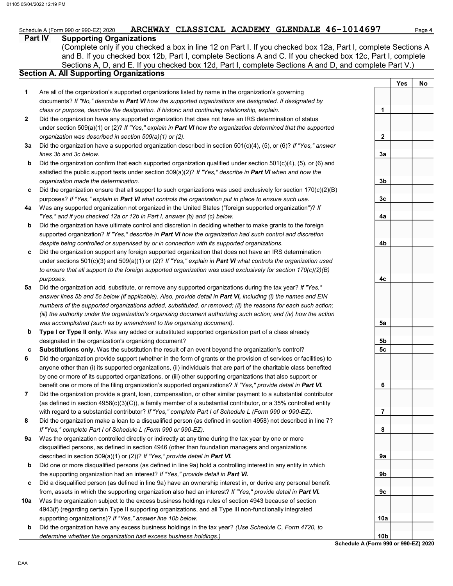#### Part IV Supporting Organizations

Sections A, D, and E. If you checked box 12d, Part I, complete Sections A and D, and complete Part V.) (Complete only if you checked a box in line 12 on Part I. If you checked box 12a, Part I, complete Sections A and B. If you checked box 12b, Part I, complete Sections A and C. If you checked box 12c, Part I, complete

## Section A. All Supporting Organizations

- Are all of the organization's supported organizations listed by name in the organization's governing documents? If "No," describe in Part VI how the supported organizations are designated. If designated by class or purpose, describe the designation. If historic and continuing relationship, explain. 1
- Did the organization have any supported organization that does not have an IRS determination of status under section 509(a)(1) or (2)? If "Yes," explain in Part VI how the organization determined that the supported organization was described in section 509(a)(1) or (2). 2
- **3a** Did the organization have a supported organization described in section 501(c)(4), (5), or (6)? If "Yes," answer lines 3b and 3c below.
- b Did the organization confirm that each supported organization qualified under section 501(c)(4), (5), or (6) and satisfied the public support tests under section  $509(a)(2)$ ? If "Yes," describe in Part VI when and how the organization made the determination.
- c Did the organization ensure that all support to such organizations was used exclusively for section 170(c)(2)(B) purposes? If "Yes," explain in Part VI what controls the organization put in place to ensure such use.
- 4a Was any supported organization not organized in the United States ("foreign supported organization")? If "Yes," and if you checked 12a or 12b in Part I, answer (b) and (c) below.
- b Did the organization have ultimate control and discretion in deciding whether to make grants to the foreign supported organization? If "Yes," describe in Part VI how the organization had such control and discretion despite being controlled or supervised by or in connection with its supported organizations.
- c Did the organization support any foreign supported organization that does not have an IRS determination under sections  $501(c)(3)$  and  $509(a)(1)$  or (2)? If "Yes," explain in Part VI what controls the organization used to ensure that all support to the foreign supported organization was used exclusively for section 170(c)(2)(B) purposes.
- 5a Did the organization add, substitute, or remove any supported organizations during the tax year? If "Yes," answer lines 5b and 5c below (if applicable). Also, provide detail in Part VI, including (i) the names and EIN numbers of the supported organizations added, substituted, or removed; (ii) the reasons for each such action; (iii) the authority under the organization's organizing document authorizing such action; and (iv) how the action was accomplished (such as by amendment to the organizing document).
- b Type I or Type II only. Was any added or substituted supported organization part of a class already designated in the organization's organizing document?
- c Substitutions only. Was the substitution the result of an event beyond the organization's control?
- 6 Did the organization provide support (whether in the form of grants or the provision of services or facilities) to anyone other than (i) its supported organizations, (ii) individuals that are part of the charitable class benefited by one or more of its supported organizations, or (iii) other supporting organizations that also support or benefit one or more of the filing organization's supported organizations? If "Yes," provide detail in Part VI.
- 7 Did the organization provide a grant, loan, compensation, or other similar payment to a substantial contributor (as defined in section  $4958(c)(3)(C)$ ), a family member of a substantial contributor, or a 35% controlled entity with regard to a substantial contributor? If "Yes," complete Part I of Schedule L (Form 990 or 990-EZ).
- 8 Did the organization make a loan to a disqualified person (as defined in section 4958) not described in line 7? If "Yes," complete Part I of Schedule L (Form 990 or 990-EZ).
- 9a Was the organization controlled directly or indirectly at any time during the tax year by one or more disqualified persons, as defined in section 4946 (other than foundation managers and organizations described in section 509(a)(1) or (2))? If "Yes," provide detail in Part VI.
- b Did one or more disqualified persons (as defined in line 9a) hold a controlling interest in any entity in which the supporting organization had an interest? If "Yes," provide detail in Part VI.
- c Did a disqualified person (as defined in line 9a) have an ownership interest in, or derive any personal benefit from, assets in which the supporting organization also had an interest? If "Yes," provide detail in Part VI.
- 10a Was the organization subject to the excess business holdings rules of section 4943 because of section 4943(f) (regarding certain Type II supporting organizations, and all Type III non-functionally integrated supporting organizations)? If "Yes," answer line 10b below.
- b Did the organization have any excess business holdings in the tax year? (Use Schedule C, Form 4720, to determine whether the organization had excess business holdings.)

Yes | No 1 2 3a 3b 3c 4a 4b 4c 5a 5b 5c 6 7 8 9a 9b 9c 10a 10b

Schedule A (Form 990 or 990-EZ) 2020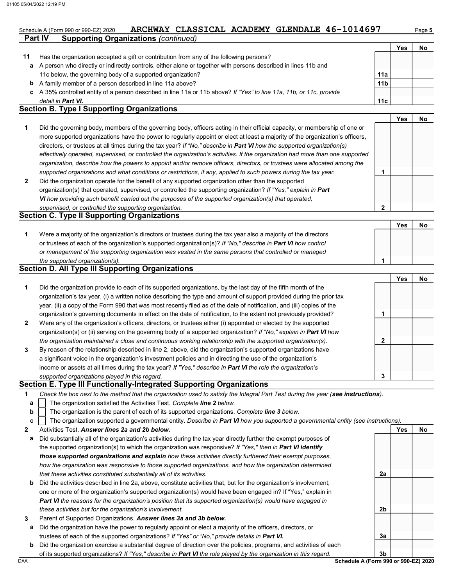$\sqrt{V_{\text{max}} + W_{\text{max}}}$ 

|    |                                                                                                                      |                 | Yes | No |
|----|----------------------------------------------------------------------------------------------------------------------|-----------------|-----|----|
| 11 | Has the organization accepted a gift or contribution from any of the following persons?                              |                 |     |    |
| a  | A person who directly or indirectly controls, either alone or together with persons described in lines 11b and       |                 |     |    |
|    | 11c below, the governing body of a supported organization?                                                           | 11a             |     |    |
|    | <b>b</b> A family member of a person described in line 11a above?                                                    | 11 <sub>b</sub> |     |    |
|    | c A 35% controlled entity of a person described in line 11a or 11b above? If "Yes" to line 11a, 11b, or 11c, provide |                 |     |    |
|    | detail in <b>Part VI.</b>                                                                                            | 11c             |     |    |

#### Section B. Type I Supporting Organizations

**Part IV Supporting Organizations (continued)** 

|                |                                                                                                                                |   | r es | NO |
|----------------|--------------------------------------------------------------------------------------------------------------------------------|---|------|----|
| 1              | Did the governing body, members of the governing body, officers acting in their official capacity, or membership of one or     |   |      |    |
|                | more supported organizations have the power to regularly appoint or elect at least a majority of the organization's officers,  |   |      |    |
|                | directors, or trustees at all times during the tax year? If "No," describe in <b>Part VI</b> how the supported organization(s) |   |      |    |
|                | effectively operated, supervised, or controlled the organization's activities. If the organization had more than one supported |   |      |    |
|                | organization, describe how the powers to appoint and/or remove officers, directors, or trustees were allocated among the       |   |      |    |
|                | supported organizations and what conditions or restrictions, if any, applied to such powers during the tax year.               |   |      |    |
| $\overline{2}$ | Did the organization operate for the benefit of any supported organization other than the supported                            |   |      |    |
|                | organization(s) that operated, supervised, or controlled the supporting organization? If "Yes," explain in Part                |   |      |    |
|                | VI how providing such benefit carried out the purposes of the supported organization(s) that operated,                         |   |      |    |
|                | supervised, or controlled the supporting organization.                                                                         | າ |      |    |

### Section C. Type II Supporting Organizations

|                                                                                                                      |  | No |
|----------------------------------------------------------------------------------------------------------------------|--|----|
| Were a majority of the organization's directors or trustees during the tax year also a majority of the directors     |  |    |
| or trustees of each of the organization's supported organization(s)? If "No," describe in <b>Part VI</b> how control |  |    |
| or management of the supporting organization was vested in the same persons that controlled or managed               |  |    |
| the supported organization(s).                                                                                       |  |    |

#### Section D. All Type III Supporting Organizations

|                |                                                                                                                        |   | Yes | No |
|----------------|------------------------------------------------------------------------------------------------------------------------|---|-----|----|
| 1              | Did the organization provide to each of its supported organizations, by the last day of the fifth month of the         |   |     |    |
|                | organization's tax year, (i) a written notice describing the type and amount of support provided during the prior tax  |   |     |    |
|                | year, (ii) a copy of the Form 990 that was most recently filed as of the date of notification, and (iii) copies of the |   |     |    |
|                | organization's governing documents in effect on the date of notification, to the extent not previously provided?       |   |     |    |
| $\overline{2}$ | Were any of the organization's officers, directors, or trustees either (i) appointed or elected by the supported       |   |     |    |
|                | organization(s) or (ii) serving on the governing body of a supported organization? If "No," explain in Part VI how     |   |     |    |
|                | the organization maintained a close and continuous working relationship with the supported organization(s).            | 2 |     |    |
| $\mathbf{3}$   | By reason of the relationship described in line 2, above, did the organization's supported organizations have          |   |     |    |
|                | a significant voice in the organization's investment policies and in directing the use of the organization's           |   |     |    |
|                | income or assets at all times during the tax year? If "Yes," describe in Part VI the role the organization's           |   |     |    |
|                | supported organizations played in this regard.                                                                         | 3 |     |    |

#### Section E. Type III Functionally-Integrated Supporting Organizations

| Check the box next to the method that the organization used to satisfy the Integral Part Test during the year (see instructions). |  |
|-----------------------------------------------------------------------------------------------------------------------------------|--|

- The organization satisfied the Activities Test. Complete line 2 below. a
- The organization is the parent of each of its supported organizations. Complete line 3 below. b

|  | $\therefore$ The organization supported a governmental entity. Describe in Part VI how you supported a governmental entity (see instructions). |
|--|------------------------------------------------------------------------------------------------------------------------------------------------|

- 2 Activities Test. Answer lines 2a and 2b below.
- a Did substantially all of the organization's activities during the tax year directly further the exempt purposes of the supported organization(s) to which the organization was responsive? If "Yes," then in Part VI identify those supported organizations and explain how these activities directly furthered their exempt purposes, how the organization was responsive to those supported organizations, and how the organization determined that these activities constituted substantially all of its activities.
- b Did the activities described in line 2a, above, constitute activities that, but for the organization's involvement, one or more of the organization's supported organization(s) would have been engaged in? If "Yes," explain in Part VI the reasons for the organization's position that its supported organization(s) would have engaged in these activities but for the organization's involvement.
- 3 Parent of Supported Organizations. Answer lines 3a and 3b below.
	- a Did the organization have the power to regularly appoint or elect a majority of the officers, directors, or trustees of each of the supported organizations? If "Yes" or "No," provide details in Part VI.
- DAA Schedule A (Form 990 or 990-EZ) 2020 b Did the organization exercise a substantial degree of direction over the policies, programs, and activities of each of its supported organizations? If "Yes," describe in Part VI the role played by the organization in this regard.

3b

2a

2b

3a

Yes No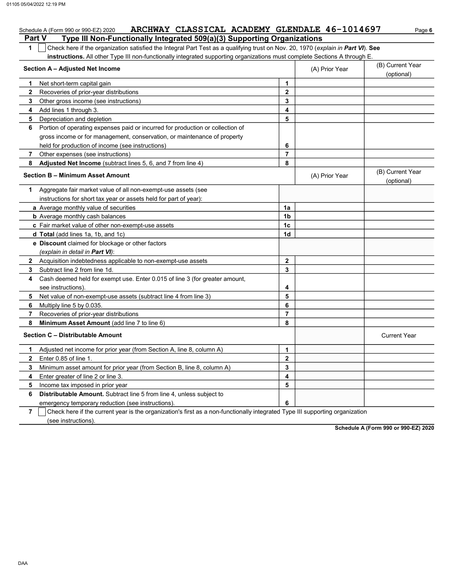| ARCHWAY CLASSICAL ACADEMY GLENDALE 46-1014697<br>Schedule A (Form 990 or 990-EZ) 2020                                                          |                |                | Page 6                         |
|------------------------------------------------------------------------------------------------------------------------------------------------|----------------|----------------|--------------------------------|
| Type III Non-Functionally Integrated 509(a)(3) Supporting Organizations<br><b>Part V</b>                                                       |                |                |                                |
| Check here if the organization satisfied the Integral Part Test as a qualifying trust on Nov. 20, 1970 (explain in Part VI). See<br>1          |                |                |                                |
| instructions. All other Type III non-functionally integrated supporting organizations must complete Sections A through E.                      |                |                |                                |
| Section A - Adjusted Net Income                                                                                                                |                | (A) Prior Year | (B) Current Year               |
|                                                                                                                                                |                |                | (optional)                     |
| Net short-term capital gain<br>1                                                                                                               | 1              |                |                                |
| 2<br>Recoveries of prior-year distributions                                                                                                    | $\mathbf{2}$   |                |                                |
| 3<br>Other gross income (see instructions)                                                                                                     | 3              |                |                                |
| Add lines 1 through 3.<br>4                                                                                                                    | 4              |                |                                |
| Depreciation and depletion<br>5                                                                                                                | 5              |                |                                |
| Portion of operating expenses paid or incurred for production or collection of<br>6                                                            |                |                |                                |
| gross income or for management, conservation, or maintenance of property                                                                       |                |                |                                |
| held for production of income (see instructions)                                                                                               | 6              |                |                                |
| Other expenses (see instructions)<br>7                                                                                                         | 7              |                |                                |
| 8<br>Adjusted Net Income (subtract lines 5, 6, and 7 from line 4)                                                                              | 8              |                |                                |
| Section B - Minimum Asset Amount                                                                                                               |                | (A) Prior Year | (B) Current Year<br>(optional) |
| Aggregate fair market value of all non-exempt-use assets (see<br>1.                                                                            |                |                |                                |
| instructions for short tax year or assets held for part of year):                                                                              |                |                |                                |
| a Average monthly value of securities                                                                                                          | 1a             |                |                                |
| <b>b</b> Average monthly cash balances                                                                                                         | 1b             |                |                                |
| c Fair market value of other non-exempt-use assets                                                                                             | 1 <sub>c</sub> |                |                                |
| d Total (add lines 1a, 1b, and 1c)                                                                                                             | 1d             |                |                                |
| e Discount claimed for blockage or other factors                                                                                               |                |                |                                |
| (explain in detail in Part VI):                                                                                                                |                |                |                                |
| $\mathbf{2}$<br>Acquisition indebtedness applicable to non-exempt-use assets                                                                   | $\mathbf 2$    |                |                                |
| 3<br>Subtract line 2 from line 1d.                                                                                                             | 3              |                |                                |
| Cash deemed held for exempt use. Enter 0.015 of line 3 (for greater amount,<br>4                                                               |                |                |                                |
| see instructions).                                                                                                                             | 4              |                |                                |
| Net value of non-exempt-use assets (subtract line 4 from line 3)<br>5                                                                          | 5              |                |                                |
| 6<br>Multiply line 5 by 0.035.                                                                                                                 | 6              |                |                                |
| 7<br>Recoveries of prior-year distributions                                                                                                    | 7              |                |                                |
| Minimum Asset Amount (add line 7 to line 6)<br>8                                                                                               | 8              |                |                                |
| Section C - Distributable Amount                                                                                                               |                |                | <b>Current Year</b>            |
| Adjusted net income for prior year (from Section A, line 8, column A)<br>1                                                                     | 1              |                |                                |
| Enter 0.85 of line 1.<br>2                                                                                                                     | 2              |                |                                |
| 3<br>Minimum asset amount for prior year (from Section B, line 8, column A)                                                                    | 3              |                |                                |
| Enter greater of line 2 or line 3.<br>4                                                                                                        | 4              |                |                                |
| 5<br>Income tax imposed in prior year                                                                                                          | 5              |                |                                |
| Distributable Amount. Subtract line 5 from line 4, unless subject to<br>6                                                                      |                |                |                                |
| emergency temporary reduction (see instructions).                                                                                              | 6              |                |                                |
| $\overline{7}$<br>Check here if the current year is the organization's first as a non-functionally integrated Type III supporting organization |                |                |                                |

(see instructions).

Schedule A (Form 990 or 990-EZ) 2020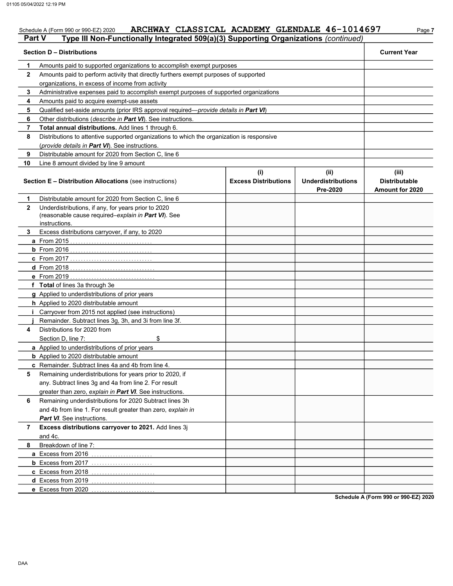| Part V<br>Type III Non-Functionally Integrated 509(a)(3) Supporting Organizations (continued) |                                                                                            |                                    |                                               |                                                  |  |  |  |
|-----------------------------------------------------------------------------------------------|--------------------------------------------------------------------------------------------|------------------------------------|-----------------------------------------------|--------------------------------------------------|--|--|--|
|                                                                                               | <b>Section D - Distributions</b>                                                           |                                    |                                               | <b>Current Year</b>                              |  |  |  |
| 1                                                                                             | Amounts paid to supported organizations to accomplish exempt purposes                      |                                    |                                               |                                                  |  |  |  |
| $\mathbf{2}$                                                                                  | Amounts paid to perform activity that directly furthers exempt purposes of supported       |                                    |                                               |                                                  |  |  |  |
|                                                                                               | organizations, in excess of income from activity                                           |                                    |                                               |                                                  |  |  |  |
| 3                                                                                             | Administrative expenses paid to accomplish exempt purposes of supported organizations      |                                    |                                               |                                                  |  |  |  |
| 4                                                                                             | Amounts paid to acquire exempt-use assets                                                  |                                    |                                               |                                                  |  |  |  |
| 5                                                                                             | Qualified set-aside amounts (prior IRS approval required—provide details in Part VI)       |                                    |                                               |                                                  |  |  |  |
| 6                                                                                             | Other distributions (describe in Part VI). See instructions.                               |                                    |                                               |                                                  |  |  |  |
| 7                                                                                             | Total annual distributions. Add lines 1 through 6.                                         |                                    |                                               |                                                  |  |  |  |
| 8                                                                                             | Distributions to attentive supported organizations to which the organization is responsive |                                    |                                               |                                                  |  |  |  |
|                                                                                               | (provide details in Part VI). See instructions.                                            |                                    |                                               |                                                  |  |  |  |
| 9                                                                                             | Distributable amount for 2020 from Section C, line 6                                       |                                    |                                               |                                                  |  |  |  |
| 10                                                                                            | Line 8 amount divided by line 9 amount                                                     |                                    |                                               |                                                  |  |  |  |
|                                                                                               | <b>Section E - Distribution Allocations (see instructions)</b>                             | (i)<br><b>Excess Distributions</b> | (ii)<br><b>Underdistributions</b><br>Pre-2020 | (iii)<br><b>Distributable</b><br>Amount for 2020 |  |  |  |
| 1                                                                                             | Distributable amount for 2020 from Section C, line 6                                       |                                    |                                               |                                                  |  |  |  |
| $\mathbf{2}$                                                                                  | Underdistributions, if any, for years prior to 2020                                        |                                    |                                               |                                                  |  |  |  |
|                                                                                               | (reasonable cause required-explain in Part VI). See                                        |                                    |                                               |                                                  |  |  |  |
|                                                                                               | instructions.                                                                              |                                    |                                               |                                                  |  |  |  |
| 3                                                                                             | Excess distributions carryover, if any, to 2020                                            |                                    |                                               |                                                  |  |  |  |
|                                                                                               |                                                                                            |                                    |                                               |                                                  |  |  |  |
|                                                                                               |                                                                                            |                                    |                                               |                                                  |  |  |  |
|                                                                                               | <b>c</b> From 2017                                                                         |                                    |                                               |                                                  |  |  |  |
|                                                                                               |                                                                                            |                                    |                                               |                                                  |  |  |  |
|                                                                                               |                                                                                            |                                    |                                               |                                                  |  |  |  |
|                                                                                               | f Total of lines 3a through 3e                                                             |                                    |                                               |                                                  |  |  |  |
|                                                                                               | g Applied to underdistributions of prior years                                             |                                    |                                               |                                                  |  |  |  |
|                                                                                               | h Applied to 2020 distributable amount                                                     |                                    |                                               |                                                  |  |  |  |
| Ť.                                                                                            | Carryover from 2015 not applied (see instructions)                                         |                                    |                                               |                                                  |  |  |  |
| 4                                                                                             | Remainder. Subtract lines 3g, 3h, and 3i from line 3f.<br>Distributions for 2020 from      |                                    |                                               |                                                  |  |  |  |
|                                                                                               | Section D, line 7:<br>\$                                                                   |                                    |                                               |                                                  |  |  |  |
|                                                                                               | a Applied to underdistributions of prior years                                             |                                    |                                               |                                                  |  |  |  |
|                                                                                               | <b>b</b> Applied to 2020 distributable amount                                              |                                    |                                               |                                                  |  |  |  |
|                                                                                               | <b>c</b> Remainder. Subtract lines 4a and 4b from line 4.                                  |                                    |                                               |                                                  |  |  |  |
| 5                                                                                             | Remaining underdistributions for years prior to 2020, if                                   |                                    |                                               |                                                  |  |  |  |
|                                                                                               | any. Subtract lines 3g and 4a from line 2. For result                                      |                                    |                                               |                                                  |  |  |  |
|                                                                                               | greater than zero, explain in Part VI. See instructions.                                   |                                    |                                               |                                                  |  |  |  |
| 6                                                                                             | Remaining underdistributions for 2020 Subtract lines 3h                                    |                                    |                                               |                                                  |  |  |  |
|                                                                                               | and 4b from line 1. For result greater than zero, explain in                               |                                    |                                               |                                                  |  |  |  |
|                                                                                               | <b>Part VI</b> . See instructions.                                                         |                                    |                                               |                                                  |  |  |  |
| 7                                                                                             | Excess distributions carryover to 2021. Add lines 3j                                       |                                    |                                               |                                                  |  |  |  |
|                                                                                               | and 4c.                                                                                    |                                    |                                               |                                                  |  |  |  |
| 8                                                                                             | Breakdown of line 7:                                                                       |                                    |                                               |                                                  |  |  |  |
|                                                                                               | a Excess from 2016<br>.                                                                    |                                    |                                               |                                                  |  |  |  |
|                                                                                               |                                                                                            |                                    |                                               |                                                  |  |  |  |
|                                                                                               | c Excess from 2018                                                                         |                                    |                                               |                                                  |  |  |  |
|                                                                                               | d Excess from 2019<br>.                                                                    |                                    |                                               |                                                  |  |  |  |
|                                                                                               | e Excess from 2020                                                                         |                                    |                                               |                                                  |  |  |  |

Schedule A (Form 990 or 990-EZ) 2020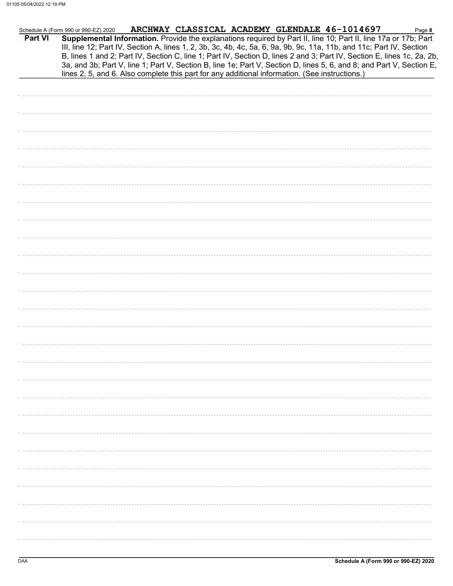| <b>Part VI</b> | ARCHWAY CLASSICAL ACADEMY GLENDALE 46-1014697<br>Schedule A (Form 990 or 990-EZ) 2020<br>Page 8<br>Supplemental Information. Provide the explanations required by Part II, line 10; Part II, line 17a or 17b; Part<br>III, line 12; Part IV, Section A, lines 1, 2, 3b, 3c, 4b, 4c, 5a, 6, 9a, 9b, 9c, 11a, 11b, and 11c; Part IV, Section<br>B, lines 1 and 2; Part IV, Section C, line 1; Part IV, Section D, lines 2 and 3; Part IV, Section E, lines 1c, 2a, 2b,<br>3a, and 3b; Part V, line 1; Part V, Section B, line 1e; Part V, Section D, lines 5, 6, and 8; and Part V, Section E,<br>lines 2, 5, and 6. Also complete this part for any additional information. (See instructions.) |
|----------------|------------------------------------------------------------------------------------------------------------------------------------------------------------------------------------------------------------------------------------------------------------------------------------------------------------------------------------------------------------------------------------------------------------------------------------------------------------------------------------------------------------------------------------------------------------------------------------------------------------------------------------------------------------------------------------------------|
|                |                                                                                                                                                                                                                                                                                                                                                                                                                                                                                                                                                                                                                                                                                                |
|                |                                                                                                                                                                                                                                                                                                                                                                                                                                                                                                                                                                                                                                                                                                |
|                |                                                                                                                                                                                                                                                                                                                                                                                                                                                                                                                                                                                                                                                                                                |
|                |                                                                                                                                                                                                                                                                                                                                                                                                                                                                                                                                                                                                                                                                                                |
|                |                                                                                                                                                                                                                                                                                                                                                                                                                                                                                                                                                                                                                                                                                                |
|                |                                                                                                                                                                                                                                                                                                                                                                                                                                                                                                                                                                                                                                                                                                |
|                |                                                                                                                                                                                                                                                                                                                                                                                                                                                                                                                                                                                                                                                                                                |
|                |                                                                                                                                                                                                                                                                                                                                                                                                                                                                                                                                                                                                                                                                                                |
|                |                                                                                                                                                                                                                                                                                                                                                                                                                                                                                                                                                                                                                                                                                                |
|                |                                                                                                                                                                                                                                                                                                                                                                                                                                                                                                                                                                                                                                                                                                |
|                |                                                                                                                                                                                                                                                                                                                                                                                                                                                                                                                                                                                                                                                                                                |
|                |                                                                                                                                                                                                                                                                                                                                                                                                                                                                                                                                                                                                                                                                                                |
|                |                                                                                                                                                                                                                                                                                                                                                                                                                                                                                                                                                                                                                                                                                                |
|                |                                                                                                                                                                                                                                                                                                                                                                                                                                                                                                                                                                                                                                                                                                |
|                |                                                                                                                                                                                                                                                                                                                                                                                                                                                                                                                                                                                                                                                                                                |
|                |                                                                                                                                                                                                                                                                                                                                                                                                                                                                                                                                                                                                                                                                                                |
|                |                                                                                                                                                                                                                                                                                                                                                                                                                                                                                                                                                                                                                                                                                                |
|                |                                                                                                                                                                                                                                                                                                                                                                                                                                                                                                                                                                                                                                                                                                |
|                |                                                                                                                                                                                                                                                                                                                                                                                                                                                                                                                                                                                                                                                                                                |
|                |                                                                                                                                                                                                                                                                                                                                                                                                                                                                                                                                                                                                                                                                                                |
|                |                                                                                                                                                                                                                                                                                                                                                                                                                                                                                                                                                                                                                                                                                                |
|                |                                                                                                                                                                                                                                                                                                                                                                                                                                                                                                                                                                                                                                                                                                |
|                |                                                                                                                                                                                                                                                                                                                                                                                                                                                                                                                                                                                                                                                                                                |
|                |                                                                                                                                                                                                                                                                                                                                                                                                                                                                                                                                                                                                                                                                                                |
|                |                                                                                                                                                                                                                                                                                                                                                                                                                                                                                                                                                                                                                                                                                                |
|                |                                                                                                                                                                                                                                                                                                                                                                                                                                                                                                                                                                                                                                                                                                |
|                |                                                                                                                                                                                                                                                                                                                                                                                                                                                                                                                                                                                                                                                                                                |
|                |                                                                                                                                                                                                                                                                                                                                                                                                                                                                                                                                                                                                                                                                                                |
|                |                                                                                                                                                                                                                                                                                                                                                                                                                                                                                                                                                                                                                                                                                                |
|                |                                                                                                                                                                                                                                                                                                                                                                                                                                                                                                                                                                                                                                                                                                |
|                |                                                                                                                                                                                                                                                                                                                                                                                                                                                                                                                                                                                                                                                                                                |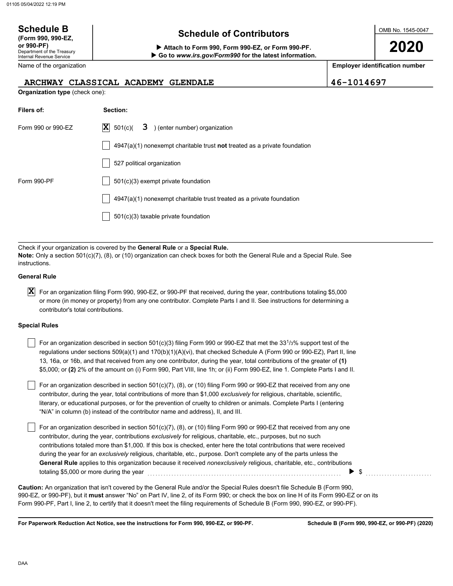| <b>Schedule B</b><br>(Form 990, 990-EZ,<br>or 990-PF)<br>Department of the Treasury<br>Internal Revenue Service | <b>Schedule of Contributors</b><br>Attach to Form 990, Form 990-EZ, or Form 990-PF.<br>$\triangleright$ Go to www.irs.gov/Form990 for the latest information. |            | OMB No. 1545-0047<br>2020             |
|-----------------------------------------------------------------------------------------------------------------|---------------------------------------------------------------------------------------------------------------------------------------------------------------|------------|---------------------------------------|
| Name of the organization                                                                                        |                                                                                                                                                               |            | <b>Employer identification number</b> |
|                                                                                                                 | ARCHWAY CLASSICAL ACADEMY<br><b>GLENDALE</b>                                                                                                                  | 46-1014697 |                                       |
| <b>Organization type (check one):</b>                                                                           |                                                                                                                                                               |            |                                       |
| Filers of:                                                                                                      | Section:                                                                                                                                                      |            |                                       |
| Form 990 or 990-EZ                                                                                              | X<br>3 ) (enter number) organization<br>501(c)(                                                                                                               |            |                                       |
|                                                                                                                 | $4947(a)(1)$ nonexempt charitable trust <b>not</b> treated as a private foundation                                                                            |            |                                       |
|                                                                                                                 | 527 political organization                                                                                                                                    |            |                                       |
| Form 990-PF                                                                                                     | 501(c)(3) exempt private foundation                                                                                                                           |            |                                       |
|                                                                                                                 | 4947(a)(1) nonexempt charitable trust treated as a private foundation                                                                                         |            |                                       |
|                                                                                                                 | $501(c)(3)$ taxable private foundation                                                                                                                        |            |                                       |

Check if your organization is covered by the General Rule or a Special Rule. Note: Only a section 501(c)(7), (8), or (10) organization can check boxes for both the General Rule and a Special Rule. See instructions.

#### General Rule

 $\bm{X}$  For an organization filing Form 990, 990-EZ, or 990-PF that received, during the year, contributions totaling \$5,000 or more (in money or property) from any one contributor. Complete Parts I and II. See instructions for determining a contributor's total contributions.

#### Special Rules

| For an organization described in section 501(c)(3) filing Form 990 or 990-EZ that met the 33 <sup>1</sup> /3% support test of the |
|-----------------------------------------------------------------------------------------------------------------------------------|
| regulations under sections 509(a)(1) and 170(b)(1)(A)(vi), that checked Schedule A (Form 990 or 990-EZ), Part II, line            |
| 13, 16a, or 16b, and that received from any one contributor, during the year, total contributions of the greater of (1)           |
| \$5,000; or (2) 2% of the amount on (i) Form 990, Part VIII, line 1h; or (ii) Form 990-EZ, line 1. Complete Parts I and II.       |

literary, or educational purposes, or for the prevention of cruelty to children or animals. Complete Parts I (entering For an organization described in section 501(c)(7), (8), or (10) filing Form 990 or 990-EZ that received from any one contributor, during the year, total contributions of more than \$1,000 exclusively for religious, charitable, scientific, "N/A" in column (b) instead of the contributor name and address), II, and III.

For an organization described in section  $501(c)(7)$ ,  $(8)$ , or  $(10)$  filing Form 990 or 990-EZ that received from any one contributor, during the year, contributions exclusively for religious, charitable, etc., purposes, but no such contributions totaled more than \$1,000. If this box is checked, enter here the total contributions that were received during the year for an exclusively religious, charitable, etc., purpose. Don't complete any of the parts unless the General Rule applies to this organization because it received nonexclusively religious, charitable, etc., contributions  $\text{totaling }$  \$5,000 or more during the year  $\ldots$   $\ldots$   $\ldots$   $\ldots$   $\ldots$   $\ldots$   $\ldots$   $\ldots$   $\ldots$   $\ldots$   $\blacksquare$ 

990-EZ, or 990-PF), but it must answer "No" on Part IV, line 2, of its Form 990; or check the box on line H of its Form 990-EZ or on its Form 990-PF, Part I, line 2, to certify that it doesn't meet the filing requirements of Schedule B (Form 990, 990-EZ, or 990-PF). Caution: An organization that isn't covered by the General Rule and/or the Special Rules doesn't file Schedule B (Form 990,

For Paperwork Reduction Act Notice, see the instructions for Form 990, 990-EZ, or 990-PF.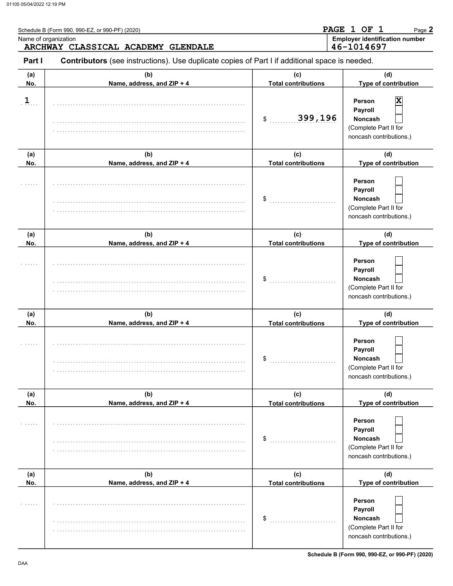| Schedule B (Form 990, 990-EZ, or 990-PF) (2020)<br>Name of organization |                                                                                                                                      |                                   | PAGE 1 OF 1<br>Page 2<br><b>Employer identification number</b>                                                  |  |  |
|-------------------------------------------------------------------------|--------------------------------------------------------------------------------------------------------------------------------------|-----------------------------------|-----------------------------------------------------------------------------------------------------------------|--|--|
| Part I                                                                  | ARCHWAY CLASSICAL ACADEMY GLENDALE<br>Contributors (see instructions). Use duplicate copies of Part I if additional space is needed. |                                   | 46-1014697                                                                                                      |  |  |
| (a)<br>No.                                                              | (b)<br>Name, address, and ZIP + 4                                                                                                    | (c)<br><b>Total contributions</b> |                                                                                                                 |  |  |
| $1$                                                                     |                                                                                                                                      | 399,196<br>\$                     | X<br>Person<br>Payroll<br>Noncash<br>(Complete Part II for<br>noncash contributions.)                           |  |  |
| (a)                                                                     | (b)                                                                                                                                  | (c)                               | (d)                                                                                                             |  |  |
| No.                                                                     | Name, address, and ZIP + 4                                                                                                           | <b>Total contributions</b>        | Type of contribution                                                                                            |  |  |
|                                                                         |                                                                                                                                      | \$                                | Person<br>Payroll<br>Noncash<br>(Complete Part II for<br>noncash contributions.)                                |  |  |
| (a)                                                                     | (b)                                                                                                                                  | (c)                               | (d)                                                                                                             |  |  |
| No.                                                                     | Name, address, and ZIP + 4                                                                                                           | <b>Total contributions</b>        | Type of contribution                                                                                            |  |  |
|                                                                         |                                                                                                                                      | \$                                | Person<br>Payroll<br>Noncash<br>(Complete Part II for<br>noncash contributions.)                                |  |  |
| (a)                                                                     | (b)                                                                                                                                  | (c)                               | (d)                                                                                                             |  |  |
| No.                                                                     | Name, address, and ZIP + 4                                                                                                           | <b>Total contributions</b><br>\$  | Type of contribution<br>Person<br><b>Payroll</b><br>Noncash<br>(Complete Part II for<br>noncash contributions.) |  |  |
| (a)                                                                     | (b)                                                                                                                                  | (c)                               | (d)                                                                                                             |  |  |
| No.                                                                     | Name, address, and ZIP + 4                                                                                                           | <b>Total contributions</b>        | Type of contribution                                                                                            |  |  |
|                                                                         |                                                                                                                                      | \$                                | Person<br>Payroll<br><b>Noncash</b><br>(Complete Part II for<br>noncash contributions.)                         |  |  |
| (a)                                                                     | (b)                                                                                                                                  | (c)                               | (d)                                                                                                             |  |  |
| No.                                                                     | Name, address, and ZIP + 4                                                                                                           | <b>Total contributions</b>        | Type of contribution                                                                                            |  |  |
|                                                                         |                                                                                                                                      | \$                                | Person<br>Payroll<br><b>Noncash</b><br>(Complete Part II for<br>noncash contributions.)                         |  |  |

Schedule B (Form 990, 990-EZ, or 990-PF) (2020)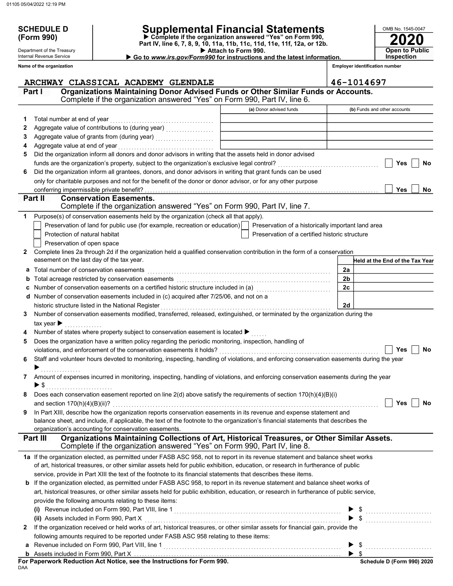SCHEDULE D<br>(Form 990)

Department of the Treasury Internal Revenue Service

# SCHEDULE D | Supplemental Financial Statements

 Attach to Form 990. Part IV, line 6, 7, 8, 9, 10, 11a, 11b, 11c, 11d, 11e, 11f, 12a, or 12b. Complete if the organization answered "Yes" on Form 990,

Go to www.irs.gov/Form990 for instructions and the latest information.

**Inspection** 

 $\frac{2020}{\text{Open to Public}}$ 

OMB No. 1545-0047

|              | Name of the organization                                                                                                                                                 |                                                    | <b>Employer identification number</b> |  |  |  |  |
|--------------|--------------------------------------------------------------------------------------------------------------------------------------------------------------------------|----------------------------------------------------|---------------------------------------|--|--|--|--|
|              | ARCHWAY CLASSICAL ACADEMY GLENDALE                                                                                                                                       |                                                    | 46-1014697                            |  |  |  |  |
|              | Organizations Maintaining Donor Advised Funds or Other Similar Funds or Accounts.<br>Part I<br>Complete if the organization answered "Yes" on Form 990, Part IV, line 6. |                                                    |                                       |  |  |  |  |
|              |                                                                                                                                                                          | (a) Donor advised funds                            | (b) Funds and other accounts          |  |  |  |  |
| 1            | Total number at end of year                                                                                                                                              |                                                    |                                       |  |  |  |  |
| 2            | Aggregate value of contributions to (during year)<br>[[[[[[[[[[[[[[[[]]]]]                                                                                               |                                                    |                                       |  |  |  |  |
| 3            |                                                                                                                                                                          |                                                    |                                       |  |  |  |  |
|              | Aggregate value at end of year                                                                                                                                           |                                                    |                                       |  |  |  |  |
| 5            | Did the organization inform all donors and donor advisors in writing that the assets held in donor advised                                                               |                                                    |                                       |  |  |  |  |
|              |                                                                                                                                                                          |                                                    | Yes<br>No                             |  |  |  |  |
| 6            | Did the organization inform all grantees, donors, and donor advisors in writing that grant funds can be used                                                             |                                                    |                                       |  |  |  |  |
|              | only for charitable purposes and not for the benefit of the donor or donor advisor, or for any other purpose                                                             |                                                    |                                       |  |  |  |  |
|              | conferring impermissible private benefit?                                                                                                                                |                                                    | <b>Yes</b><br><b>No</b>               |  |  |  |  |
|              | <b>Conservation Easements.</b><br>Part II                                                                                                                                |                                                    |                                       |  |  |  |  |
|              | Complete if the organization answered "Yes" on Form 990, Part IV, line 7.                                                                                                |                                                    |                                       |  |  |  |  |
| 1            | Purpose(s) of conservation easements held by the organization (check all that apply).                                                                                    |                                                    |                                       |  |  |  |  |
|              | Preservation of land for public use (for example, recreation or education)                                                                                               | Preservation of a historically important land area |                                       |  |  |  |  |
|              | Protection of natural habitat                                                                                                                                            | Preservation of a certified historic structure     |                                       |  |  |  |  |
|              | Preservation of open space                                                                                                                                               |                                                    |                                       |  |  |  |  |
| $\mathbf{2}$ | Complete lines 2a through 2d if the organization held a qualified conservation contribution in the form of a conservation                                                |                                                    |                                       |  |  |  |  |
|              | easement on the last day of the tax year.                                                                                                                                |                                                    | Held at the End of the Tax Year       |  |  |  |  |
| a            | Total number of conservation easements                                                                                                                                   |                                                    | 2a                                    |  |  |  |  |
| b            |                                                                                                                                                                          |                                                    | 2 <sub>b</sub>                        |  |  |  |  |
|              | Number of conservation easements on a certified historic structure included in (a) [[[[[[[[[[[[[[[[[[[[[[[[[]]                                                           |                                                    | 2c                                    |  |  |  |  |
| d            | Number of conservation easements included in (c) acquired after 7/25/06, and not on a                                                                                    |                                                    |                                       |  |  |  |  |
|              | historic structure listed in the National Register                                                                                                                       |                                                    | 2d                                    |  |  |  |  |
| 3            | Number of conservation easements modified, transferred, released, extinguished, or terminated by the organization during the                                             |                                                    |                                       |  |  |  |  |
|              | tax year $\blacktriangleright$                                                                                                                                           |                                                    |                                       |  |  |  |  |
|              | Number of states where property subject to conservation easement is located ▶                                                                                            |                                                    |                                       |  |  |  |  |
| 5            | Does the organization have a written policy regarding the periodic monitoring, inspection, handling of                                                                   |                                                    |                                       |  |  |  |  |
|              |                                                                                                                                                                          |                                                    | <b>Yes</b><br>No                      |  |  |  |  |
| 6            | Staff and volunteer hours devoted to monitoring, inspecting, handling of violations, and enforcing conservation easements during the year                                |                                                    |                                       |  |  |  |  |
|              |                                                                                                                                                                          |                                                    |                                       |  |  |  |  |
| 7            | Amount of expenses incurred in monitoring, inspecting, handling of violations, and enforcing conservation easements during the year                                      |                                                    |                                       |  |  |  |  |
|              | ▶ \$                                                                                                                                                                     |                                                    |                                       |  |  |  |  |
| 8            | Does each conservation easement reported on line $2(d)$ above satisfy the requirements of section $170(h)(4)(B)(i)$                                                      |                                                    |                                       |  |  |  |  |
|              | and section $170(h)(4)(B)(ii)$ ?                                                                                                                                         |                                                    | Yes<br>No                             |  |  |  |  |
| 9            | In Part XIII, describe how the organization reports conservation easements in its revenue and expense statement and                                                      |                                                    |                                       |  |  |  |  |
|              | balance sheet, and include, if applicable, the text of the footnote to the organization's financial statements that describes the                                        |                                                    |                                       |  |  |  |  |
|              | organization's accounting for conservation easements.                                                                                                                    |                                                    |                                       |  |  |  |  |
|              | Organizations Maintaining Collections of Art, Historical Treasures, or Other Similar Assets.<br>Part III                                                                 |                                                    |                                       |  |  |  |  |
|              | Complete if the organization answered "Yes" on Form 990, Part IV, line 8.                                                                                                |                                                    |                                       |  |  |  |  |
|              | 1a If the organization elected, as permitted under FASB ASC 958, not to report in its revenue statement and balance sheet works                                          |                                                    |                                       |  |  |  |  |
|              | of art, historical treasures, or other similar assets held for public exhibition, education, or research in furtherance of public                                        |                                                    |                                       |  |  |  |  |
|              | service, provide in Part XIII the text of the footnote to its financial statements that describes these items.                                                           |                                                    |                                       |  |  |  |  |
|              | <b>b</b> If the organization elected, as permitted under FASB ASC 958, to report in its revenue statement and balance sheet works of                                     |                                                    |                                       |  |  |  |  |
|              | art, historical treasures, or other similar assets held for public exhibition, education, or research in furtherance of public service,                                  |                                                    |                                       |  |  |  |  |
|              | provide the following amounts relating to these items:                                                                                                                   |                                                    |                                       |  |  |  |  |
|              |                                                                                                                                                                          |                                                    |                                       |  |  |  |  |
|              | (ii) Assets included in Form 990, Part X                                                                                                                                 |                                                    |                                       |  |  |  |  |
| $\mathbf{2}$ | If the organization received or held works of art, historical treasures, or other similar assets for financial gain, provide the                                         |                                                    |                                       |  |  |  |  |
|              | following amounts required to be reported under FASB ASC 958 relating to these items:                                                                                    |                                                    |                                       |  |  |  |  |
| а            |                                                                                                                                                                          |                                                    |                                       |  |  |  |  |
|              |                                                                                                                                                                          |                                                    |                                       |  |  |  |  |

DAA For Paperwork Reduction Act Notice, see the Instructions for Form 990.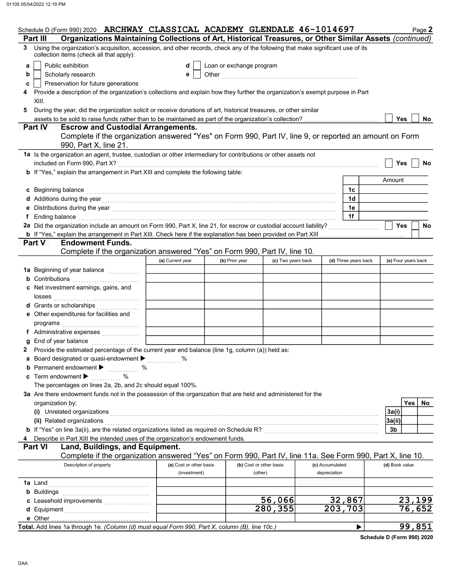|   | Schedule D (Form 990) 2020 ARCHWAY CLASSICAL ACADEMY GLENDALE 46-1014697                                                                                                                                                            |                         |                          |                         |                 |                      | Page 2              |
|---|-------------------------------------------------------------------------------------------------------------------------------------------------------------------------------------------------------------------------------------|-------------------------|--------------------------|-------------------------|-----------------|----------------------|---------------------|
|   | Organizations Maintaining Collections of Art, Historical Treasures, or Other Similar Assets (continued)<br>Part III                                                                                                                 |                         |                          |                         |                 |                      |                     |
| 3 | Using the organization's acquisition, accession, and other records, check any of the following that make significant use of its<br>collection items (check all that apply):                                                         |                         |                          |                         |                 |                      |                     |
| a | Public exhibition                                                                                                                                                                                                                   | d                       | Loan or exchange program |                         |                 |                      |                     |
| b | Scholarly research                                                                                                                                                                                                                  | е                       |                          |                         |                 |                      |                     |
| c | Preservation for future generations                                                                                                                                                                                                 |                         |                          |                         |                 |                      |                     |
|   | Provide a description of the organization's collections and explain how they further the organization's exempt purpose in Part                                                                                                      |                         |                          |                         |                 |                      |                     |
|   | XIII.                                                                                                                                                                                                                               |                         |                          |                         |                 |                      |                     |
| 5 | During the year, did the organization solicit or receive donations of art, historical treasures, or other similar                                                                                                                   |                         |                          |                         |                 |                      |                     |
|   |                                                                                                                                                                                                                                     |                         |                          |                         |                 |                      | <b>Yes</b><br>No    |
|   | <b>Part IV</b><br><b>Escrow and Custodial Arrangements.</b>                                                                                                                                                                         |                         |                          |                         |                 |                      |                     |
|   | Complete if the organization answered "Yes" on Form 990, Part IV, line 9, or reported an amount on Form<br>990, Part X, line 21.                                                                                                    |                         |                          |                         |                 |                      |                     |
|   | 1a Is the organization an agent, trustee, custodian or other intermediary for contributions or other assets not                                                                                                                     |                         |                          |                         |                 |                      |                     |
|   | included on Form 990, Part X?                                                                                                                                                                                                       |                         |                          |                         |                 |                      | Yes<br>No           |
|   | b If "Yes," explain the arrangement in Part XIII and complete the following table:                                                                                                                                                  |                         |                          |                         |                 |                      |                     |
|   |                                                                                                                                                                                                                                     |                         |                          |                         |                 |                      | Amount              |
|   | c Beginning balance                                                                                                                                                                                                                 |                         |                          |                         |                 | 1c                   |                     |
|   | d Additions during the year electron contracts and a set of the year of Additions during the year electron contracts and a set of Additions during the year electron contracts and a set of Additional Section 1.1 and 2.1 and      |                         |                          |                         |                 | 1d                   |                     |
|   |                                                                                                                                                                                                                                     |                         |                          |                         |                 | 1e                   |                     |
|   | Ending balance <b>constructs</b> and constructs are all the construction of the construction of the construction of the construction of the construction of the construction of the construction of the construction of the constru |                         |                          |                         |                 | 1f                   |                     |
|   | 2a Did the organization include an amount on Form 990, Part X, line 21, for escrow or custodial account liability?                                                                                                                  |                         |                          |                         |                 |                      | <b>Yes</b><br>No    |
|   |                                                                                                                                                                                                                                     |                         |                          |                         |                 |                      |                     |
|   | <b>Endowment Funds.</b><br><b>Part V</b>                                                                                                                                                                                            |                         |                          |                         |                 |                      |                     |
|   | Complete if the organization answered "Yes" on Form 990, Part IV, line 10.                                                                                                                                                          |                         |                          |                         |                 |                      |                     |
|   |                                                                                                                                                                                                                                     | (a) Current year        | (b) Prior year           | (c) Two years back      |                 | (d) Three years back | (e) Four years back |
|   | 1a Beginning of year balance                                                                                                                                                                                                        |                         |                          |                         |                 |                      |                     |
|   | <b>b</b> Contributions <b>contributions</b>                                                                                                                                                                                         |                         |                          |                         |                 |                      |                     |
|   | c Net investment earnings, gains, and                                                                                                                                                                                               |                         |                          |                         |                 |                      |                     |
|   | d Grants or scholarships                                                                                                                                                                                                            |                         |                          |                         |                 |                      |                     |
|   | e Other expenditures for facilities and                                                                                                                                                                                             |                         |                          |                         |                 |                      |                     |
|   |                                                                                                                                                                                                                                     |                         |                          |                         |                 |                      |                     |
|   | programs<br>f Administrative expenses                                                                                                                                                                                               |                         |                          |                         |                 |                      |                     |
|   | g End of year balance                                                                                                                                                                                                               |                         |                          |                         |                 |                      |                     |
|   | 2 Provide the estimated percentage of the current year end balance (line 1g, column (a)) held as:                                                                                                                                   |                         |                          |                         |                 |                      |                     |
|   | a Board designated or quasi-endowment $\blacktriangleright$                                                                                                                                                                         |                         |                          |                         |                 |                      |                     |
|   | <b>b</b> Permanent endowment <b>D</b> 2006.                                                                                                                                                                                         |                         |                          |                         |                 |                      |                     |
|   | c Term endowment $\blacktriangleright$<br>$\%$                                                                                                                                                                                      |                         |                          |                         |                 |                      |                     |
|   | The percentages on lines 2a, 2b, and 2c should equal 100%.                                                                                                                                                                          |                         |                          |                         |                 |                      |                     |
|   | 3a Are there endowment funds not in the possession of the organization that are held and administered for the                                                                                                                       |                         |                          |                         |                 |                      |                     |
|   | organization by:                                                                                                                                                                                                                    |                         |                          |                         |                 |                      | <b>Yes</b><br>No    |
|   |                                                                                                                                                                                                                                     |                         |                          |                         |                 |                      | 3a(i)               |
|   | (ii) Related organizations                                                                                                                                                                                                          |                         |                          |                         |                 |                      | 3a(i)               |
|   |                                                                                                                                                                                                                                     |                         |                          |                         |                 |                      | 3 <sub>b</sub>      |
|   | Describe in Part XIII the intended uses of the organization's endowment funds.                                                                                                                                                      |                         |                          |                         |                 |                      |                     |
|   | Land, Buildings, and Equipment.<br><b>Part VI</b>                                                                                                                                                                                   |                         |                          |                         |                 |                      |                     |
|   | Complete if the organization answered "Yes" on Form 990, Part IV, line 11a. See Form 990, Part X, line 10.                                                                                                                          |                         |                          |                         |                 |                      |                     |
|   | Description of property                                                                                                                                                                                                             | (a) Cost or other basis |                          | (b) Cost or other basis | (c) Accumulated |                      | (d) Book value      |
|   |                                                                                                                                                                                                                                     | (investment)            |                          | (other)                 | depreciation    |                      |                     |
|   |                                                                                                                                                                                                                                     |                         |                          |                         |                 |                      |                     |
|   |                                                                                                                                                                                                                                     |                         |                          |                         |                 |                      |                     |
|   | c Leasehold improvements                                                                                                                                                                                                            |                         |                          | 56,066                  |                 | 32,867               | 23,199              |
|   |                                                                                                                                                                                                                                     |                         |                          | 280,355                 |                 | 203,703              | 76,652              |
|   |                                                                                                                                                                                                                                     |                         |                          |                         |                 |                      |                     |
|   | Total. Add lines 1a through 1e. (Column (d) must equal Form 990, Part X, column (B), line 10c.)                                                                                                                                     |                         |                          |                         |                 | ▶                    | 99,851              |

Schedule D (Form 990) 2020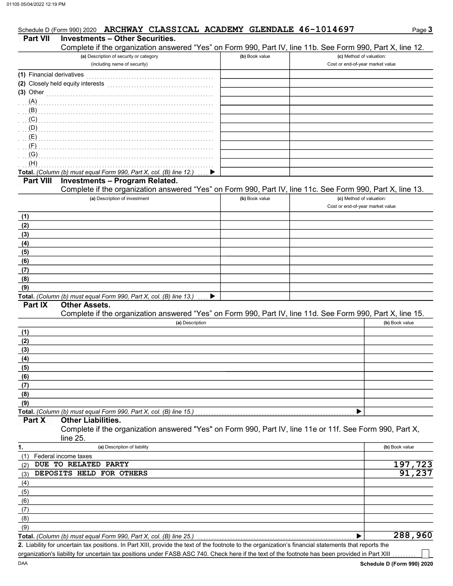| <b>Part VII</b>           | Schedule D (Form 990) 2020 ARCHWAY CLASSICAL ACADEMY GLENDALE 46-1014697<br><b>Investments - Other Securities.</b> |                |                                  | Page 3              |
|---------------------------|--------------------------------------------------------------------------------------------------------------------|----------------|----------------------------------|---------------------|
|                           | Complete if the organization answered "Yes" on Form 990, Part IV, line 11b. See Form 990, Part X, line 12.         |                |                                  |                     |
|                           | (a) Description of security or category                                                                            | (b) Book value | (c) Method of valuation:         |                     |
|                           | (including name of security)                                                                                       |                | Cost or end-of-year market value |                     |
| (1) Financial derivatives |                                                                                                                    |                |                                  |                     |
|                           | (2) Closely held equity interests                                                                                  |                |                                  |                     |
|                           | (3) Other $\qquad \qquad$ (3) Other $\qquad \qquad$                                                                |                |                                  |                     |
| (A)                       |                                                                                                                    |                |                                  |                     |
| (B)                       |                                                                                                                    |                |                                  |                     |
| (C)                       |                                                                                                                    |                |                                  |                     |
| (D)                       |                                                                                                                    |                |                                  |                     |
| (E)                       |                                                                                                                    |                |                                  |                     |
| (F)                       |                                                                                                                    |                |                                  |                     |
| (G)                       |                                                                                                                    |                |                                  |                     |
| (H)                       |                                                                                                                    |                |                                  |                     |
|                           | Total. (Column (b) must equal Form 990, Part X, col. (B) line 12.)                                                 |                |                                  |                     |
| <b>Part VIII</b>          | <b>Investments - Program Related.</b>                                                                              |                |                                  |                     |
|                           | Complete if the organization answered "Yes" on Form 990, Part IV, line 11c. See Form 990, Part X, line 13.         |                |                                  |                     |
|                           | (a) Description of investment                                                                                      | (b) Book value | (c) Method of valuation:         |                     |
|                           |                                                                                                                    |                | Cost or end-of-year market value |                     |
| (1)                       |                                                                                                                    |                |                                  |                     |
| (2)                       |                                                                                                                    |                |                                  |                     |
| (3)                       |                                                                                                                    |                |                                  |                     |
| (4)                       |                                                                                                                    |                |                                  |                     |
| (5)                       |                                                                                                                    |                |                                  |                     |
| (6)                       |                                                                                                                    |                |                                  |                     |
| (7)                       |                                                                                                                    |                |                                  |                     |
| (8)                       |                                                                                                                    |                |                                  |                     |
| (9)                       | Total. (Column (b) must equal Form 990, Part X, col. (B) line 13.)<br>▶                                            |                |                                  |                     |
| Part IX                   | <b>Other Assets.</b>                                                                                               |                |                                  |                     |
|                           | Complete if the organization answered "Yes" on Form 990, Part IV, line 11d. See Form 990, Part X, line 15.         |                |                                  |                     |
|                           | (a) Description                                                                                                    |                |                                  | (b) Book value      |
| (1)                       |                                                                                                                    |                |                                  |                     |
| (2)                       |                                                                                                                    |                |                                  |                     |
| (3)                       |                                                                                                                    |                |                                  |                     |
| (4)                       |                                                                                                                    |                |                                  |                     |
| (5)                       |                                                                                                                    |                |                                  |                     |
| (6)                       |                                                                                                                    |                |                                  |                     |
| (7)                       |                                                                                                                    |                |                                  |                     |
| (8)                       |                                                                                                                    |                |                                  |                     |
| (9)                       |                                                                                                                    |                |                                  |                     |
|                           | Total. (Column (b) must equal Form 990, Part X, col. (B) line 15.)                                                 |                |                                  |                     |
| Part X                    | <b>Other Liabilities.</b>                                                                                          |                |                                  |                     |
|                           | Complete if the organization answered "Yes" on Form 990, Part IV, line 11e or 11f. See Form 990, Part X,           |                |                                  |                     |
|                           | line 25.                                                                                                           |                |                                  |                     |
| 1.                        | (a) Description of liability                                                                                       |                |                                  | (b) Book value      |
| (1)                       | Federal income taxes                                                                                               |                |                                  |                     |
| (2)                       | DUE TO RELATED<br><b>PARTY</b>                                                                                     |                |                                  | 197,723             |
| (3)                       | DEPOSITS HELD FOR OTHERS                                                                                           |                |                                  | $\overline{9}1,237$ |
| (4)                       |                                                                                                                    |                |                                  |                     |
| (5)                       |                                                                                                                    |                |                                  |                     |
| (6)                       |                                                                                                                    |                |                                  |                     |
| (7)                       |                                                                                                                    |                |                                  |                     |
| (8)                       |                                                                                                                    |                |                                  |                     |
| (9)                       |                                                                                                                    |                |                                  |                     |
|                           | Total. (Column (b) must equal Form 990, Part X, col. (B) line 25.)                                                 |                |                                  | 288,960             |

Liability for uncertain tax positions. In Part XIII, provide the text of the footnote to the organization's financial statements that reports the 2. organization's liability for uncertain tax positions under FASB ASC 740. Check here if the text of the footnote has been provided in Part XIII.

- 1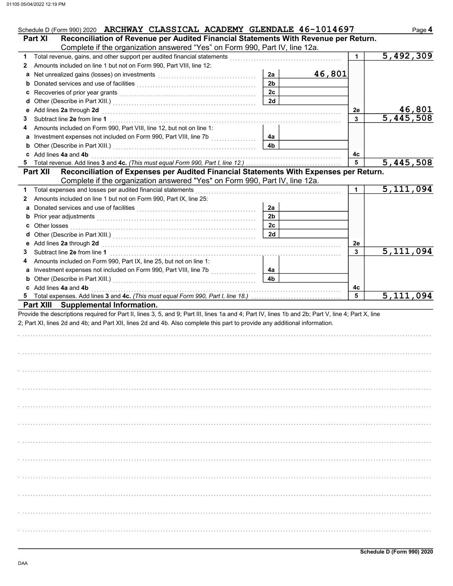| Schedule D (Form 990) 2020 ARCHWAY CLASSICAL ACADEMY GLENDALE 46-1014697<br>Reconciliation of Revenue per Audited Financial Statements With Revenue per Return.<br><b>Part XI</b>                                                                                                |                |        |    | Page 4      |
|----------------------------------------------------------------------------------------------------------------------------------------------------------------------------------------------------------------------------------------------------------------------------------|----------------|--------|----|-------------|
| Complete if the organization answered "Yes" on Form 990, Part IV, line 12a.                                                                                                                                                                                                      |                |        |    |             |
| 1.                                                                                                                                                                                                                                                                               |                |        | 1. | 5,492,309   |
| Amounts included on line 1 but not on Form 990, Part VIII, line 12:<br>2                                                                                                                                                                                                         |                |        |    |             |
|                                                                                                                                                                                                                                                                                  | 2a             | 46,801 |    |             |
| b Donated services and use of facilities [11] production contracts and service in the service of facilities (service of the service of the service of the service of the service of the service of the service of the service                                                    | 2 <sub>b</sub> |        |    |             |
|                                                                                                                                                                                                                                                                                  | 2c             |        |    |             |
|                                                                                                                                                                                                                                                                                  | 2d             |        |    |             |
| e Add lines 2a through 2d (and the contract of the contract of the contract of the contract of the contract of the contract of the contract of the contract of the contract of the contract of the contract of the contract of                                                   |                |        | 2е | 46,801      |
| 3                                                                                                                                                                                                                                                                                |                |        | 3  | 5, 445, 508 |
| Amounts included on Form 990, Part VIII, line 12, but not on line 1:<br>4                                                                                                                                                                                                        |                |        |    |             |
|                                                                                                                                                                                                                                                                                  | 4a             |        |    |             |
|                                                                                                                                                                                                                                                                                  | 4b             |        |    |             |
| c Add lines 4a and 4b                                                                                                                                                                                                                                                            |                |        | 4с |             |
| 5.                                                                                                                                                                                                                                                                               |                |        | 5  | 5,445,508   |
| Reconciliation of Expenses per Audited Financial Statements With Expenses per Return.<br><b>Part XII</b><br>Complete if the organization answered "Yes" on Form 990, Part IV, line 12a.                                                                                          |                |        |    |             |
| Total expenses and losses per audited financial statements<br>1.                                                                                                                                                                                                                 |                |        | 1. | 5,111,094   |
| Amounts included on line 1 but not on Form 990, Part IX, line 25:<br>2                                                                                                                                                                                                           |                |        |    |             |
|                                                                                                                                                                                                                                                                                  | 2a             |        |    |             |
|                                                                                                                                                                                                                                                                                  | 2 <sub>b</sub> |        |    |             |
|                                                                                                                                                                                                                                                                                  | 2c             |        |    |             |
|                                                                                                                                                                                                                                                                                  | 2d             |        |    |             |
| e Add lines 2a through 2d (exceptional contract of Add lines 2a through the Add lines 2a through 2d                                                                                                                                                                              |                |        | 2e |             |
| З                                                                                                                                                                                                                                                                                |                |        | 3  | 5, 111, 094 |
| Amounts included on Form 990, Part IX, line 25, but not on line 1:<br>4                                                                                                                                                                                                          |                |        |    |             |
| a Investment expenses not included on Form 990, Part VIII, line 7b                                                                                                                                                                                                               | 4a             |        |    |             |
|                                                                                                                                                                                                                                                                                  | 4b             |        |    |             |
| c Add lines 4a and 4b                                                                                                                                                                                                                                                            |                |        | 4с |             |
| 5                                                                                                                                                                                                                                                                                |                |        | 5  | 5, 111, 094 |
| Part XIII Supplemental Information.                                                                                                                                                                                                                                              |                |        |    |             |
| Provide the descriptions required for Part II, lines 3, 5, and 9; Part III, lines 1a and 4; Part IV, lines 1b and 2b; Part V, line 4; Part X, line<br>2; Part XI, lines 2d and 4b; and Part XII, lines 2d and 4b. Also complete this part to provide any additional information. |                |        |    |             |
|                                                                                                                                                                                                                                                                                  |                |        |    |             |
|                                                                                                                                                                                                                                                                                  |                |        |    |             |
|                                                                                                                                                                                                                                                                                  |                |        |    |             |
|                                                                                                                                                                                                                                                                                  |                |        |    |             |
|                                                                                                                                                                                                                                                                                  |                |        |    |             |
|                                                                                                                                                                                                                                                                                  |                |        |    |             |
|                                                                                                                                                                                                                                                                                  |                |        |    |             |
|                                                                                                                                                                                                                                                                                  |                |        |    |             |
|                                                                                                                                                                                                                                                                                  |                |        |    |             |
|                                                                                                                                                                                                                                                                                  |                |        |    |             |
|                                                                                                                                                                                                                                                                                  |                |        |    |             |
|                                                                                                                                                                                                                                                                                  |                |        |    |             |
|                                                                                                                                                                                                                                                                                  |                |        |    |             |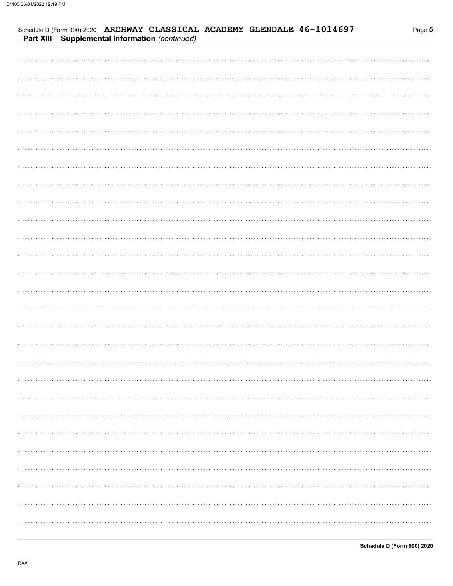| Schedule D (Form 990) 2020 ARCHWAY CLASSICAL ACADEMY GLENDALE 46-1014697<br>Part XIII Supplemental Information (continued) | Page 5 |
|----------------------------------------------------------------------------------------------------------------------------|--------|
|                                                                                                                            |        |
|                                                                                                                            |        |
|                                                                                                                            |        |
|                                                                                                                            |        |
|                                                                                                                            |        |
|                                                                                                                            |        |
|                                                                                                                            |        |
|                                                                                                                            |        |
|                                                                                                                            |        |
|                                                                                                                            |        |
|                                                                                                                            |        |
|                                                                                                                            |        |
|                                                                                                                            |        |
|                                                                                                                            |        |
|                                                                                                                            |        |
|                                                                                                                            |        |
|                                                                                                                            |        |
|                                                                                                                            |        |
|                                                                                                                            |        |
|                                                                                                                            |        |
|                                                                                                                            |        |
|                                                                                                                            |        |
|                                                                                                                            |        |
|                                                                                                                            |        |
|                                                                                                                            |        |
|                                                                                                                            |        |
|                                                                                                                            |        |
|                                                                                                                            |        |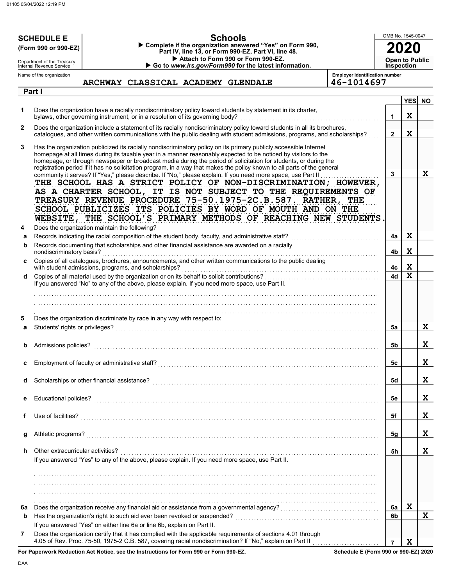|              | <b>SCHEDULE E</b>                                                                                                                       |  |                                                                           |  | <b>Schools</b>                                                                                                                                                                                                                                                                                                                                                                                                                                                                                                                                                                                    |                                       | OMB No. 1545-0047     |                   |           |  |
|--------------|-----------------------------------------------------------------------------------------------------------------------------------------|--|---------------------------------------------------------------------------|--|---------------------------------------------------------------------------------------------------------------------------------------------------------------------------------------------------------------------------------------------------------------------------------------------------------------------------------------------------------------------------------------------------------------------------------------------------------------------------------------------------------------------------------------------------------------------------------------------------|---------------------------------------|-----------------------|-------------------|-----------|--|
|              | Complete if the organization answered "Yes" on Form 990,<br>(Form 990 or 990-EZ)<br>Part IV, line 13, or Form 990-EZ, Part VI, line 48. |  |                                                                           |  |                                                                                                                                                                                                                                                                                                                                                                                                                                                                                                                                                                                                   |                                       |                       |                   |           |  |
|              | Department of the Treasury                                                                                                              |  |                                                                           |  | Attach to Form 990 or Form 990-EZ.                                                                                                                                                                                                                                                                                                                                                                                                                                                                                                                                                                |                                       | <b>Open to Public</b> |                   |           |  |
|              | Internal Revenue Service<br>Name of the organization                                                                                    |  |                                                                           |  | Go to www.irs.gov/Form990 for the latest information.                                                                                                                                                                                                                                                                                                                                                                                                                                                                                                                                             | <b>Employer identification number</b> |                       | <b>Inspection</b> |           |  |
|              |                                                                                                                                         |  | ARCHWAY CLASSICAL ACADEMY GLENDALE                                        |  |                                                                                                                                                                                                                                                                                                                                                                                                                                                                                                                                                                                                   | 46-1014697                            |                       |                   |           |  |
|              | Part I                                                                                                                                  |  |                                                                           |  |                                                                                                                                                                                                                                                                                                                                                                                                                                                                                                                                                                                                   |                                       |                       |                   |           |  |
|              |                                                                                                                                         |  |                                                                           |  |                                                                                                                                                                                                                                                                                                                                                                                                                                                                                                                                                                                                   |                                       |                       | <b>YES</b>        | <b>NO</b> |  |
| 1            |                                                                                                                                         |  |                                                                           |  | Does the organization have a racially nondiscriminatory policy toward students by statement in its charter,                                                                                                                                                                                                                                                                                                                                                                                                                                                                                       |                                       | 1                     | $\mathbf x$       |           |  |
| $\mathbf{2}$ |                                                                                                                                         |  |                                                                           |  | Does the organization include a statement of its racially nondiscriminatory policy toward students in all its brochures,<br>catalogues, and other written communications with the public dealing with student admissions, programs, and scholarships?                                                                                                                                                                                                                                                                                                                                             |                                       | $\mathbf{2}$          | $\mathbf x$       |           |  |
| 3            |                                                                                                                                         |  |                                                                           |  | Has the organization publicized its racially nondiscriminatory policy on its primary publicly accessible Internet<br>homepage at all times during its taxable year in a manner reasonably expected to be noticed by visitors to the<br>homepage, or through newspaper or broadcast media during the period of solicitation for students, or during the<br>registration period if it has no solicitation program, in a way that makes the policy known to all parts of the general<br>community it serves? If "Yes," please describe. If "No," please explain. If you need more space, use Part II |                                       | 3                     |                   | X         |  |
|              |                                                                                                                                         |  |                                                                           |  | THE SCHOOL HAS A STRICT POLICY OF NON-DISCRIMINATION; HOWEVER,<br>AS A CHARTER SCHOOL, IT IS NOT SUBJECT TO THE REQUIREMENTS OF<br>TREASURY REVENUE PROCEDURE 75-50.1975-2C.B.587. RATHER, THE<br>SCHOOL PUBLICIZES ITS POLICIES BY WORD OF MOUTH AND ON THE<br>WEBSITE, THE SCHOOL'S PRIMARY METHODS OF REACHING NEW STUDENTS                                                                                                                                                                                                                                                                    |                                       |                       |                   |           |  |
| 4            | Does the organization maintain the following?                                                                                           |  |                                                                           |  |                                                                                                                                                                                                                                                                                                                                                                                                                                                                                                                                                                                                   |                                       |                       |                   |           |  |
| а<br>b       |                                                                                                                                         |  |                                                                           |  | Records documenting that scholarships and other financial assistance are awarded on a racially                                                                                                                                                                                                                                                                                                                                                                                                                                                                                                    |                                       | 4a                    | X                 |           |  |
| c            | nondiscriminatory basis?<br>Copies of all catalogues, brochures, announcements, and other written communications to the public dealing  |  |                                                                           |  |                                                                                                                                                                                                                                                                                                                                                                                                                                                                                                                                                                                                   |                                       | 4b<br>4с              | X                 |           |  |
| d            | with student admissions, programs, and scholarships?                                                                                    |  |                                                                           |  |                                                                                                                                                                                                                                                                                                                                                                                                                                                                                                                                                                                                   |                                       |                       | X<br>$\mathbf x$  |           |  |
|              |                                                                                                                                         |  |                                                                           |  | If you answered "No" to any of the above, please explain. If you need more space, use Part II.                                                                                                                                                                                                                                                                                                                                                                                                                                                                                                    |                                       | 4d                    |                   |           |  |
|              |                                                                                                                                         |  |                                                                           |  |                                                                                                                                                                                                                                                                                                                                                                                                                                                                                                                                                                                                   |                                       |                       |                   |           |  |
|              |                                                                                                                                         |  |                                                                           |  |                                                                                                                                                                                                                                                                                                                                                                                                                                                                                                                                                                                                   |                                       |                       |                   |           |  |
| 5            |                                                                                                                                         |  | Does the organization discriminate by race in any way with respect to:    |  |                                                                                                                                                                                                                                                                                                                                                                                                                                                                                                                                                                                                   |                                       |                       |                   |           |  |
| a            | Students' rights or privileges?                                                                                                         |  |                                                                           |  |                                                                                                                                                                                                                                                                                                                                                                                                                                                                                                                                                                                                   |                                       | 5a                    |                   | X         |  |
|              |                                                                                                                                         |  |                                                                           |  |                                                                                                                                                                                                                                                                                                                                                                                                                                                                                                                                                                                                   |                                       |                       |                   |           |  |
|              | Admissions policies?                                                                                                                    |  |                                                                           |  |                                                                                                                                                                                                                                                                                                                                                                                                                                                                                                                                                                                                   |                                       | 5b                    |                   | X         |  |
| c            |                                                                                                                                         |  |                                                                           |  |                                                                                                                                                                                                                                                                                                                                                                                                                                                                                                                                                                                                   |                                       | 5c                    |                   | X         |  |
| d            |                                                                                                                                         |  |                                                                           |  |                                                                                                                                                                                                                                                                                                                                                                                                                                                                                                                                                                                                   |                                       | 5d                    |                   | X         |  |
|              |                                                                                                                                         |  |                                                                           |  |                                                                                                                                                                                                                                                                                                                                                                                                                                                                                                                                                                                                   |                                       |                       |                   |           |  |
| е            |                                                                                                                                         |  |                                                                           |  |                                                                                                                                                                                                                                                                                                                                                                                                                                                                                                                                                                                                   |                                       | 5e                    |                   | X         |  |
| f.           |                                                                                                                                         |  |                                                                           |  |                                                                                                                                                                                                                                                                                                                                                                                                                                                                                                                                                                                                   |                                       | 5f                    |                   | X         |  |
| g            |                                                                                                                                         |  |                                                                           |  |                                                                                                                                                                                                                                                                                                                                                                                                                                                                                                                                                                                                   |                                       | 5g                    |                   | X         |  |
| h.           | Other extracurricular activities?                                                                                                       |  |                                                                           |  |                                                                                                                                                                                                                                                                                                                                                                                                                                                                                                                                                                                                   |                                       | 5h                    |                   | X         |  |
|              |                                                                                                                                         |  |                                                                           |  | If you answered "Yes" to any of the above, please explain. If you need more space, use Part II.                                                                                                                                                                                                                                                                                                                                                                                                                                                                                                   |                                       |                       |                   |           |  |
|              |                                                                                                                                         |  |                                                                           |  |                                                                                                                                                                                                                                                                                                                                                                                                                                                                                                                                                                                                   |                                       |                       |                   |           |  |
|              |                                                                                                                                         |  |                                                                           |  |                                                                                                                                                                                                                                                                                                                                                                                                                                                                                                                                                                                                   |                                       |                       |                   |           |  |
|              |                                                                                                                                         |  |                                                                           |  |                                                                                                                                                                                                                                                                                                                                                                                                                                                                                                                                                                                                   |                                       |                       |                   |           |  |
| 6a           |                                                                                                                                         |  |                                                                           |  |                                                                                                                                                                                                                                                                                                                                                                                                                                                                                                                                                                                                   |                                       | 6a                    | X                 |           |  |
| b            |                                                                                                                                         |  |                                                                           |  |                                                                                                                                                                                                                                                                                                                                                                                                                                                                                                                                                                                                   |                                       | 6b                    |                   | X         |  |
|              |                                                                                                                                         |  | If you answered "Yes" on either line 6a or line 6b, explain on Part II.   |  |                                                                                                                                                                                                                                                                                                                                                                                                                                                                                                                                                                                                   |                                       |                       |                   |           |  |
| 7            |                                                                                                                                         |  |                                                                           |  | Does the organization certify that it has complied with the applicable requirements of sections 4.01 through                                                                                                                                                                                                                                                                                                                                                                                                                                                                                      |                                       | $\overline{7}$        | $\mathbf x$       |           |  |
|              |                                                                                                                                         |  | sk Dadustion Ast Nation, and the Instructions for Form 000 or Form 000 F7 |  |                                                                                                                                                                                                                                                                                                                                                                                                                                                                                                                                                                                                   |                                       |                       |                   |           |  |

For Paperwork Reduction Act Notice, see the Instructions for Form 990 or Form 990-EZ.

Schedule E (Form 990 or 990-EZ) 2020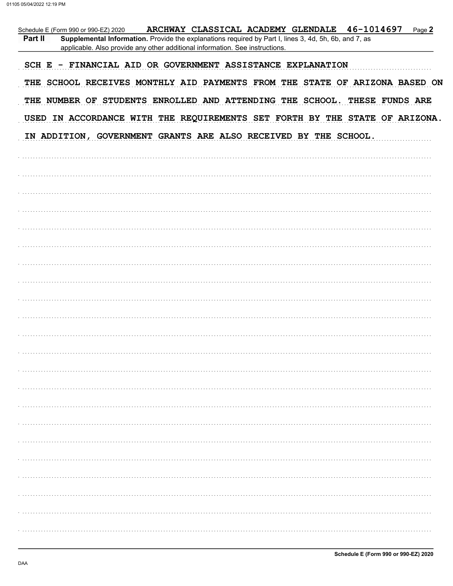| ARCHWAY CLASSICAL ACADEMY GLENDALE 46-1014697<br>Page 2<br>Schedule E (Form 990 or 990-EZ) 2020<br>Part II<br>Supplemental Information. Provide the explanations required by Part I, lines 3, 4d, 5h, 6b, and 7, as<br>applicable. Also provide any other additional information. See instructions. |
|-----------------------------------------------------------------------------------------------------------------------------------------------------------------------------------------------------------------------------------------------------------------------------------------------------|
| SCH E - FINANCIAL AID OR GOVERNMENT ASSISTANCE EXPLANATION                                                                                                                                                                                                                                          |
| THE SCHOOL RECEIVES MONTHLY AID PAYMENTS FROM THE STATE OF ARIZONA BASED ON                                                                                                                                                                                                                         |
| THE NUMBER OF STUDENTS ENROLLED AND ATTENDING THE SCHOOL. THESE FUNDS ARE                                                                                                                                                                                                                           |
| USED IN ACCORDANCE WITH THE REQUIREMENTS SET FORTH BY THE STATE OF ARIZONA.                                                                                                                                                                                                                         |
| IN ADDITION, GOVERNMENT GRANTS ARE ALSO RECEIVED BY THE SCHOOL.                                                                                                                                                                                                                                     |
|                                                                                                                                                                                                                                                                                                     |
|                                                                                                                                                                                                                                                                                                     |
|                                                                                                                                                                                                                                                                                                     |
|                                                                                                                                                                                                                                                                                                     |
|                                                                                                                                                                                                                                                                                                     |
|                                                                                                                                                                                                                                                                                                     |
|                                                                                                                                                                                                                                                                                                     |
|                                                                                                                                                                                                                                                                                                     |
|                                                                                                                                                                                                                                                                                                     |
|                                                                                                                                                                                                                                                                                                     |
|                                                                                                                                                                                                                                                                                                     |
|                                                                                                                                                                                                                                                                                                     |
|                                                                                                                                                                                                                                                                                                     |
|                                                                                                                                                                                                                                                                                                     |
|                                                                                                                                                                                                                                                                                                     |
|                                                                                                                                                                                                                                                                                                     |
|                                                                                                                                                                                                                                                                                                     |
|                                                                                                                                                                                                                                                                                                     |
|                                                                                                                                                                                                                                                                                                     |
|                                                                                                                                                                                                                                                                                                     |
|                                                                                                                                                                                                                                                                                                     |
|                                                                                                                                                                                                                                                                                                     |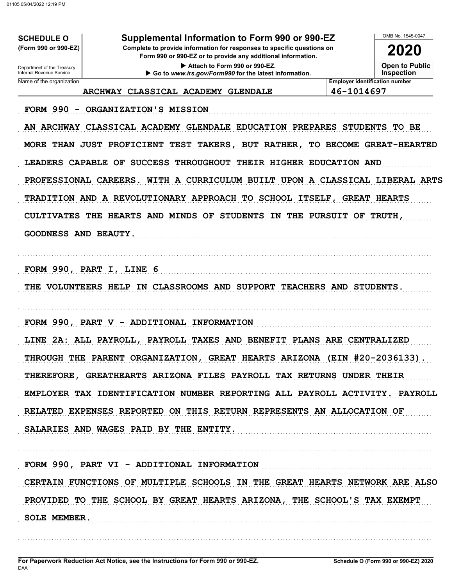# **SCHEDULE O**

(Form 990 or 990-EZ)

## Supplemental Information to Form 990 or 990-EZ

Complete to provide information for responses to specific questions on Form 990 or 990-EZ or to provide any additional information.

> Attach to Form 990 or 990-EZ. Go to www.irs.gov/Form990 for the latest information.

2020

**Open to Public Inspection** 

OMB No 1545-0047

Department of the Treasury<br>Internal Revenue Service Name of the organization

ARCHWAY CLASSICAL ACADEMY GLENDALE

**Employer identification number** 46-1014697

FORM 990 - ORGANIZATION'S MISSION

AN ARCHWAY CLASSICAL ACADEMY GLENDALE EDUCATION PREPARES STUDENTS TO BE MORE THAN JUST PROFICIENT TEST TAKERS, BUT RATHER, TO BECOME GREAT-HEARTED LEADERS CAPABLE OF SUCCESS THROUGHOUT THEIR HIGHER EDUCATION AND PROFESSIONAL CAREERS. WITH A CURRICULUM BUILT UPON A CLASSICAL LIBERAL ARTS TRADITION AND A REVOLUTIONARY APPROACH TO SCHOOL ITSELF, GREAT HEARTS CULTIVATES THE HEARTS AND MINDS OF STUDENTS IN THE PURSUIT OF TRUTH, GOODNESS AND BEAUTY.

FORM 990, PART I, LINE 6

THE VOLUNTEERS HELP IN CLASSROOMS AND SUPPORT TEACHERS AND STUDENTS.

FORM 990, PART V - ADDITIONAL INFORMATION

LINE 2A: ALL PAYROLL, PAYROLL TAXES AND BENEFIT PLANS ARE CENTRALIZED THROUGH THE PARENT ORGANIZATION, GREAT HEARTS ARIZONA (EIN #20-2036133). THEREFORE, GREATHEARTS ARIZONA FILES PAYROLL TAX RETURNS UNDER THEIR EMPLOYER TAX IDENTIFICATION NUMBER REPORTING ALL PAYROLL ACTIVITY. PAYROLL RELATED EXPENSES REPORTED ON THIS RETURN REPRESENTS AN ALLOCATION OF SALARIES AND WAGES PAID BY THE ENTITY.

FORM 990, PART VI - ADDITIONAL INFORMATION CERTAIN FUNCTIONS OF MULTIPLE SCHOOLS IN THE GREAT HEARTS NETWORK ARE ALSO PROVIDED TO THE SCHOOL BY GREAT HEARTS ARIZONA, THE SCHOOL'S TAX EXEMPT **SOLE MEMBER.**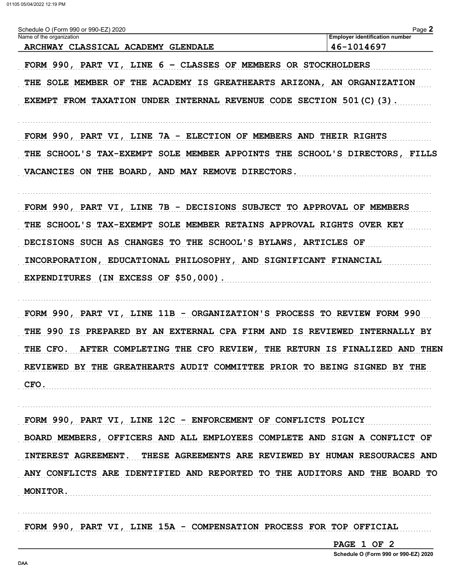| Schedule O (Form 990 or 990-EZ) 2020                           | Page 2                                |
|----------------------------------------------------------------|---------------------------------------|
| Name of the organization                                       | <b>Employer identification number</b> |
| ARCHWAY CLASSICAL ACADEMY GLENDALE                             | 46-1014697                            |
| FORM 990, PART VI, LINE 6 - CLASSES OF MEMBERS OR STOCKHOLDERS |                                       |

THE SOLE MEMBER OF THE ACADEMY IS GREATHEARTS ARIZONA, AN ORGANIZATION EXEMPT FROM TAXATION UNDER INTERNAL REVENUE CODE SECTION 501(C)(3).

FORM 990, PART VI, LINE 7A - ELECTION OF MEMBERS AND THEIR RIGHTS THE SCHOOL'S TAX-EXEMPT SOLE MEMBER APPOINTS THE SCHOOL'S DIRECTORS, FILLS VACANCIES ON THE BOARD, AND MAY REMOVE DIRECTORS.

FORM 990, PART VI, LINE 7B - DECISIONS SUBJECT TO APPROVAL OF MEMBERS THE SCHOOL'S TAX-EXEMPT SOLE MEMBER RETAINS APPROVAL RIGHTS OVER KEY DECISIONS SUCH AS CHANGES TO THE SCHOOL'S BYLAWS, ARTICLES OF INCORPORATION, EDUCATIONAL PHILOSOPHY, AND SIGNIFICANT FINANCIAL EXPENDITURES (IN EXCESS OF \$50,000).

FORM 990, PART VI, LINE 11B - ORGANIZATION'S PROCESS TO REVIEW FORM 990 THE 990 IS PREPARED BY AN EXTERNAL CPA FIRM AND IS REVIEWED INTERNALLY BY THE CFO. AFTER COMPLETING THE CFO REVIEW, THE RETURN IS FINALIZED AND THEN REVIEWED BY THE GREATHEARTS AUDIT COMMITTEE PRIOR TO BEING SIGNED BY THE CFO.

FORM 990, PART VI, LINE 12C - ENFORCEMENT OF CONFLICTS POLICY BOARD MEMBERS, OFFICERS AND ALL EMPLOYEES COMPLETE AND SIGN A CONFLICT OF INTEREST AGREEMENT. THESE AGREEMENTS ARE REVIEWED BY HUMAN RESOURACES AND ANY CONFLICTS ARE IDENTIFIED AND REPORTED TO THE AUDITORS AND THE BOARD TO MONITOR.

FORM 990, PART VI, LINE 15A - COMPENSATION PROCESS FOR TOP OFFICIAL

PAGE 1 OF 2

Schedule O (Form 990 or 990-EZ) 2020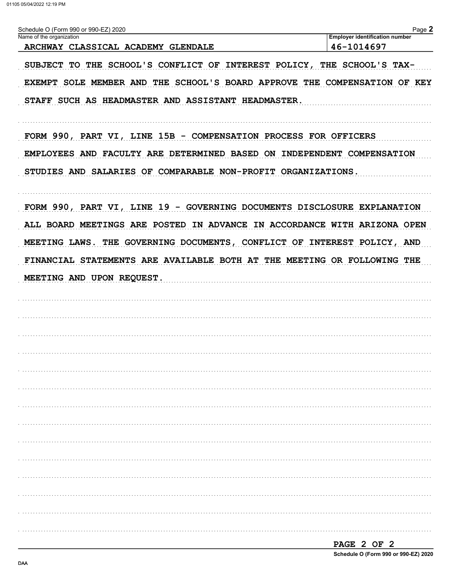| Schedule O (Form 990 or 990-EZ) 2020                                      | Page 2                                              |
|---------------------------------------------------------------------------|-----------------------------------------------------|
| Name of the organization<br>ARCHWAY CLASSICAL ACADEMY GLENDALE            | <b>Employer identification number</b><br>46-1014697 |
|                                                                           |                                                     |
| SUBJECT TO THE SCHOOL'S CONFLICT OF INTEREST POLICY, THE SCHOOL'S TAX-    |                                                     |
| EXEMPT SOLE MEMBER AND THE SCHOOL'S BOARD APPROVE THE COMPENSATION OF KEY |                                                     |
| STAFF SUCH AS HEADMASTER AND ASSISTANT HEADMASTER.                        |                                                     |
|                                                                           |                                                     |
|                                                                           |                                                     |
| FORM 990, PART VI, LINE 15B - COMPENSATION PROCESS FOR OFFICERS           |                                                     |
| EMPLOYEES AND FACULTY ARE DETERMINED BASED ON INDEPENDENT COMPENSATION    |                                                     |
|                                                                           |                                                     |
| STUDIES AND SALARIES OF COMPARABLE NON-PROFIT ORGANIZATIONS.              |                                                     |
|                                                                           |                                                     |
| FORM 990, PART VI, LINE 19 - GOVERNING DOCUMENTS DISCLOSURE EXPLANATION   |                                                     |
| ALL BOARD MEETINGS ARE POSTED IN ADVANCE IN ACCORDANCE WITH ARIZONA OPEN  |                                                     |
|                                                                           |                                                     |
| MEETING LAWS. THE GOVERNING DOCUMENTS, CONFLICT OF INTEREST POLICY, AND   |                                                     |
| FINANCIAL STATEMENTS ARE AVAILABLE BOTH AT THE MEETING OR FOLLOWING THE   |                                                     |
| MEETING AND UPON REQUEST.                                                 |                                                     |
|                                                                           |                                                     |
|                                                                           |                                                     |
|                                                                           |                                                     |
|                                                                           |                                                     |
|                                                                           |                                                     |
|                                                                           |                                                     |
|                                                                           |                                                     |
|                                                                           |                                                     |
|                                                                           |                                                     |
|                                                                           |                                                     |
|                                                                           |                                                     |
|                                                                           |                                                     |
|                                                                           |                                                     |
|                                                                           |                                                     |
|                                                                           |                                                     |
|                                                                           |                                                     |
|                                                                           |                                                     |
|                                                                           |                                                     |
|                                                                           |                                                     |

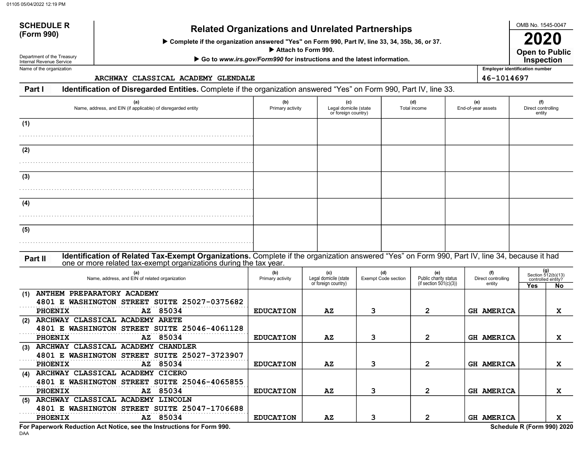Complete if the organization answered "Yes" on Form 990, Part IV, line 33, 34, 35b, 36, or 37.

Attach to Form 990.

▶ Go to www.irs.gov/Form990 for instructions and the latest information.

Department of the Treasury Internal Revenue Service Name of the organization

SCHEDULE R

ARCHWAY CLASSICAL ACADEMY GLENDALE  $\vert$  46-1014697

Part I Identification of Disregarded Entities. Complete if the organization answered "Yes" on Form 990, Part IV, line 33.

| (a)<br>Name, address, and EIN (if applicable) of disregarded entity                                                                                                                                                        | (b)<br>Primary activity | (c)<br>Legal domicile (state<br>or foreign country) |                                   | (d)<br>Total income                                       | (e)<br>End-of-year assets           | (f)<br>Direct controlling<br>entity |                                                              |
|----------------------------------------------------------------------------------------------------------------------------------------------------------------------------------------------------------------------------|-------------------------|-----------------------------------------------------|-----------------------------------|-----------------------------------------------------------|-------------------------------------|-------------------------------------|--------------------------------------------------------------|
| (1)                                                                                                                                                                                                                        |                         |                                                     |                                   |                                                           |                                     |                                     |                                                              |
| (2)                                                                                                                                                                                                                        |                         |                                                     |                                   |                                                           |                                     |                                     |                                                              |
|                                                                                                                                                                                                                            |                         |                                                     |                                   |                                                           |                                     |                                     |                                                              |
| (3)                                                                                                                                                                                                                        |                         |                                                     |                                   |                                                           |                                     |                                     |                                                              |
| (4)                                                                                                                                                                                                                        |                         |                                                     |                                   |                                                           |                                     |                                     |                                                              |
| (5)                                                                                                                                                                                                                        |                         |                                                     |                                   |                                                           |                                     |                                     |                                                              |
| Identification of Related Tax-Exempt Organizations. Complete if the organization answered "Yes" on Form 990, Part IV, line 34, because it had one or more related tax-exempt organizations during the tax year.<br>Part II |                         |                                                     |                                   |                                                           |                                     |                                     |                                                              |
| (a)<br>Name, address, and EIN of related organization                                                                                                                                                                      | (b)<br>Primary activity | (c)<br>Legal domicile (state<br>or foreign country) | (d)<br><b>Exempt Code section</b> | (e)<br>Public charity status<br>(if section $501(c)(3)$ ) | (f)<br>Direct controlling<br>entity | Yes                                 | (g)<br>Section 512(b)(13)<br>controlled entity?<br><b>No</b> |
| ANTHEM PREPARATORY ACADEMY<br>(1)<br>4801 E WASHINGTON STREET SUITE 25027-0375682<br>AZ 85034<br><b>PHOENIX</b>                                                                                                            | <b>EDUCATION</b>        | AZ                                                  | 3                                 | $\overline{2}$                                            | <b>GH AMERICA</b>                   |                                     | x                                                            |
| ARCHWAY CLASSICAL ACADEMY ARETE<br>(2)<br>4801 E WASHINGTON STREET SUITE 25046-4061128                                                                                                                                     |                         |                                                     |                                   |                                                           |                                     |                                     |                                                              |
| AZ 85034<br>PHOENIX<br>ARCHWAY CLASSICAL ACADEMY CHANDLER<br>(3)                                                                                                                                                           | <b>EDUCATION</b>        | $\mathbf{A} \mathbf{Z}$                             | 3                                 | $\mathbf{2}$                                              | <b>GH AMERICA</b>                   |                                     | X                                                            |
| 4801 E WASHINGTON STREET SUITE 25027-3723907<br>85034<br><b>PHOENIX</b><br>AZ                                                                                                                                              | <b>EDUCATION</b>        | $\mathbf{A} \mathbf{Z}$                             | 3                                 | $\overline{2}$                                            | <b>GH AMERICA</b>                   |                                     | X                                                            |
| ARCHWAY CLASSICAL ACADEMY CICERO<br>(4)<br>4801 E WASHINGTON STREET SUITE 25046-4065855                                                                                                                                    |                         |                                                     |                                   |                                                           |                                     |                                     |                                                              |
| 85034<br><b>PHOENIX</b><br>$\mathbf{A} \mathbf{Z}$<br>ARCHWAY CLASSICAL ACADEMY LINCOLN<br>(5)<br>4801 E WASHINGTON STREET SUITE 25047-1706688                                                                             | <b>EDUCATION</b>        | AZ                                                  | 3                                 | $\mathbf{2}$                                              | <b>GH AMERICA</b>                   |                                     | X                                                            |
| AZ 85034<br><b>PHOENIX</b>                                                                                                                                                                                                 | <b>EDUCATION</b>        | AZ                                                  | 3                                 | $\overline{2}$                                            | <b>GH AMERICA</b>                   |                                     | X                                                            |

DAA For Paperwork Reduction Act Notice, see the Instructions for Form 990. Schedule R (Form 990) 2020

OMB No. 1545-0047

2020

Open to Public **inspection**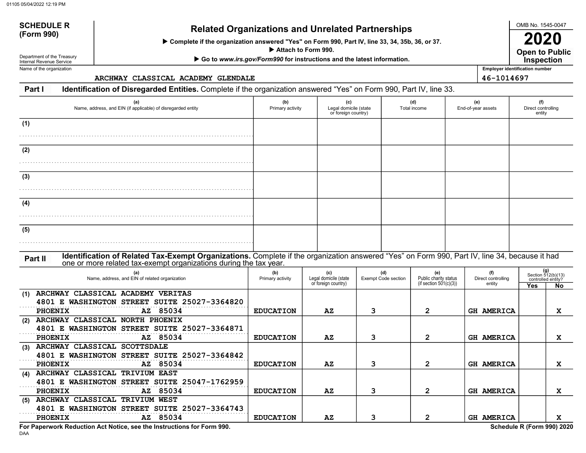# SCHEDULE Related Organizations and Unrelated Partnerships (Form 990)

Complete if the organization answered "Yes" on Form 990, Part IV, line 33, 34, 35b, 36, or 37.

Attach to Form 990.

▶ Go to www.irs.gov/Form990 for instructions and the latest information.

Department of the Treasury Internal Revenue Service Name of the organization

SCHEDULE R

ARCHWAY CLASSICAL ACADEMY GLENDALE  $\vert$  46-1014697

#### Part I Identification of Disregarded Entities. Complete if the organization answered "Yes" on Form 990, Part IV, line 33.

| (a)<br>Name, address, and EIN (if applicable) of disregarded entity                                                                                                                                                           | (b)<br>Primary activity | (c)                                                 | Legal domicile (state<br>or foreign country) |                                                           | (e)<br>End-of-year assets           | (f)<br>Direct controlling<br>entity                            |
|-------------------------------------------------------------------------------------------------------------------------------------------------------------------------------------------------------------------------------|-------------------------|-----------------------------------------------------|----------------------------------------------|-----------------------------------------------------------|-------------------------------------|----------------------------------------------------------------|
| (1)                                                                                                                                                                                                                           |                         |                                                     |                                              |                                                           |                                     |                                                                |
| (2)                                                                                                                                                                                                                           |                         |                                                     |                                              |                                                           |                                     |                                                                |
| (3)                                                                                                                                                                                                                           |                         |                                                     |                                              |                                                           |                                     |                                                                |
| (4)                                                                                                                                                                                                                           |                         |                                                     |                                              |                                                           |                                     |                                                                |
| (5)                                                                                                                                                                                                                           |                         |                                                     |                                              |                                                           |                                     |                                                                |
| Identification of Related Tax-Exempt Organizations. Complete if the organization answered "Yes" on Form 990, Part IV, line 34, because it had<br>Part II<br>one or more related tax-exempt organizations during the tax year. |                         |                                                     |                                              |                                                           |                                     |                                                                |
| (a)<br>Name, address, and EIN of related organization                                                                                                                                                                         | (b)<br>Primary activity | (c)<br>Legal domicile (state<br>or foreign country) | (d)<br><b>Exempt Code section</b>            | (e)<br>Public charity status<br>(if section $501(c)(3)$ ) | (f)<br>Direct controlling<br>entity | $(g)$<br>Section 512(b)(13)<br>controlled entity?<br>Yes<br>No |
| ARCHWAY CLASSICAL ACADEMY VERITAS<br>(1)<br>4801 E WASHINGTON STREET SUITE 25027-3364820<br>PHOENIX<br>AZ 85034                                                                                                               | <b>EDUCATION</b>        | $\mathbf{A} \mathbf{Z}$                             | 3                                            | $\overline{2}$                                            | <b>GH AMERICA</b>                   | X                                                              |
| ARCHWAY CLASSICAL NORTH PHOENIX<br>(2)<br>4801 E WASHINGTON STREET SUITE 25027-3364871<br>PHOENIX<br>AZ 85034                                                                                                                 | <b>EDUCATION</b>        | $\mathbf{A} \mathbf{Z}$                             | 3                                            | $\overline{2}$                                            | <b>GH AMERICA</b>                   | X                                                              |
| ARCHWAY CLASSICAL SCOTTSDALE<br>(3)<br>4801 E WASHINGTON STREET SUITE 25027-3364842<br>PHOENIX<br>AZ 85034                                                                                                                    | <b>EDUCATION</b>        | AZ                                                  | 3                                            | $\overline{2}$                                            | <b>GH AMERICA</b>                   | X                                                              |
| ARCHWAY CLASSICAL TRIVIUM EAST<br>(4)<br>4801 E WASHINGTON STREET SUITE 25047-1762959<br>AZ 85034<br>PHOENIX                                                                                                                  | <b>EDUCATION</b>        | $\mathbf{A} \mathbf{Z}$                             | 3                                            | $\overline{2}$                                            | <b>GH AMERICA</b>                   | X                                                              |
| ARCHWAY CLASSICAL TRIVIUM WEST<br>(5)<br>4801 E WASHINGTON STREET SUITE 25027-3364743<br>AZ 85034<br><b>PHOENIX</b><br>والمتوافق والمستحقق والمتناقص والمستحقق والمتناور<br>$\sim$ $\sim$ $\sim$                              | <b>EDUCATION</b>        | AZ                                                  | 3                                            | $\overline{2}$                                            | <b>GH AMERICA</b>                   | X.                                                             |

DAA For Paperwork Reduction Act Notice, see the Instructions for Form 990. Schedule R (Form 990) 2020

OMB No. 1545-0047

Open to Public

2020 **Inspection**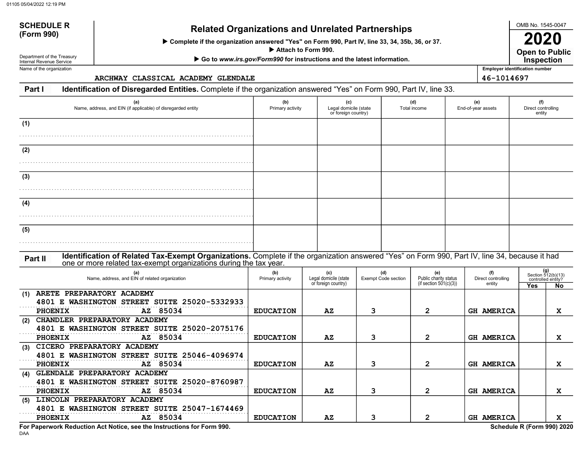Complete if the organization answered "Yes" on Form 990, Part IV, line 33, 34, 35b, 36, or 37.

Attach to Form 990.

▶ Go to www.irs.gov/Form990 for instructions and the latest information.

Department of the Treasury Internal Revenue Service Name of the organization

SCHEDULE R

ARCHWAY CLASSICAL ACADEMY GLENDALE  $\vert$  46-1014697

Part I Identification of Disregarded Entities. Complete if the organization answered "Yes" on Form 990, Part IV, line 33.

| (a)<br>Name, address, and EIN (if applicable) of disregarded entity                                                                                                                                                           | (b)<br>Primary activity | (c)<br>Legal domicile (state<br>or foreign country) |                                   | (d)<br>(e)<br>Total income<br>End-of-year assets          |                                     | (f)<br>Direct controlling<br>entity |                                                          |
|-------------------------------------------------------------------------------------------------------------------------------------------------------------------------------------------------------------------------------|-------------------------|-----------------------------------------------------|-----------------------------------|-----------------------------------------------------------|-------------------------------------|-------------------------------------|----------------------------------------------------------|
| (1)                                                                                                                                                                                                                           |                         |                                                     |                                   |                                                           |                                     |                                     |                                                          |
| (2)                                                                                                                                                                                                                           |                         |                                                     |                                   |                                                           |                                     |                                     |                                                          |
| (3)                                                                                                                                                                                                                           |                         |                                                     |                                   |                                                           |                                     |                                     |                                                          |
| (4)                                                                                                                                                                                                                           |                         |                                                     |                                   |                                                           |                                     |                                     |                                                          |
| (5)                                                                                                                                                                                                                           |                         |                                                     |                                   |                                                           |                                     |                                     |                                                          |
| Identification of Related Tax-Exempt Organizations. Complete if the organization answered "Yes" on Form 990, Part IV, line 34, because it had<br>Part II<br>one or more related tax-exempt organizations during the tax year. |                         |                                                     |                                   |                                                           |                                     |                                     |                                                          |
| (a)<br>Name, address, and EIN of related organization                                                                                                                                                                         | (b)<br>Primary activity | (c)<br>Legal domicile (state<br>or foreign country) | (d)<br><b>Exempt Code section</b> | (e)<br>Public charity status<br>(if section $501(c)(3)$ ) | (f)<br>Direct controlling<br>entity | Yes                                 | $(g)$<br>Section 512(b)(13)<br>controlled entity?<br>No. |
| ARETE PREPARATORY ACADEMY<br>(1)<br>4801 E WASHINGTON STREET SUITE 25020-5332933<br>AZ 85034<br>PHOENIX                                                                                                                       | <b>EDUCATION</b>        | $\mathbf{A} \mathbf{Z}$                             | 3                                 | $\mathbf{2}$                                              | <b>GH AMERICA</b>                   |                                     | x                                                        |
| CHANDLER PREPARATORY ACADEMY<br>(2)<br>4801 E WASHINGTON STREET SUITE 25020-2075176<br>AZ 85034<br>PHOENIX                                                                                                                    | <b>EDUCATION</b>        | $\mathbf{A} \mathbf{Z}$                             | 3                                 | $\mathbf{2}$                                              | <b>GH AMERICA</b>                   |                                     | X                                                        |
| CICERO PREPARATORY ACADEMY<br>(3)<br>4801 E WASHINGTON STREET SUITE 25046-4096974<br>AZ 85034<br>PHOENIX                                                                                                                      | <b>EDUCATION</b>        | $\mathbf{A} \mathbf{Z}$                             | 3                                 | $\mathbf{2}$                                              | <b>GH AMERICA</b>                   |                                     | X                                                        |
| (4) GLENDALE PREPARATORY ACADEMY<br>4801 E WASHINGTON STREET SUITE 25020-8760987<br>AZ 85034<br>PHOENIX                                                                                                                       | <b>EDUCATION</b>        | $\mathbf{A} \mathbf{Z}$                             | 3                                 | $\overline{2}$                                            | <b>GH AMERICA</b>                   |                                     | X                                                        |
| (5) LINCOLN PREPARATORY ACADEMY<br>4801 E WASHINGTON STREET SUITE 25047-1674469<br>AZ 85034<br><b>PHOENIX</b>                                                                                                                 | <b>EDUCATION</b>        | AZ                                                  | 3                                 | $\mathbf{2}$                                              | <b>GH AMERICA</b>                   |                                     | X                                                        |

DAA For Paperwork Reduction Act Notice, see the Instructions for Form 990. Schedule R (Form 990) 2020

OMB No. 1545-0047

2020

Open to Public **inspection**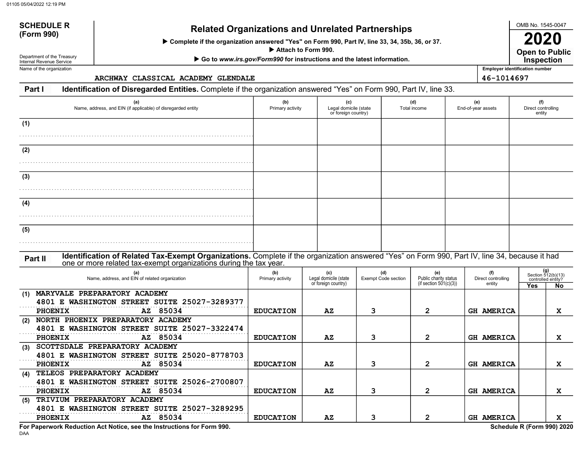Complete if the organization answered "Yes" on Form 990, Part IV, line 33, 34, 35b, 36, or 37.

Attach to Form 990.

▶ Go to www.irs.gov/Form990 for instructions and the latest information.

Department of the Treasury Internal Revenue Service Name of the organization

SCHEDULE R

ARCHWAY CLASSICAL ACADEMY GLENDALE  $\vert$  46-1014697

#### Part I Identification of Disregarded Entities. Complete if the organization answered "Yes" on Form 990, Part IV, line 33.

| (a)<br>Name, address, and EIN (if applicable) of disregarded entity                                                                                                                                                           | (b)<br>Primary activity | (c)<br>Legal domicile (state<br>or foreign country) |                                   | (d)<br>Total income                                       | (e)<br>End-of-year assets           | (f)<br>Direct controlling<br>entity |                                                         |
|-------------------------------------------------------------------------------------------------------------------------------------------------------------------------------------------------------------------------------|-------------------------|-----------------------------------------------------|-----------------------------------|-----------------------------------------------------------|-------------------------------------|-------------------------------------|---------------------------------------------------------|
| (1)                                                                                                                                                                                                                           |                         |                                                     |                                   |                                                           |                                     |                                     |                                                         |
| (2)                                                                                                                                                                                                                           |                         |                                                     |                                   |                                                           |                                     |                                     |                                                         |
| (3)                                                                                                                                                                                                                           |                         |                                                     |                                   |                                                           |                                     |                                     |                                                         |
| (4)                                                                                                                                                                                                                           |                         |                                                     |                                   |                                                           |                                     |                                     |                                                         |
| (5)                                                                                                                                                                                                                           |                         |                                                     |                                   |                                                           |                                     |                                     |                                                         |
| Identification of Related Tax-Exempt Organizations. Complete if the organization answered "Yes" on Form 990, Part IV, line 34, because it had<br>Part II<br>one or more related tax-exempt organizations during the tax year. |                         |                                                     |                                   |                                                           |                                     |                                     |                                                         |
| (a)<br>Name, address, and EIN of related organization                                                                                                                                                                         | (b)<br>Primary activity | (c)<br>Legal domicile (state<br>or foreign country) | (d)<br><b>Exempt Code section</b> | (e)<br>Public charity status<br>(if section $501(c)(3)$ ) | (f)<br>Direct controlling<br>entity | Yes                                 | $(g)$<br>Section 512(b)(13)<br>controlled entity?<br>No |
| MARYVALE PREPARATORY ACADEMY<br>(1)<br>4801 E WASHINGTON STREET SUITE 25027-3289377<br>PHOENIX<br>AZ 85034                                                                                                                    | <b>EDUCATION</b>        | $\mathbf{A} \mathbf{Z}$                             | 3                                 | $\overline{2}$                                            | <b>GH AMERICA</b>                   |                                     | X                                                       |
| NORTH PHOENIX PREPARATORY ACADEMY<br>(2)<br>4801 E WASHINGTON STREET SUITE 25027-3322474<br>PHOENIX<br>AZ 85034                                                                                                               | <b>EDUCATION</b>        | $\mathbf{A} \mathbf{Z}$                             | 3                                 | $\overline{2}$                                            | <b>GH AMERICA</b>                   |                                     | X                                                       |
| SCOTTSDALE PREPARATORY ACADEMY<br>(3)<br>4801 E WASHINGTON STREET SUITE 25020-8778703<br>AZ 85034<br>PHOENIX                                                                                                                  | <b>EDUCATION</b>        | $\mathbf{A} \mathbf{Z}$                             | 3                                 | $\overline{2}$                                            | <b>GH AMERICA</b>                   |                                     | $\mathbf{x}$                                            |
| TELEOS PREPARATORY ACADEMY<br>(4)<br>4801 E WASHINGTON STREET SUITE 25026-2700807<br>AZ 85034                                                                                                                                 |                         |                                                     |                                   |                                                           |                                     |                                     |                                                         |
| PHOENIX<br>TRIVIUM PREPARATORY ACADEMY<br>(5)<br>4801 E WASHINGTON STREET SUITE 25027-3289295                                                                                                                                 | <b>EDUCATION</b>        | AZ                                                  | 3                                 | $\overline{2}$                                            | <b>GH AMERICA</b>                   |                                     | X                                                       |
| AZ 85034<br><b>PHOENIX</b>                                                                                                                                                                                                    | <b>EDUCATION</b>        | $\mathbf{A} \mathbf{Z}$                             | 3                                 | $\overline{2}$                                            | <b>GH AMERICA</b>                   |                                     | X                                                       |

DAA For Paperwork Reduction Act Notice, see the Instructions for Form 990. Schedule R (Form 990) 2020

OMB No. 1545-0047

Open to Public

2020 **Inspection**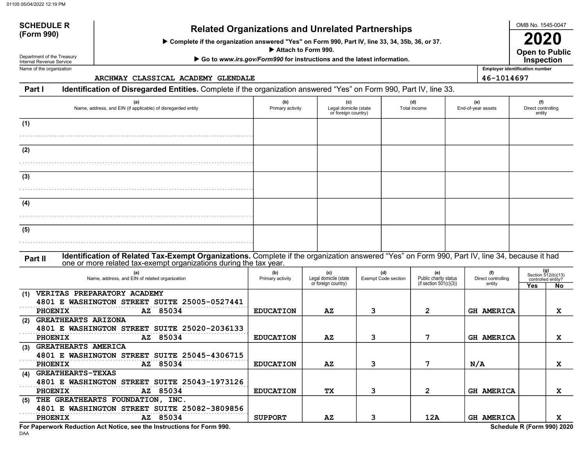Complete if the organization answered "Yes" on Form 990, Part IV, line 33, 34, 35b, 36, or 37.

Attach to Form 990.

▶ Go to www.irs.gov/Form990 for instructions and the latest information.

Department of the Treasury Internal Revenue Service Name of the organization

SCHEDULE R

ARCHWAY CLASSICAL ACADEMY GLENDALE  $\vert$  46-1014697

Part I Identification of Disregarded Entities. Complete if the organization answered "Yes" on Form 990, Part IV, line 33.

| (a)<br>Name, address, and EIN (if applicable) of disregarded entity                                                                                                                                                           | (b)<br>Primary activity | (c)                                                 | (d)<br>Legal domicile (state<br>Total income<br>or foreign country) |                                                           | (e)<br>End-of-year assets           | (f)<br>Direct controlling<br>entity |                                                          |
|-------------------------------------------------------------------------------------------------------------------------------------------------------------------------------------------------------------------------------|-------------------------|-----------------------------------------------------|---------------------------------------------------------------------|-----------------------------------------------------------|-------------------------------------|-------------------------------------|----------------------------------------------------------|
| (1)                                                                                                                                                                                                                           |                         |                                                     |                                                                     |                                                           |                                     |                                     |                                                          |
| (2)                                                                                                                                                                                                                           |                         |                                                     |                                                                     |                                                           |                                     |                                     |                                                          |
| (3)                                                                                                                                                                                                                           |                         |                                                     |                                                                     |                                                           |                                     |                                     |                                                          |
| (4)                                                                                                                                                                                                                           |                         |                                                     |                                                                     |                                                           |                                     |                                     |                                                          |
| (5)                                                                                                                                                                                                                           |                         |                                                     |                                                                     |                                                           |                                     |                                     |                                                          |
| Identification of Related Tax-Exempt Organizations. Complete if the organization answered "Yes" on Form 990, Part IV, line 34, because it had<br>Part II<br>one or more related tax-exempt organizations during the tax year. |                         |                                                     |                                                                     |                                                           |                                     |                                     |                                                          |
| (a)<br>Name, address, and EIN of related organization                                                                                                                                                                         | (b)<br>Primary activity | (c)<br>Legal domicile (state<br>or foreign country) | (d)<br><b>Exempt Code section</b>                                   | (e)<br>Public charity status<br>(if section $501(c)(3)$ ) | (f)<br>Direct controlling<br>entity | Yes                                 | $(g)$<br>Section 512(b)(13)<br>controlled entity?<br>No. |
| VERITAS PREPARATORY ACADEMY<br>(1)<br>4801 E WASHINGTON STREET SUITE 25005-0527441<br>AZ 85034<br>PHOENIX                                                                                                                     | <b>EDUCATION</b>        | AZ                                                  | 3                                                                   | $\mathbf{2}$                                              | <b>GH AMERICA</b>                   |                                     | x                                                        |
| <b>GREATHEARTS ARIZONA</b><br>(2)<br>4801 E WASHINGTON STREET SUITE 25020-2036133<br>PHOENIX<br>AZ 85034                                                                                                                      | <b>EDUCATION</b>        | $\mathbf{A} \mathbf{Z}$                             | 3                                                                   | 7                                                         | <b>GH AMERICA</b>                   |                                     | X                                                        |
| <b>GREATHEARTS AMERICA</b><br>(3)<br>4801 E WASHINGTON STREET SUITE 25045-4306715<br>PHOENIX<br>AZ 85034                                                                                                                      | <b>EDUCATION</b>        | $\mathbf{A} \mathbf{Z}$                             | 3                                                                   | 7                                                         | N/A                                 |                                     | X                                                        |
| (4) GREATHEARTS-TEXAS<br>4801 E WASHINGTON STREET SUITE 25043-1973126                                                                                                                                                         |                         |                                                     |                                                                     |                                                           |                                     |                                     |                                                          |
| PHOENIX<br>AZ 85034<br>THE GREATHEARTS FOUNDATION, INC.<br>(5)<br>4801 E WASHINGTON STREET SUITE 25082-3809856                                                                                                                | <b>EDUCATION</b>        | <b>TX</b>                                           | 3                                                                   | $\overline{2}$                                            | <b>GH AMERICA</b>                   |                                     | X                                                        |
| AZ 85034<br><b>PHOENIX</b>                                                                                                                                                                                                    | <b>SUPPORT</b>          | AZ                                                  | 3                                                                   | 12A                                                       | <b>GH AMERICA</b>                   |                                     | X                                                        |

DAA For Paperwork Reduction Act Notice, see the Instructions for Form 990. Schedule R (Form 990) 2020

OMB No. 1545-0047

2020

Open to Public **inspection**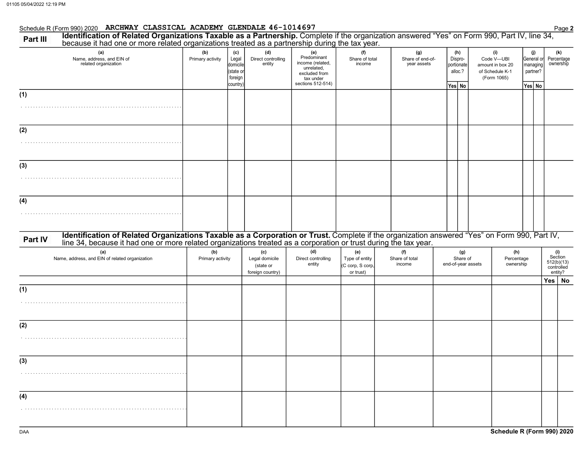# Schedule R (Form 990) 2020 ARCHWAY CLASSICAL ACADEMY GLENDALE 46-1014697

| $\frac{1}{2}$<br>Identification of Related Organizations Taxable as a Partnership. Complete if the organization answered "Yes" on Form 990, Part IV, line 34, because it had one or more related organizations treated as a partnership during<br>Part III |                         |                                                             |                                                        |                                                                                                                                            |                                                        |                                        |  |                                         |                    |                                                                         |                                                     |  |                                                       | $.990$ $\blacktriangle$ |
|------------------------------------------------------------------------------------------------------------------------------------------------------------------------------------------------------------------------------------------------------------|-------------------------|-------------------------------------------------------------|--------------------------------------------------------|--------------------------------------------------------------------------------------------------------------------------------------------|--------------------------------------------------------|----------------------------------------|--|-----------------------------------------|--------------------|-------------------------------------------------------------------------|-----------------------------------------------------|--|-------------------------------------------------------|-------------------------|
| (a)<br>Name, address, and EIN of<br>related organization                                                                                                                                                                                                   | (b)<br>Primary activity | (c)<br>Legal<br>domicile<br>(state or<br>foreign<br>country | (d)<br>Direct controlling<br>entity                    | (f)<br>(e)<br>Predominant<br>Share of total<br>income (related,<br>income<br>unrelated,<br>excluded from<br>tax under<br>sections 512-514) |                                                        | (g)<br>Share of end-of-<br>year assets |  | (h)<br>Dispro-<br>portionate<br>alloc.? |                    | (i)<br>Code V-UBI<br>amount in box 20<br>of Schedule K-1<br>(Form 1065) | (j)<br>General or<br>managing<br>partner?<br>Yes No |  | (k)<br>Percentage<br>ownership                        |                         |
| (1)                                                                                                                                                                                                                                                        |                         |                                                             |                                                        |                                                                                                                                            |                                                        |                                        |  | Yes No                                  |                    |                                                                         |                                                     |  |                                                       |                         |
|                                                                                                                                                                                                                                                            |                         |                                                             |                                                        |                                                                                                                                            |                                                        |                                        |  |                                         |                    |                                                                         |                                                     |  |                                                       |                         |
| (2)                                                                                                                                                                                                                                                        |                         |                                                             |                                                        |                                                                                                                                            |                                                        |                                        |  |                                         |                    |                                                                         |                                                     |  |                                                       |                         |
|                                                                                                                                                                                                                                                            |                         |                                                             |                                                        |                                                                                                                                            |                                                        |                                        |  |                                         |                    |                                                                         |                                                     |  |                                                       |                         |
| (3)                                                                                                                                                                                                                                                        |                         |                                                             |                                                        |                                                                                                                                            |                                                        |                                        |  |                                         |                    |                                                                         |                                                     |  |                                                       |                         |
|                                                                                                                                                                                                                                                            |                         |                                                             |                                                        |                                                                                                                                            |                                                        |                                        |  |                                         |                    |                                                                         |                                                     |  |                                                       |                         |
| (4)                                                                                                                                                                                                                                                        |                         |                                                             |                                                        |                                                                                                                                            |                                                        |                                        |  |                                         |                    |                                                                         |                                                     |  |                                                       |                         |
|                                                                                                                                                                                                                                                            |                         |                                                             |                                                        |                                                                                                                                            |                                                        |                                        |  |                                         |                    |                                                                         |                                                     |  |                                                       |                         |
| Identification of Related Organizations Taxable as a Corporation or Trust. Complete if the organization answered "Yes" on Form 990, Part IV, line 34, because it had one or more related organizations treated as a corporatio<br>Part IV                  |                         |                                                             |                                                        |                                                                                                                                            |                                                        |                                        |  |                                         |                    |                                                                         |                                                     |  |                                                       |                         |
| (a)<br>Name, address, and EIN of related organization                                                                                                                                                                                                      | (b)<br>Primary activity |                                                             | (c)<br>Legal domicile<br>(state or<br>foreign country) | (d)<br>Direct controlling<br>entity                                                                                                        | (e)<br>Type of entity<br>(C corp, S corp,<br>or trust) | (f)<br>Share of total<br>income        |  | (g)<br>Share of                         | end-of-year assets | (h)<br>Percentage<br>ownership                                          |                                                     |  | (i)<br>Section<br>512(b)(13)<br>controlled<br>entity? |                         |
|                                                                                                                                                                                                                                                            |                         |                                                             |                                                        |                                                                                                                                            |                                                        |                                        |  |                                         |                    |                                                                         |                                                     |  | Yes   No                                              |                         |
| (1)                                                                                                                                                                                                                                                        |                         |                                                             |                                                        |                                                                                                                                            |                                                        |                                        |  |                                         |                    |                                                                         |                                                     |  |                                                       |                         |
| (2)                                                                                                                                                                                                                                                        |                         |                                                             |                                                        |                                                                                                                                            |                                                        |                                        |  |                                         |                    |                                                                         |                                                     |  |                                                       |                         |
|                                                                                                                                                                                                                                                            |                         |                                                             |                                                        |                                                                                                                                            |                                                        |                                        |  |                                         |                    |                                                                         |                                                     |  |                                                       |                         |
| (3)                                                                                                                                                                                                                                                        |                         |                                                             |                                                        |                                                                                                                                            |                                                        |                                        |  |                                         |                    |                                                                         |                                                     |  |                                                       |                         |
|                                                                                                                                                                                                                                                            |                         |                                                             |                                                        |                                                                                                                                            |                                                        |                                        |  |                                         |                    |                                                                         |                                                     |  |                                                       |                         |
| (4)                                                                                                                                                                                                                                                        |                         |                                                             |                                                        |                                                                                                                                            |                                                        |                                        |  |                                         |                    |                                                                         |                                                     |  |                                                       |                         |
|                                                                                                                                                                                                                                                            |                         |                                                             |                                                        |                                                                                                                                            |                                                        |                                        |  |                                         |                    |                                                                         |                                                     |  |                                                       |                         |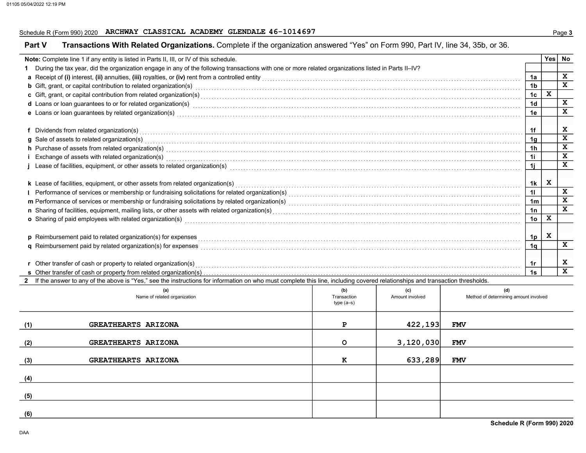# Schedule R (Form 990) 2020 ARCHWAY CLASSICAL ACADEMY GLENDALE 46-1014697

|                                                                                                                                                                                                                                | Transactions With Related Organizations. Complete if the organization answered "Yes" on Form 990, Part IV, line 34, 35b, or 36.<br><b>Part V</b>                                                                                    |              |                 |                                       |                |       |                  |  |  |  |  |
|--------------------------------------------------------------------------------------------------------------------------------------------------------------------------------------------------------------------------------|-------------------------------------------------------------------------------------------------------------------------------------------------------------------------------------------------------------------------------------|--------------|-----------------|---------------------------------------|----------------|-------|------------------|--|--|--|--|
|                                                                                                                                                                                                                                | Note: Complete line 1 if any entity is listed in Parts II, III, or IV of this schedule.                                                                                                                                             |              |                 |                                       |                | Yes l | No               |  |  |  |  |
|                                                                                                                                                                                                                                | 1 During the tax year, did the organization engage in any of the following transactions with one or more related organizations listed in Parts II-IV?                                                                               |              |                 |                                       |                |       |                  |  |  |  |  |
|                                                                                                                                                                                                                                |                                                                                                                                                                                                                                     |              |                 |                                       | 1a             |       | $\mathbf x$      |  |  |  |  |
|                                                                                                                                                                                                                                | <b>b</b> Gift, grant, or capital contribution to related organization(s) encourse contained and contained a series of the set of the set of the set of the set of the set of the set of the set of the set of the set of the set of |              |                 |                                       | 1 <sub>b</sub> |       | $\mathbf x$      |  |  |  |  |
|                                                                                                                                                                                                                                | c Gift, grant, or capital contribution from related organization(s) encourance contains an according contribution from related organization(s) encourance contains and contribution from related organization(s)                    |              |                 |                                       | 1 <sub>c</sub> | X     |                  |  |  |  |  |
|                                                                                                                                                                                                                                | d Loans or loan guarantees to or for related organization(s)<br>interaction contract to contract the contraction of the contract or form of the contract or form of the contract or form of the contract or form of the contract    |              |                 |                                       | 1 <sub>d</sub> |       | X                |  |  |  |  |
|                                                                                                                                                                                                                                | e Loans or loan guarantees by related organization(s)<br>interaction contracts contracts contracts contracts contracts contracts contracts contracts contracts contracts                                                            |              |                 |                                       | 1e             |       | $\mathbf x$      |  |  |  |  |
|                                                                                                                                                                                                                                |                                                                                                                                                                                                                                     |              |                 |                                       |                |       |                  |  |  |  |  |
|                                                                                                                                                                                                                                | f Dividends from related organization(s) encourance contains a substantial container and providends from related organization(s)                                                                                                    |              |                 |                                       |                |       |                  |  |  |  |  |
|                                                                                                                                                                                                                                | g Sale of assets to related organization(s) with a substitution of the set of the set of assets to related organization(s) with a set of assets to related organization(s) with a set of the set of the set of the set of the       |              |                 |                                       | 1q             |       | $\mathbf x$      |  |  |  |  |
|                                                                                                                                                                                                                                | h Purchase of assets from related organization(s) encourance contains and contains a container and container and container and container and container and container and container and container and container and container a      |              |                 |                                       | 1 <sub>h</sub> |       | $\mathbf x$      |  |  |  |  |
|                                                                                                                                                                                                                                | i Exchange of assets with related organization(s) excludional contact the control of the control of the control or control or control or control or control or control or control or control or control or control or control       |              |                 |                                       | 1i             |       | X                |  |  |  |  |
|                                                                                                                                                                                                                                |                                                                                                                                                                                                                                     |              |                 |                                       | 1j             |       | X                |  |  |  |  |
| j Lease of facilities, equipment, or other assets to related organization(s) enconverse contained accommodal contained and facilities equipment, or other assets to related organization(s) enconverse contained accommodal to |                                                                                                                                                                                                                                     |              |                 |                                       |                |       |                  |  |  |  |  |
| k Lease of facilities, equipment, or other assets from related organization(s)                                                                                                                                                 |                                                                                                                                                                                                                                     |              |                 |                                       |                |       |                  |  |  |  |  |
|                                                                                                                                                                                                                                |                                                                                                                                                                                                                                     |              |                 |                                       |                |       |                  |  |  |  |  |
|                                                                                                                                                                                                                                |                                                                                                                                                                                                                                     |              |                 |                                       |                |       |                  |  |  |  |  |
|                                                                                                                                                                                                                                |                                                                                                                                                                                                                                     |              |                 |                                       | 1m<br>1n       |       | X<br>$\mathbf x$ |  |  |  |  |
|                                                                                                                                                                                                                                | o Sharing of paid employees with related organization(s) encounteral contracts and contain a substantial container with related organization(s) encourage and container and container and container and container and containe      |              |                 |                                       |                |       |                  |  |  |  |  |
|                                                                                                                                                                                                                                |                                                                                                                                                                                                                                     |              |                 |                                       | 1 <sub>o</sub> |       |                  |  |  |  |  |
|                                                                                                                                                                                                                                | p Reimbursement paid to related organization(s) for expenses <i>manufactory contained to contained the series of the series</i> or expenses and the series of the series of the series of the series of the series of the series of |              |                 |                                       | 1p             | X     |                  |  |  |  |  |
|                                                                                                                                                                                                                                | q Reimbursement paid by related organization(s) for expenses <b>construction construction</b> construction construction                                                                                                             |              |                 |                                       | 1 <sub>a</sub> |       | X                |  |  |  |  |
|                                                                                                                                                                                                                                |                                                                                                                                                                                                                                     |              |                 |                                       |                |       |                  |  |  |  |  |
|                                                                                                                                                                                                                                | <b>r</b> Other transfer of cash or property to related organization(s)                                                                                                                                                              |              |                 |                                       | 1r             |       | x                |  |  |  |  |
|                                                                                                                                                                                                                                | s Other transfer of cash or property from related organization(s).                                                                                                                                                                  |              |                 |                                       | 1s             |       | $\mathbf x$      |  |  |  |  |
|                                                                                                                                                                                                                                | 2 If the answer to any of the above is "Yes," see the instructions for information on who must complete this line, including covered relationships and transaction thresholds.                                                      |              |                 |                                       |                |       |                  |  |  |  |  |
|                                                                                                                                                                                                                                | (a)                                                                                                                                                                                                                                 | (b)          | (c)             | (d)                                   |                |       |                  |  |  |  |  |
|                                                                                                                                                                                                                                | Name of related organization                                                                                                                                                                                                        | Transaction  | Amount involved | Method of determining amount involved |                |       |                  |  |  |  |  |
|                                                                                                                                                                                                                                |                                                                                                                                                                                                                                     | type $(a-s)$ |                 |                                       |                |       |                  |  |  |  |  |
|                                                                                                                                                                                                                                |                                                                                                                                                                                                                                     |              |                 |                                       |                |       |                  |  |  |  |  |
| (1)                                                                                                                                                                                                                            | GREATHEARTS ARIZONA                                                                                                                                                                                                                 | Р            | 422,193         | <b>FMV</b>                            |                |       |                  |  |  |  |  |
|                                                                                                                                                                                                                                |                                                                                                                                                                                                                                     |              |                 |                                       |                |       |                  |  |  |  |  |
| (2)                                                                                                                                                                                                                            | <b>GREATHEARTS ARIZONA</b>                                                                                                                                                                                                          | O            | 3,120,030       | <b>FMV</b>                            |                |       |                  |  |  |  |  |
| (3)                                                                                                                                                                                                                            | GREATHEARTS ARIZONA                                                                                                                                                                                                                 | к            | 633,289         | <b>FMV</b>                            |                |       |                  |  |  |  |  |
|                                                                                                                                                                                                                                |                                                                                                                                                                                                                                     |              |                 |                                       |                |       |                  |  |  |  |  |
| (4)                                                                                                                                                                                                                            |                                                                                                                                                                                                                                     |              |                 |                                       |                |       |                  |  |  |  |  |
|                                                                                                                                                                                                                                |                                                                                                                                                                                                                                     |              |                 |                                       |                |       |                  |  |  |  |  |
|                                                                                                                                                                                                                                |                                                                                                                                                                                                                                     |              |                 |                                       |                |       |                  |  |  |  |  |
| (5)                                                                                                                                                                                                                            |                                                                                                                                                                                                                                     |              |                 |                                       |                |       |                  |  |  |  |  |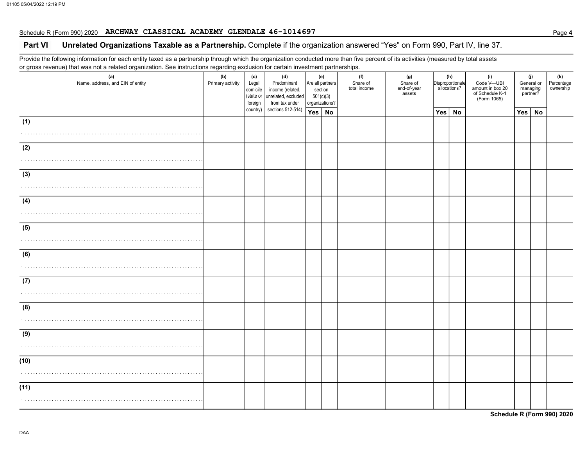# Schedule R (Form 990) 2020 ARCHWAY CLASSICAL ACADEMY GLENDALE 46-1014697

#### Part VI Unrelated Organizations Taxable as a Partnership. Complete if the organization answered "Yes" on Form 990, Part IV, line 37.

Provide the following information for each entity taxed as a partnership through which the organization conducted more than five percent of its activities (measured by total assets or gross revenue) that was not a related organization. See instructions regarding exclusion for certain investment partnerships.

| ◡<br>ັ<br>(a)<br>Name, address, and EIN of entity | ັ<br>ັ<br>(b)<br>Primary activity | (c)<br>Legal<br>domicile<br>(state or<br>foreign | (d)<br>Predominant<br>income (related,<br>unrelated, excluded<br>from tax under | (e)<br>Are all partners<br>section<br>501(c)(3)<br>organizations? |  | (f)<br>Share of<br>total income | (g)<br>Share of<br>end-of-year<br>assets | (h)<br>Disproportionate<br>allocations? |           | (i)<br>Code V-UBI<br>amount in box 20<br>of Schedule K-1<br>(Form 1065) | (j)<br>General or<br>managing<br>partner? |           | (k)<br>Percentage<br>ownership |
|---------------------------------------------------|-----------------------------------|--------------------------------------------------|---------------------------------------------------------------------------------|-------------------------------------------------------------------|--|---------------------------------|------------------------------------------|-----------------------------------------|-----------|-------------------------------------------------------------------------|-------------------------------------------|-----------|--------------------------------|
|                                                   |                                   | country)                                         | sections 512-514)                                                               | Yes   No                                                          |  |                                 |                                          | Yes                                     | <b>No</b> |                                                                         | Yes                                       | <b>No</b> |                                |
| (1)<br>.                                          |                                   |                                                  |                                                                                 |                                                                   |  |                                 |                                          |                                         |           |                                                                         |                                           |           |                                |
| (2)                                               |                                   |                                                  |                                                                                 |                                                                   |  |                                 |                                          |                                         |           |                                                                         |                                           |           |                                |
| (3)<br>.                                          |                                   |                                                  |                                                                                 |                                                                   |  |                                 |                                          |                                         |           |                                                                         |                                           |           |                                |
| (4)                                               |                                   |                                                  |                                                                                 |                                                                   |  |                                 |                                          |                                         |           |                                                                         |                                           |           |                                |
| (5)                                               |                                   |                                                  |                                                                                 |                                                                   |  |                                 |                                          |                                         |           |                                                                         |                                           |           |                                |
| (6)                                               |                                   |                                                  |                                                                                 |                                                                   |  |                                 |                                          |                                         |           |                                                                         |                                           |           |                                |
| (7)                                               |                                   |                                                  |                                                                                 |                                                                   |  |                                 |                                          |                                         |           |                                                                         |                                           |           |                                |
| (8)                                               |                                   |                                                  |                                                                                 |                                                                   |  |                                 |                                          |                                         |           |                                                                         |                                           |           |                                |
| (9)                                               |                                   |                                                  |                                                                                 |                                                                   |  |                                 |                                          |                                         |           |                                                                         |                                           |           |                                |
| (10)                                              |                                   |                                                  |                                                                                 |                                                                   |  |                                 |                                          |                                         |           |                                                                         |                                           |           |                                |
| (11)                                              |                                   |                                                  |                                                                                 |                                                                   |  |                                 |                                          |                                         |           |                                                                         |                                           |           |                                |

Schedule R (Form 990) 2020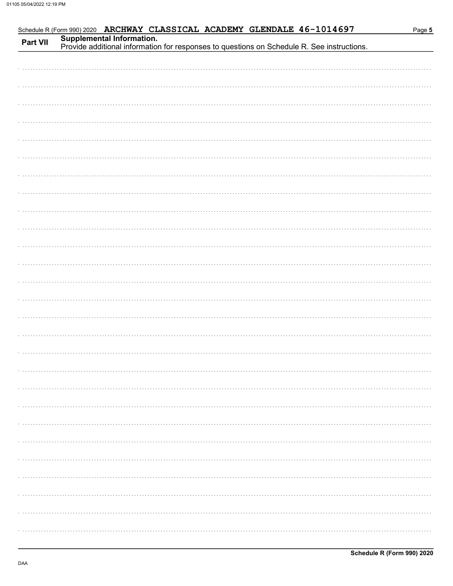|          |  |  | Schedule R (Form 990) 2020 ARCHWAY CLASSICAL ACADEMY GLENDALE 46-1014697                                                | Page 5 |
|----------|--|--|-------------------------------------------------------------------------------------------------------------------------|--------|
| Part VII |  |  | Supplemental Information.<br>Provide additional information for responses to questions on Schedule R. See instructions. |        |
|          |  |  |                                                                                                                         |        |
|          |  |  |                                                                                                                         |        |
|          |  |  |                                                                                                                         |        |
|          |  |  |                                                                                                                         |        |
|          |  |  |                                                                                                                         |        |
|          |  |  |                                                                                                                         |        |
|          |  |  |                                                                                                                         |        |
|          |  |  |                                                                                                                         |        |
|          |  |  |                                                                                                                         |        |
|          |  |  |                                                                                                                         |        |
|          |  |  |                                                                                                                         |        |
|          |  |  |                                                                                                                         |        |
|          |  |  |                                                                                                                         |        |
|          |  |  |                                                                                                                         |        |
|          |  |  |                                                                                                                         |        |
|          |  |  |                                                                                                                         |        |
|          |  |  |                                                                                                                         |        |
|          |  |  |                                                                                                                         |        |
|          |  |  |                                                                                                                         |        |
|          |  |  |                                                                                                                         |        |
|          |  |  |                                                                                                                         |        |
|          |  |  |                                                                                                                         |        |
|          |  |  |                                                                                                                         |        |
|          |  |  |                                                                                                                         |        |
|          |  |  |                                                                                                                         |        |
|          |  |  |                                                                                                                         |        |
|          |  |  |                                                                                                                         |        |
|          |  |  |                                                                                                                         |        |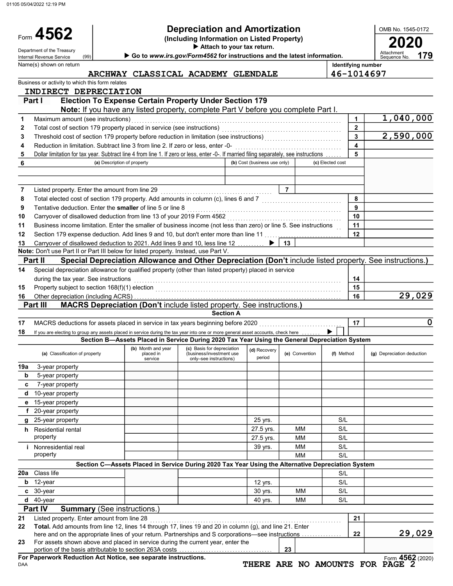01105 05/04/2022 12:19 PM

Name(s) shown on return

(99)

Form 4562

| 4562                | <b>Depreciation and Amortization</b>             | OMB No. 1545-017 |
|---------------------|--------------------------------------------------|------------------|
|                     | (Including Information on Listed Property)       | 2020             |
| ont of the Treasury | $\blacktriangleright$ Attach to your tax return. |                  |

Department of the Treasury (99) **Department of the Treasury Control of the Service Control of the Treasury Department**<br>Internal Revenue Service (99) **Department Department of the Internal Revenue Roughly Control of the Int** 

Identifying number

|  | ARCHWAY CLASSICAL ACADEMY GLENDALE |  |  |  |
|--|------------------------------------|--|--|--|
|--|------------------------------------|--|--|--|

46-1014697

OMB No. 1545-0172

179

|     | Business or activity to which this form relates                                                                                                                                            |                             |                                                                                                         |                              |                |                  |                         |                            |
|-----|--------------------------------------------------------------------------------------------------------------------------------------------------------------------------------------------|-----------------------------|---------------------------------------------------------------------------------------------------------|------------------------------|----------------|------------------|-------------------------|----------------------------|
|     | INDIRECT DEPRECIATION                                                                                                                                                                      |                             |                                                                                                         |                              |                |                  |                         |                            |
|     | Part I                                                                                                                                                                                     |                             | <b>Election To Expense Certain Property Under Section 179</b>                                           |                              |                |                  |                         |                            |
|     |                                                                                                                                                                                            |                             | Note: If you have any listed property, complete Part V before you complete Part I.                      |                              |                |                  |                         |                            |
| 1   | Maximum amount (see instructions)                                                                                                                                                          |                             |                                                                                                         |                              |                |                  | 1                       | 1,040,000                  |
| 2   |                                                                                                                                                                                            |                             |                                                                                                         |                              |                |                  | $\mathbf{2}$            |                            |
| 3   |                                                                                                                                                                                            |                             |                                                                                                         |                              |                |                  | $\mathbf{3}$            | 2,590,000                  |
| 4   | Reduction in limitation. Subtract line 3 from line 2. If zero or less, enter -0-                                                                                                           |                             |                                                                                                         |                              |                |                  | $\overline{\mathbf{4}}$ |                            |
| 5   | Dollar limitation for tax year. Subtract line 4 from line 1. If zero or less, enter -0-. If married filing separately, see instructions                                                    |                             |                                                                                                         |                              |                |                  | 5                       |                            |
| 6   |                                                                                                                                                                                            | (a) Description of property |                                                                                                         | (b) Cost (business use only) |                | (c) Elected cost |                         |                            |
|     |                                                                                                                                                                                            |                             |                                                                                                         |                              |                |                  |                         |                            |
|     |                                                                                                                                                                                            |                             |                                                                                                         |                              |                |                  |                         |                            |
| 7   | Listed property. Enter the amount from line 29                                                                                                                                             |                             |                                                                                                         |                              | $\overline{7}$ |                  |                         |                            |
| 8   | Total elected cost of section 179 property. Add amounts in column (c), lines 6 and 7 [[[[[[[[[[[[[[[[[[[[[[[[                                                                              |                             |                                                                                                         |                              |                |                  | 8<br>9                  |                            |
| 9   | Tentative deduction. Enter the smaller of line 5 or line 8                                                                                                                                 |                             |                                                                                                         |                              |                |                  | 10                      |                            |
| 10  | Carryover of disallowed deduction from line 13 of your 2019 Form 4562<br>Business income limitation. Enter the smaller of business income (not less than zero) or line 5. See instructions |                             |                                                                                                         |                              |                |                  | 11                      |                            |
| 11  | Section 179 expense deduction. Add lines 9 and 10, but don't enter more than line 11                                                                                                       |                             |                                                                                                         |                              |                |                  | 12                      |                            |
| 12  | Carryover of disallowed deduction to 2021. Add lines 9 and 10, less line 12                                                                                                                |                             |                                                                                                         |                              | 13             |                  |                         |                            |
| 13  | Note: Don't use Part II or Part III below for listed property. Instead, use Part V.                                                                                                        |                             |                                                                                                         |                              |                |                  |                         |                            |
|     | Part II                                                                                                                                                                                    |                             | Special Depreciation Allowance and Other Depreciation (Don't include listed property. See instructions. |                              |                |                  |                         |                            |
| 14  | Special depreciation allowance for qualified property (other than listed property) placed in service                                                                                       |                             |                                                                                                         |                              |                |                  |                         |                            |
|     | during the tax year. See instructions                                                                                                                                                      |                             |                                                                                                         |                              |                |                  | 14                      |                            |
| 15  |                                                                                                                                                                                            |                             |                                                                                                         |                              |                |                  | 15                      |                            |
| 16  |                                                                                                                                                                                            |                             |                                                                                                         |                              |                |                  | 16                      | 29,029                     |
|     | Part III                                                                                                                                                                                   |                             | MACRS Depreciation (Don't include listed property. See instructions.)                                   |                              |                |                  |                         |                            |
|     |                                                                                                                                                                                            |                             | <b>Section A</b>                                                                                        |                              |                |                  |                         |                            |
| 17  | MACRS deductions for assets placed in service in tax years beginning before 2020                                                                                                           |                             |                                                                                                         |                              |                |                  | 17                      | 0                          |
| 18  | If you are electing to group any assets placed in service during the tax year into one or more general asset accounts, check here                                                          |                             |                                                                                                         |                              |                |                  |                         |                            |
|     |                                                                                                                                                                                            |                             | Section B-Assets Placed in Service During 2020 Tax Year Using the General Depreciation System           |                              |                |                  |                         |                            |
|     |                                                                                                                                                                                            | (b) Month and year          | (c) Basis for depreciation                                                                              | (d) Recovery                 |                |                  |                         |                            |
|     | (a) Classification of property                                                                                                                                                             | placed in<br>service        | (business/investment use<br>only-see instructions)                                                      | period                       | (e) Convention | (f) Method       |                         | (g) Depreciation deduction |
| 19а | 3-year property                                                                                                                                                                            |                             |                                                                                                         |                              |                |                  |                         |                            |
| b   | 5-year property                                                                                                                                                                            |                             |                                                                                                         |                              |                |                  |                         |                            |
| c   | 7-year property                                                                                                                                                                            |                             |                                                                                                         |                              |                |                  |                         |                            |
|     | d 10-year property                                                                                                                                                                         |                             |                                                                                                         |                              |                |                  |                         |                            |
|     | e 15-year property                                                                                                                                                                         |                             |                                                                                                         |                              |                |                  |                         |                            |
|     | f 20-year property                                                                                                                                                                         |                             |                                                                                                         |                              |                |                  |                         |                            |
|     | g 25-year property                                                                                                                                                                         |                             |                                                                                                         | 25 yrs.                      |                | S/L              |                         |                            |
|     | <b>h</b> Residential rental                                                                                                                                                                |                             |                                                                                                         | 27.5 yrs.                    | MМ             | S/L              |                         |                            |
|     | property                                                                                                                                                                                   |                             |                                                                                                         | 27.5 yrs.                    | MM             | S/L              |                         |                            |
|     | <i>i</i> Nonresidential real                                                                                                                                                               |                             |                                                                                                         | 39 yrs.                      | MМ             | S/L              |                         |                            |
|     | property                                                                                                                                                                                   |                             |                                                                                                         |                              | MM             | S/L              |                         |                            |
|     |                                                                                                                                                                                            |                             |                                                                                                         |                              |                |                  |                         |                            |
|     |                                                                                                                                                                                            |                             | Section C-Assets Placed in Service During 2020 Tax Year Using the Alternative Depreciation System       |                              |                |                  |                         |                            |
|     | 20a Class life                                                                                                                                                                             |                             |                                                                                                         |                              |                | S/L              |                         |                            |
| b   | 12-year                                                                                                                                                                                    |                             |                                                                                                         | 12 yrs.                      |                | S/L              |                         |                            |
|     | $c30-year$                                                                                                                                                                                 |                             |                                                                                                         | 30 yrs.                      | мм             | S/L              |                         |                            |
|     | d 40-year                                                                                                                                                                                  |                             |                                                                                                         | 40 yrs.                      | MМ             | S/L              |                         |                            |
|     | Part IV<br><b>Summary</b> (See instructions.)                                                                                                                                              |                             |                                                                                                         |                              |                |                  |                         |                            |
| 21  | Listed property. Enter amount from line 28                                                                                                                                                 |                             |                                                                                                         |                              |                |                  | 21                      |                            |
| 22  | Total. Add amounts from line 12, lines 14 through 17, lines 19 and 20 in column (g), and line 21. Enter                                                                                    |                             |                                                                                                         |                              |                |                  |                         |                            |
|     | here and on the appropriate lines of your return. Partnerships and S corporations—see instructions                                                                                         |                             |                                                                                                         |                              |                |                  | 22                      | 29,029                     |
| 23  | For assets shown above and placed in service during the current year, enter the                                                                                                            |                             |                                                                                                         |                              |                |                  |                         |                            |
|     | portion of the basis attributable to section 263A costs<br>For Paperwork Reduction Act Notice, see separate instructions.                                                                  |                             |                                                                                                         |                              | 23             |                  |                         | Form 4562 (2020)           |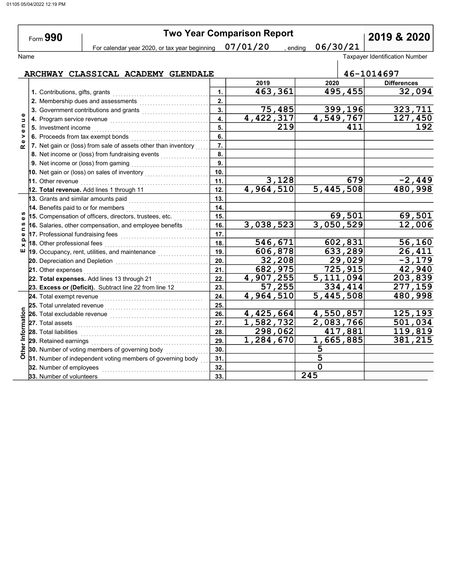|                     |                                 | Form 990                                                                                                                                                                                                                            |                  | <b>Two Year Comparison Report</b> |                  | 2019 & 2020                           |
|---------------------|---------------------------------|-------------------------------------------------------------------------------------------------------------------------------------------------------------------------------------------------------------------------------------|------------------|-----------------------------------|------------------|---------------------------------------|
|                     |                                 | For calendar year 2020, or tax year beginning $07/01/20$                                                                                                                                                                            |                  | , ending                          | 06/30/21         |                                       |
| Name                |                                 |                                                                                                                                                                                                                                     |                  |                                   |                  | <b>Taxpayer Identification Number</b> |
|                     |                                 |                                                                                                                                                                                                                                     |                  |                                   |                  |                                       |
|                     |                                 | ARCHWAY CLASSICAL ACADEMY GLENDALE                                                                                                                                                                                                  |                  |                                   |                  | 46-1014697                            |
|                     |                                 |                                                                                                                                                                                                                                     | $\mathbf{1}$ .   | 2019                              | 2020             | <b>Differences</b>                    |
|                     | 1. Contributions, gifts, grants |                                                                                                                                                                                                                                     |                  | 463,361                           | 495,455          | 32,094                                |
|                     |                                 |                                                                                                                                                                                                                                     | 2.               |                                   |                  |                                       |
|                     |                                 | 3. Government contributions and grants                                                                                                                                                                                              | 3.               | 75,485                            | 399, 196         | 323,711                               |
| Б<br>$\blacksquare$ |                                 |                                                                                                                                                                                                                                     | 4.<br>5.         | 4,422,317<br>219                  | 4,549,767<br>411 | 127,450                               |
| $\bullet$           |                                 | 5. Investment income                                                                                                                                                                                                                | 6.               |                                   |                  | 192                                   |
| ><br>$\bullet$      |                                 | 6. Proceeds from tax exempt bonds                                                                                                                                                                                                   | $\overline{7}$ . |                                   |                  |                                       |
| $\alpha$            |                                 | 7. Net gain or (loss) from sale of assets other than inventory                                                                                                                                                                      | 8.               |                                   |                  |                                       |
|                     |                                 | 8. Net income or (loss) from fundraising events                                                                                                                                                                                     | 9.               |                                   |                  |                                       |
|                     |                                 | 10. Net gain or (loss) on sales of inventory <i>contraction</i> of the same of the same of the same of the same of the same of the same of the same of the same of the same of the same of the same of the same of the same of the  | 10.              |                                   |                  |                                       |
|                     |                                 |                                                                                                                                                                                                                                     | 11.              | 3,128                             | 679              | $-2,449$                              |
|                     |                                 | 12. Total revenue. Add lines 1 through 11                                                                                                                                                                                           | 12.              | 4,964,510                         | 5,445,508        | 480,998                               |
|                     |                                 | 13. Grants and similar amounts paid                                                                                                                                                                                                 | 13.              |                                   |                  |                                       |
|                     |                                 | 14. Benefits paid to or for members                                                                                                                                                                                                 | 14.              |                                   |                  |                                       |
|                     |                                 | 15. Compensation of officers, directors, trustees, etc.                                                                                                                                                                             | 15.              |                                   | 69,501           | 69,501                                |
| Φ<br>n              |                                 | 16. Salaries, other compensation, and employee benefits                                                                                                                                                                             | 16.              | 3,038,523                         | 3,050,529        | 12,006                                |
| ⊆<br>$\omega$       |                                 | 17. Professional fundraising fees <b>constructs</b> and a series of the series and a series and a series and a series and a series and a series and a series and a series and a series and a series and a series and a series and a | 17.              |                                   |                  |                                       |
| ≏                   |                                 | 18. Other professional fees                                                                                                                                                                                                         | 18.              | 546,671                           | 602,831          | 56,160                                |
| ×<br>ш              |                                 | <b>19.</b> Occupancy, rent, utilities, and maintenance $\ldots$                                                                                                                                                                     | 19.              | 606,878                           | 633,289          | 26,411                                |
|                     |                                 | 20. Depreciation and Depletion                                                                                                                                                                                                      | 20.              | 32,208                            | 29,029           | $-3,179$                              |
|                     |                                 | 21. Other expenses                                                                                                                                                                                                                  | 21.              | 682,975                           | 725, 915         | 42,940                                |
|                     |                                 | 22. Total expenses. Add lines 13 through 21                                                                                                                                                                                         | 22.              | 4,907,255                         | 5, 111, 094      | 203,839                               |
|                     |                                 | 23. Excess or (Deficit). Subtract line 22 from line 12                                                                                                                                                                              | 23.              | 57,255                            | 334,414          | 277,159                               |
|                     |                                 | 24. Total exempt revenue <i>communically</i> contained a series and a series and a series and a series and a series of                                                                                                              | 24.              | 4,964,510                         | 5,445,508        | 480,998                               |
|                     |                                 | 25. Total unrelated revenue                                                                                                                                                                                                         | 25.              |                                   |                  |                                       |
|                     |                                 | 26. Total excludable revenue                                                                                                                                                                                                        | 26.              | 4,425,664                         | 4,550,857        | 125,193                               |
|                     |                                 | 27. Total assets <sub>…………………………………………</sub>                                                                                                                                                                                        | 27.              | 1,582,732                         | 2,083,766        | 501,034                               |
| Other Information   |                                 | 28. Total liabilities                                                                                                                                                                                                               | 28.              | $\overline{298}$ , 062            | 417,881          | 119,819                               |
|                     |                                 | 29. Retained earnings <b>construction</b> and all and an american construction of the set of the set of the set of the                                                                                                              | 29.              | 1,284,670                         | 1,665,885        | 381,215                               |
|                     |                                 | 30. Number of voting members of governing body                                                                                                                                                                                      | 30.              |                                   | 5                |                                       |
|                     |                                 | 31. Number of independent voting members of governing body                                                                                                                                                                          | 31.              |                                   | 5                |                                       |
|                     |                                 | 32. Number of employees                                                                                                                                                                                                             | 32.              |                                   | $\mathbf 0$      |                                       |
|                     |                                 | 33. Number of volunteers                                                                                                                                                                                                            | 33.              |                                   | 245              |                                       |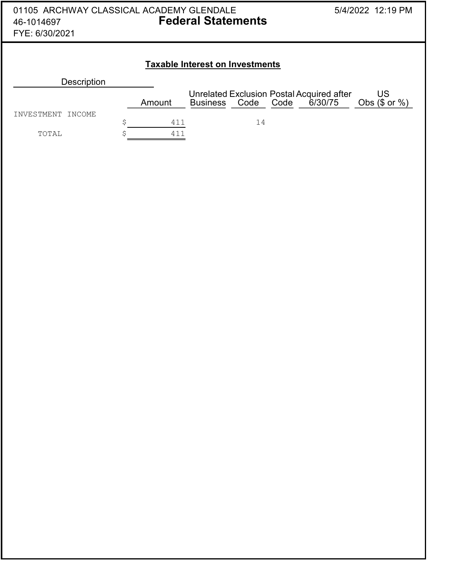| 01105 ARCHWAY CLASSICAL ACADEMY GLENDALE<br>46-1014697<br>FYE: 6/30/2021 |                  | <b>Federal Statements</b>                                            | 5/4/2022 12:19 PM                      |
|--------------------------------------------------------------------------|------------------|----------------------------------------------------------------------|----------------------------------------|
|                                                                          |                  | <b>Taxable Interest on Investments</b>                               |                                        |
| <b>Description</b>                                                       |                  |                                                                      |                                        |
|                                                                          | Amount           | Unrelated Exclusion Postal Acquired after<br>Code<br><b>Business</b> | US<br>6/30/75<br>Obs $($or %)$<br>Code |
| INVESTMENT<br>INCOME                                                     |                  |                                                                      |                                        |
| TOTAL                                                                    | \$<br>411<br>411 | 14                                                                   |                                        |